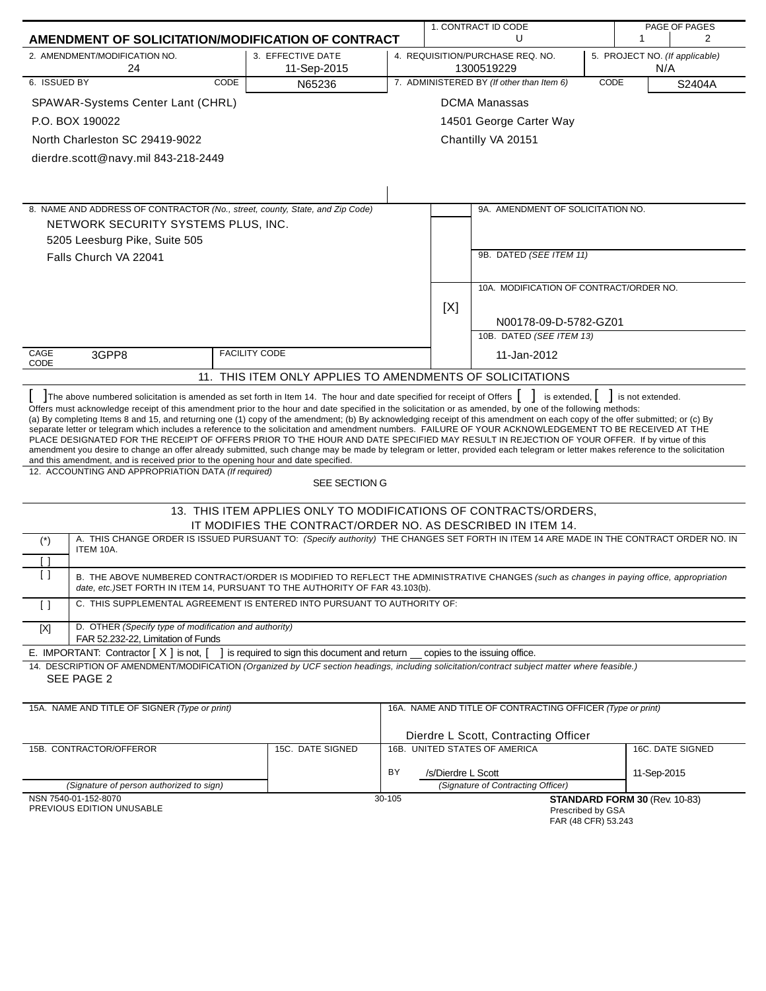|                       |                                                                                                                                                                                                                                                                                                                                                                                                                                                                                                                                                                                                                                                                                                                                                                                                                                                                                                                                                                                    |                                                                  | 1. CONTRACT ID CODE<br>PAGE OF PAGES |                    |                                                            |      |                                       |        |
|-----------------------|------------------------------------------------------------------------------------------------------------------------------------------------------------------------------------------------------------------------------------------------------------------------------------------------------------------------------------------------------------------------------------------------------------------------------------------------------------------------------------------------------------------------------------------------------------------------------------------------------------------------------------------------------------------------------------------------------------------------------------------------------------------------------------------------------------------------------------------------------------------------------------------------------------------------------------------------------------------------------------|------------------------------------------------------------------|--------------------------------------|--------------------|------------------------------------------------------------|------|---------------------------------------|--------|
|                       | AMENDMENT OF SOLICITATION/MODIFICATION OF CONTRACT                                                                                                                                                                                                                                                                                                                                                                                                                                                                                                                                                                                                                                                                                                                                                                                                                                                                                                                                 |                                                                  |                                      |                    | U                                                          |      | 1                                     | 2      |
|                       | 2. AMENDMENT/MODIFICATION NO.<br>24                                                                                                                                                                                                                                                                                                                                                                                                                                                                                                                                                                                                                                                                                                                                                                                                                                                                                                                                                | 3. EFFECTIVE DATE<br>11-Sep-2015                                 |                                      |                    | 4. REQUISITION/PURCHASE REQ. NO.<br>1300519229             |      | 5. PROJECT NO. (If applicable)<br>N/A |        |
| 6. ISSUED BY          | <b>CODE</b>                                                                                                                                                                                                                                                                                                                                                                                                                                                                                                                                                                                                                                                                                                                                                                                                                                                                                                                                                                        | N65236                                                           |                                      |                    | 7. ADMINISTERED BY (If other than Item 6)                  | CODE |                                       | S2404A |
|                       | SPAWAR-Systems Center Lant (CHRL)                                                                                                                                                                                                                                                                                                                                                                                                                                                                                                                                                                                                                                                                                                                                                                                                                                                                                                                                                  |                                                                  |                                      |                    | <b>DCMA Manassas</b>                                       |      |                                       |        |
|                       | P.O. BOX 190022                                                                                                                                                                                                                                                                                                                                                                                                                                                                                                                                                                                                                                                                                                                                                                                                                                                                                                                                                                    |                                                                  | 14501 George Carter Way              |                    |                                                            |      |                                       |        |
|                       | North Charleston SC 29419-9022                                                                                                                                                                                                                                                                                                                                                                                                                                                                                                                                                                                                                                                                                                                                                                                                                                                                                                                                                     |                                                                  |                                      |                    | Chantilly VA 20151                                         |      |                                       |        |
|                       | dierdre.scott@navy.mil 843-218-2449                                                                                                                                                                                                                                                                                                                                                                                                                                                                                                                                                                                                                                                                                                                                                                                                                                                                                                                                                |                                                                  |                                      |                    |                                                            |      |                                       |        |
|                       |                                                                                                                                                                                                                                                                                                                                                                                                                                                                                                                                                                                                                                                                                                                                                                                                                                                                                                                                                                                    |                                                                  |                                      |                    |                                                            |      |                                       |        |
|                       |                                                                                                                                                                                                                                                                                                                                                                                                                                                                                                                                                                                                                                                                                                                                                                                                                                                                                                                                                                                    |                                                                  |                                      |                    |                                                            |      |                                       |        |
|                       | 8. NAME AND ADDRESS OF CONTRACTOR (No., street, county, State, and Zip Code)                                                                                                                                                                                                                                                                                                                                                                                                                                                                                                                                                                                                                                                                                                                                                                                                                                                                                                       |                                                                  |                                      |                    | 9A. AMENDMENT OF SOLICITATION NO.                          |      |                                       |        |
|                       | NETWORK SECURITY SYSTEMS PLUS, INC.                                                                                                                                                                                                                                                                                                                                                                                                                                                                                                                                                                                                                                                                                                                                                                                                                                                                                                                                                |                                                                  |                                      |                    |                                                            |      |                                       |        |
|                       | 5205 Leesburg Pike, Suite 505                                                                                                                                                                                                                                                                                                                                                                                                                                                                                                                                                                                                                                                                                                                                                                                                                                                                                                                                                      |                                                                  |                                      |                    |                                                            |      |                                       |        |
|                       | Falls Church VA 22041                                                                                                                                                                                                                                                                                                                                                                                                                                                                                                                                                                                                                                                                                                                                                                                                                                                                                                                                                              |                                                                  |                                      |                    | 9B. DATED (SEE ITEM 11)                                    |      |                                       |        |
|                       |                                                                                                                                                                                                                                                                                                                                                                                                                                                                                                                                                                                                                                                                                                                                                                                                                                                                                                                                                                                    |                                                                  |                                      |                    |                                                            |      |                                       |        |
|                       |                                                                                                                                                                                                                                                                                                                                                                                                                                                                                                                                                                                                                                                                                                                                                                                                                                                                                                                                                                                    |                                                                  |                                      |                    | 10A. MODIFICATION OF CONTRACT/ORDER NO.                    |      |                                       |        |
|                       |                                                                                                                                                                                                                                                                                                                                                                                                                                                                                                                                                                                                                                                                                                                                                                                                                                                                                                                                                                                    |                                                                  |                                      | [X]                |                                                            |      |                                       |        |
|                       |                                                                                                                                                                                                                                                                                                                                                                                                                                                                                                                                                                                                                                                                                                                                                                                                                                                                                                                                                                                    |                                                                  |                                      |                    | N00178-09-D-5782-GZ01                                      |      |                                       |        |
|                       |                                                                                                                                                                                                                                                                                                                                                                                                                                                                                                                                                                                                                                                                                                                                                                                                                                                                                                                                                                                    |                                                                  |                                      |                    | 10B. DATED (SEE ITEM 13)                                   |      |                                       |        |
| CAGE<br>CODE          | 3GPP8                                                                                                                                                                                                                                                                                                                                                                                                                                                                                                                                                                                                                                                                                                                                                                                                                                                                                                                                                                              | <b>FACILITY CODE</b>                                             |                                      |                    | 11-Jan-2012                                                |      |                                       |        |
|                       | 11. THIS ITEM ONLY APPLIES TO AMENDMENTS OF SOLICITATIONS                                                                                                                                                                                                                                                                                                                                                                                                                                                                                                                                                                                                                                                                                                                                                                                                                                                                                                                          |                                                                  |                                      |                    |                                                            |      |                                       |        |
|                       | The above numbered solicitation is amended as set forth in Item 14. The hour and date specified for receipt of Offers                                                                                                                                                                                                                                                                                                                                                                                                                                                                                                                                                                                                                                                                                                                                                                                                                                                              |                                                                  |                                      |                    | is extended,                                               |      | is not extended.                      |        |
|                       | Offers must acknowledge receipt of this amendment prior to the hour and date specified in the solicitation or as amended, by one of the following methods:<br>(a) By completing Items 8 and 15, and returning one (1) copy of the amendment; (b) By acknowledging receipt of this amendment on each copy of the offer submitted; or (c) By<br>separate letter or telegram which includes a reference to the solicitation and amendment numbers. FAILURE OF YOUR ACKNOWLEDGEMENT TO BE RECEIVED AT THE<br>PLACE DESIGNATED FOR THE RECEIPT OF OFFERS PRIOR TO THE HOUR AND DATE SPECIFIED MAY RESULT IN REJECTION OF YOUR OFFER. If by virtue of this<br>amendment you desire to change an offer already submitted, such change may be made by telegram or letter, provided each telegram or letter makes reference to the solicitation<br>and this amendment, and is received prior to the opening hour and date specified.<br>12. ACCOUNTING AND APPROPRIATION DATA (If required) |                                                                  |                                      |                    |                                                            |      |                                       |        |
|                       |                                                                                                                                                                                                                                                                                                                                                                                                                                                                                                                                                                                                                                                                                                                                                                                                                                                                                                                                                                                    | SEE SECTION G                                                    |                                      |                    |                                                            |      |                                       |        |
|                       |                                                                                                                                                                                                                                                                                                                                                                                                                                                                                                                                                                                                                                                                                                                                                                                                                                                                                                                                                                                    | 13. THIS ITEM APPLIES ONLY TO MODIFICATIONS OF CONTRACTS/ORDERS, |                                      |                    |                                                            |      |                                       |        |
|                       |                                                                                                                                                                                                                                                                                                                                                                                                                                                                                                                                                                                                                                                                                                                                                                                                                                                                                                                                                                                    | IT MODIFIES THE CONTRACT/ORDER NO. AS DESCRIBED IN ITEM 14.      |                                      |                    |                                                            |      |                                       |        |
| $(\dot{\phantom{a}})$ | A. THIS CHANGE ORDER IS ISSUED PURSUANT TO: (Specify authority) THE CHANGES SET FORTH IN ITEM 14 ARE MADE IN THE CONTRACT ORDER NO. IN<br>ITEM 10A.                                                                                                                                                                                                                                                                                                                                                                                                                                                                                                                                                                                                                                                                                                                                                                                                                                |                                                                  |                                      |                    |                                                            |      |                                       |        |
| $\lceil$ $\rceil$     |                                                                                                                                                                                                                                                                                                                                                                                                                                                                                                                                                                                                                                                                                                                                                                                                                                                                                                                                                                                    |                                                                  |                                      |                    |                                                            |      |                                       |        |
| $\left[ \ \right]$    | B. THE ABOVE NUMBERED CONTRACT/ORDER IS MODIFIED TO REFLECT THE ADMINISTRATIVE CHANGES (such as changes in paying office, appropriation<br>date, etc.) SET FORTH IN ITEM 14, PURSUANT TO THE AUTHORITY OF FAR 43.103(b).                                                                                                                                                                                                                                                                                                                                                                                                                                                                                                                                                                                                                                                                                                                                                           |                                                                  |                                      |                    |                                                            |      |                                       |        |
| $\lceil$ $\rceil$     | C. THIS SUPPLEMENTAL AGREEMENT IS ENTERED INTO PURSUANT TO AUTHORITY OF:                                                                                                                                                                                                                                                                                                                                                                                                                                                                                                                                                                                                                                                                                                                                                                                                                                                                                                           |                                                                  |                                      |                    |                                                            |      |                                       |        |
| $[{\sf X}]$           | D. OTHER (Specify type of modification and authority)<br>FAR 52.232-22, Limitation of Funds                                                                                                                                                                                                                                                                                                                                                                                                                                                                                                                                                                                                                                                                                                                                                                                                                                                                                        |                                                                  |                                      |                    |                                                            |      |                                       |        |
|                       | E. IMPORTANT: Contractor $[X]$ is not, $[$                                                                                                                                                                                                                                                                                                                                                                                                                                                                                                                                                                                                                                                                                                                                                                                                                                                                                                                                         | ] is required to sign this document and return                   |                                      |                    | copies to the issuing office.                              |      |                                       |        |
|                       | 14. DESCRIPTION OF AMENDMENT/MODIFICATION (Organized by UCF section headings, including solicitation/contract subject matter where feasible.)                                                                                                                                                                                                                                                                                                                                                                                                                                                                                                                                                                                                                                                                                                                                                                                                                                      |                                                                  |                                      |                    |                                                            |      |                                       |        |
|                       | SEE PAGE 2                                                                                                                                                                                                                                                                                                                                                                                                                                                                                                                                                                                                                                                                                                                                                                                                                                                                                                                                                                         |                                                                  |                                      |                    |                                                            |      |                                       |        |
|                       | 15A. NAME AND TITLE OF SIGNER (Type or print)                                                                                                                                                                                                                                                                                                                                                                                                                                                                                                                                                                                                                                                                                                                                                                                                                                                                                                                                      |                                                                  |                                      |                    | 16A. NAME AND TITLE OF CONTRACTING OFFICER (Type or print) |      |                                       |        |
|                       |                                                                                                                                                                                                                                                                                                                                                                                                                                                                                                                                                                                                                                                                                                                                                                                                                                                                                                                                                                                    |                                                                  |                                      |                    |                                                            |      |                                       |        |
|                       |                                                                                                                                                                                                                                                                                                                                                                                                                                                                                                                                                                                                                                                                                                                                                                                                                                                                                                                                                                                    |                                                                  |                                      |                    | Dierdre L Scott, Contracting Officer                       |      |                                       |        |
|                       | 15B. CONTRACTOR/OFFEROR                                                                                                                                                                                                                                                                                                                                                                                                                                                                                                                                                                                                                                                                                                                                                                                                                                                                                                                                                            | 15C. DATE SIGNED                                                 |                                      |                    | 16B. UNITED STATES OF AMERICA                              |      | 16C. DATE SIGNED                      |        |
|                       |                                                                                                                                                                                                                                                                                                                                                                                                                                                                                                                                                                                                                                                                                                                                                                                                                                                                                                                                                                                    |                                                                  | BY                                   | /s/Dierdre L Scott |                                                            |      | 11-Sep-2015                           |        |
|                       | (Signature of person authorized to sign)                                                                                                                                                                                                                                                                                                                                                                                                                                                                                                                                                                                                                                                                                                                                                                                                                                                                                                                                           |                                                                  |                                      |                    | (Signature of Contracting Officer)                         |      |                                       |        |
|                       | NSN 7540-01-152-8070<br>PREVIOUS EDITION UNUSABLE                                                                                                                                                                                                                                                                                                                                                                                                                                                                                                                                                                                                                                                                                                                                                                                                                                                                                                                                  |                                                                  | 30-105                               |                    | Prescribed by GSA<br>FAR (48 CFR) 53.243                   |      | STANDARD FORM 30 (Rev. 10-83)         |        |
|                       |                                                                                                                                                                                                                                                                                                                                                                                                                                                                                                                                                                                                                                                                                                                                                                                                                                                                                                                                                                                    |                                                                  |                                      |                    |                                                            |      |                                       |        |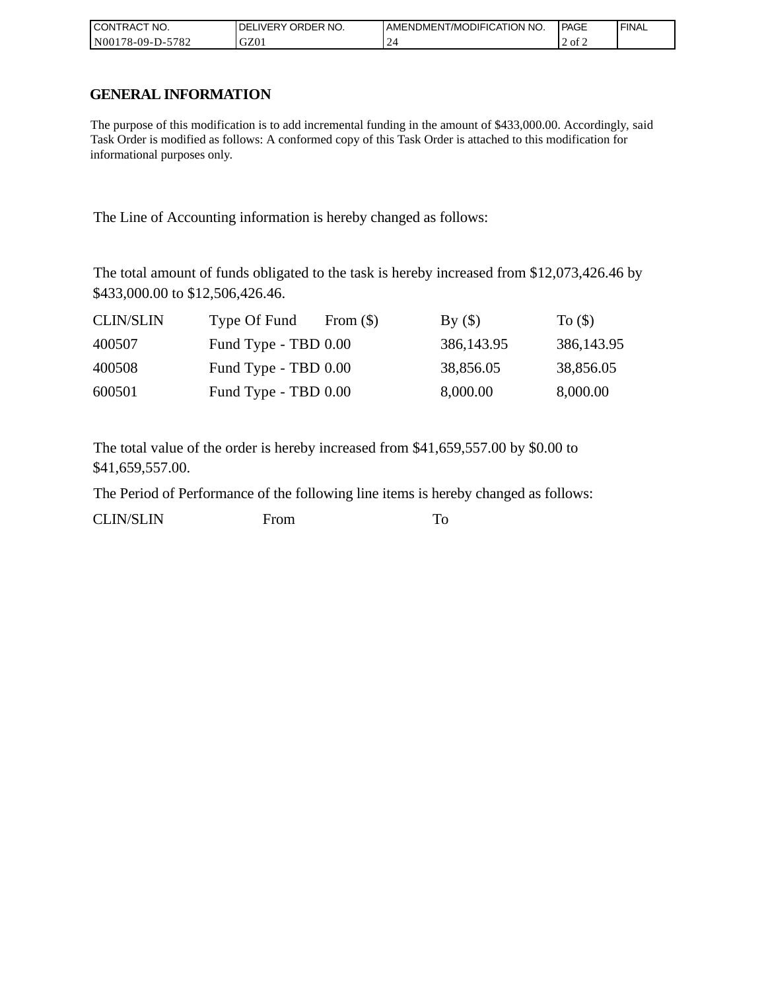| I CONTRACT NO.   | <b>IDELIVERY ORDER NO.</b> | AMENDMENT/MODIFICATION NO. | PAGE   | 'FINAL |
|------------------|----------------------------|----------------------------|--------|--------|
| N00178-09-D-5782 | GZ01                       |                            | 2 of 2 |        |

## **GENERAL INFORMATION**

The purpose of this modification is to add incremental funding in the amount of \$433,000.00. Accordingly, said Task Order is modified as follows: A conformed copy of this Task Order is attached to this modification for informational purposes only.

The Line of Accounting information is hereby changed as follows:

The total amount of funds obligated to the task is hereby increased from \$12,073,426.46 by \$433,000.00 to \$12,506,426.46.

| <b>CLIN/SLIN</b> | Type Of Fund         | From $(\$)$ | By()         | To $($ )     |
|------------------|----------------------|-------------|--------------|--------------|
| 400507           | Fund Type - TBD 0.00 |             | 386, 143. 95 | 386, 143. 95 |
| 400508           | Fund Type - TBD 0.00 |             | 38,856.05    | 38,856.05    |
| 600501           | Fund Type - TBD 0.00 |             | 8,000.00     | 8,000.00     |

The total value of the order is hereby increased from \$41,659,557.00 by \$0.00 to \$41,659,557.00.

The Period of Performance of the following line items is hereby changed as follows:

CLIN/SLIN From To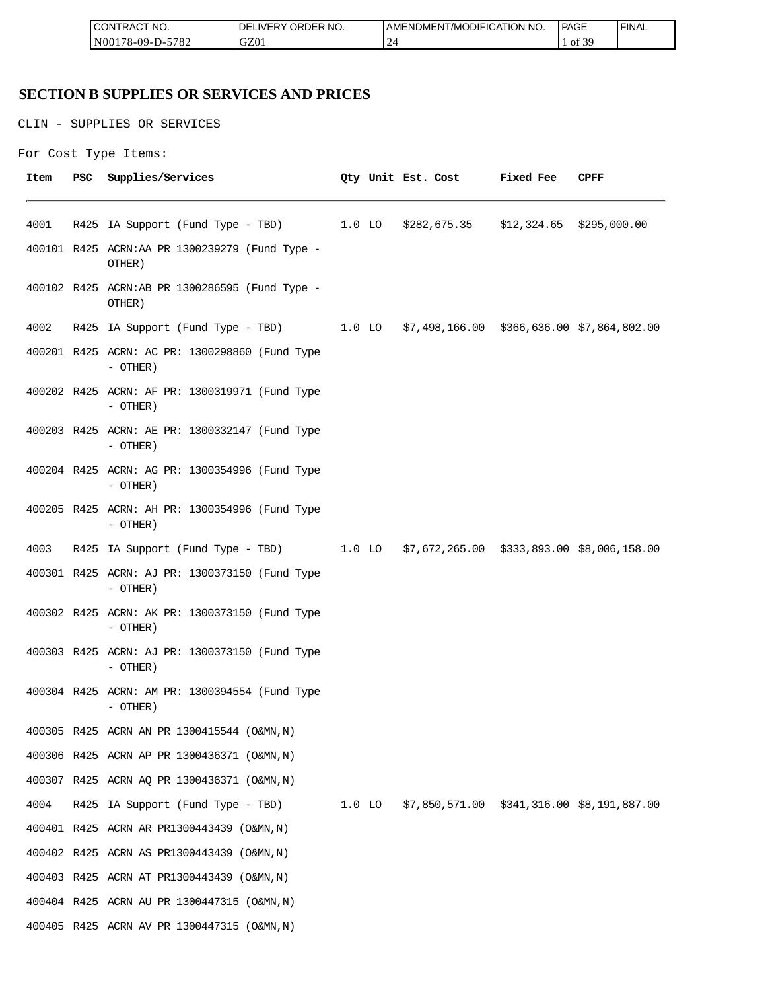| <b>ICON</b><br>°CT NO.<br>∵I RAC | R NO.<br>JR'<br>≀DE!<br>⊣د، | ICATION NO.<br>T/MODIFIL<br>AME<br>∵NDMEN. | PAGE<br>____                           | <b>FINAL</b> |
|----------------------------------|-----------------------------|--------------------------------------------|----------------------------------------|--------------|
| 5700<br>N00<br>/8-09-D-<br>ے ہ≀  | GZ0                         | ∼<br>-                                     | c oo<br>ΟĪ<br>$\overline{\phantom{a}}$ |              |

## **SECTION B SUPPLIES OR SERVICES AND PRICES**

CLIN - SUPPLIES OR SERVICES

```
For Cost Type Items:
```

| Item | PSC | Supplies/Services                                                                   |  | Qty Unit Est. Cost                            | <b>Fixed Fee</b> | CPFF |
|------|-----|-------------------------------------------------------------------------------------|--|-----------------------------------------------|------------------|------|
| 4001 |     | R425 IA Support (Fund Type - TBD) 1.0 LO \$282,675.35 \$12,324.65 \$295,000.00      |  |                                               |                  |      |
|      |     | 400101 R425 ACRN:AA PR 1300239279 (Fund Type -<br>OTHER)                            |  |                                               |                  |      |
|      |     | 400102 R425 ACRN:AB PR 1300286595 (Fund Type -<br>OTHER)                            |  |                                               |                  |      |
| 4002 |     | R425 IA Support (Fund Type - TBD) 1.0 LO \$7,498,166.00 \$366,636.00 \$7,864,802.00 |  |                                               |                  |      |
|      |     | 400201 R425 ACRN: AC PR: 1300298860 (Fund Type<br>- OTHER)                          |  |                                               |                  |      |
|      |     | 400202 R425 ACRN: AF PR: 1300319971 (Fund Type<br>- OTHER)                          |  |                                               |                  |      |
|      |     | 400203 R425 ACRN: AE PR: 1300332147 (Fund Type<br>- OTHER)                          |  |                                               |                  |      |
|      |     | 400204 R425 ACRN: AG PR: 1300354996 (Fund Type<br>$-$ OTHER)                        |  |                                               |                  |      |
|      |     | 400205 R425 ACRN: AH PR: 1300354996 (Fund Type<br>$-$ OTHER)                        |  |                                               |                  |      |
| 4003 |     | R425 IA Support (Fund Type - TBD) 1.0 LO \$7,672,265.00 \$333,893.00 \$8,006,158.00 |  |                                               |                  |      |
|      |     | 400301 R425 ACRN: AJ PR: 1300373150 (Fund Type<br>$-$ OTHER)                        |  |                                               |                  |      |
|      |     | 400302 R425 ACRN: AK PR: 1300373150 (Fund Type<br>- OTHER)                          |  |                                               |                  |      |
|      |     | 400303 R425 ACRN: AJ PR: 1300373150 (Fund Type<br>- OTHER)                          |  |                                               |                  |      |
|      |     | 400304 R425 ACRN: AM PR: 1300394554 (Fund Type<br>- OTHER)                          |  |                                               |                  |      |
|      |     | 400305 R425 ACRN AN PR 1300415544 (O&MN, N)                                         |  |                                               |                  |      |
|      |     | 400306 R425 ACRN AP PR 1300436371 (O&MN, N)                                         |  |                                               |                  |      |
|      |     | 400307 R425 ACRN AQ PR 1300436371 (O&MN, N)                                         |  |                                               |                  |      |
| 4004 |     | R425 IA Support (Fund Type - TBD) 1.0 LO                                            |  | $$7,850,571.00$ $$341,316.00$ $$8,191,887.00$ |                  |      |
|      |     | 400401 R425 ACRN AR PR1300443439 (O&MN, N)                                          |  |                                               |                  |      |
|      |     | 400402 R425 ACRN AS PR1300443439 (O&MN, N)                                          |  |                                               |                  |      |
|      |     | 400403 R425 ACRN AT PR1300443439 (O&MN, N)                                          |  |                                               |                  |      |
|      |     | 400404 R425 ACRN AU PR 1300447315 (O&MN, N)                                         |  |                                               |                  |      |
|      |     | 400405 R425 ACRN AV PR 1300447315 (O&MN, N)                                         |  |                                               |                  |      |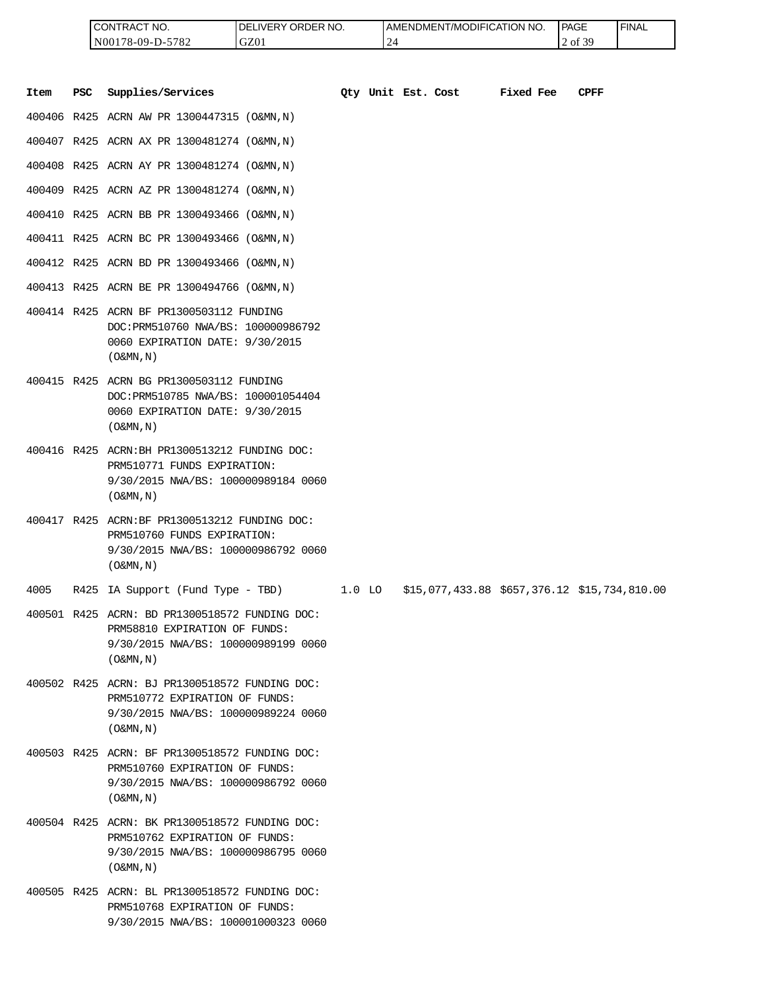| <b>ICONTRACT NO.</b> | LIVERY ORDER NO.<br>DEI | I AMENDMENT/MODIFICATION NO. | PAGE           | ' FINAL |
|----------------------|-------------------------|------------------------------|----------------|---------|
| N00178-09-D-5782     | GZ01                    | .                            | £ 20<br>2 of 3 |         |

|      |     | CONTRACT NO.<br>N00178-09-D-5782                                                                                                                      | DELIVERY ORDER NO.<br>GZ01 |        | 24                 | AMENDMENT/MODIFICATION NO.                   |           | PAGE<br>2 of 39 | <b>FINAL</b> |
|------|-----|-------------------------------------------------------------------------------------------------------------------------------------------------------|----------------------------|--------|--------------------|----------------------------------------------|-----------|-----------------|--------------|
| Item | PSC | Supplies/Services                                                                                                                                     |                            |        | Qty Unit Est. Cost |                                              | Fixed Fee | CPFF            |              |
|      |     | 400406 R425 ACRN AW PR 1300447315 (O&MN, N)                                                                                                           |                            |        |                    |                                              |           |                 |              |
|      |     | 400407 R425 ACRN AX PR 1300481274 (O&MN, N)                                                                                                           |                            |        |                    |                                              |           |                 |              |
|      |     | 400408 R425 ACRN AY PR 1300481274 (O&MN, N)                                                                                                           |                            |        |                    |                                              |           |                 |              |
|      |     | 400409 R425 ACRN AZ PR 1300481274 (O&MN, N)                                                                                                           |                            |        |                    |                                              |           |                 |              |
|      |     | 400410 R425 ACRN BB PR 1300493466 (O&MN, N)                                                                                                           |                            |        |                    |                                              |           |                 |              |
|      |     | 400411 R425 ACRN BC PR 1300493466 (O&MN, N)                                                                                                           |                            |        |                    |                                              |           |                 |              |
|      |     | 400412 R425 ACRN BD PR 1300493466 (O&MN, N)                                                                                                           |                            |        |                    |                                              |           |                 |              |
|      |     | 400413 R425 ACRN BE PR 1300494766 (O&MN, N)                                                                                                           |                            |        |                    |                                              |           |                 |              |
|      |     | 400414 R425 ACRN BF PR1300503112 FUNDING<br>DOC: PRM510760 NWA/BS: 100000986792<br>0060 EXPIRATION DATE: 9/30/2015<br>$($ O&MN, $\overline{N}$ )      |                            |        |                    |                                              |           |                 |              |
|      |     | 400415 R425 ACRN BG PR1300503112 FUNDING<br>DOC: PRM510785 NWA/BS: 100001054404<br>0060 EXPIRATION DATE: 9/30/2015<br>$($ O&MN, N)                    |                            |        |                    |                                              |           |                 |              |
|      |     | 400416 R425 ACRN: BH PR1300513212 FUNDING DOC:<br>PRM510771 FUNDS EXPIRATION:<br>9/30/2015 NWA/BS: 100000989184 0060<br>$($ O&MN, $\overline{N}$ )    |                            |        |                    |                                              |           |                 |              |
|      |     | 400417 R425 ACRN:BF PR1300513212 FUNDING DOC:<br>PRM510760 FUNDS EXPIRATION:<br>9/30/2015 NWA/BS: 100000986792 0060<br>$($ O&MN, N)                   |                            |        |                    |                                              |           |                 |              |
| 4005 |     | R425 IA Support (Fund Type - TBD)                                                                                                                     |                            | 1.0 LO |                    | \$15,077,433.88 \$657,376.12 \$15,734,810.00 |           |                 |              |
|      |     | 400501 R425 ACRN: BD PR1300518572 FUNDING DOC:<br>PRM58810 EXPIRATION OF FUNDS:<br>9/30/2015 NWA/BS: 100000989199 0060<br>$($ O&MN, N)                |                            |        |                    |                                              |           |                 |              |
|      |     | 400502 R425 ACRN: BJ PR1300518572 FUNDING DOC:<br>PRM510772 EXPIRATION OF FUNDS:<br>9/30/2015 NWA/BS: 100000989224 0060<br>$($ O&MN , N $)$           |                            |        |                    |                                              |           |                 |              |
|      |     | 400503 R425 ACRN: BF PR1300518572 FUNDING DOC:<br>PRM510760 EXPIRATION OF FUNDS:<br>9/30/2015 NWA/BS: 100000986792 0060<br>$($ O&MN, N)               |                            |        |                    |                                              |           |                 |              |
|      |     | 400504 R425 ACRN: BK PR1300518572 FUNDING DOC:<br>PRM510762 EXPIRATION OF FUNDS:<br>9/30/2015 NWA/BS: 100000986795 0060<br>$($ O&MN, $\overline{N}$ ) |                            |        |                    |                                              |           |                 |              |
|      |     | 400505 R425 ACRN: BL PR1300518572 FUNDING DOC:<br>PRM510768 EXPIRATION OF FUNDS:<br>9/30/2015 NWA/BS: 100001000323 0060                               |                            |        |                    |                                              |           |                 |              |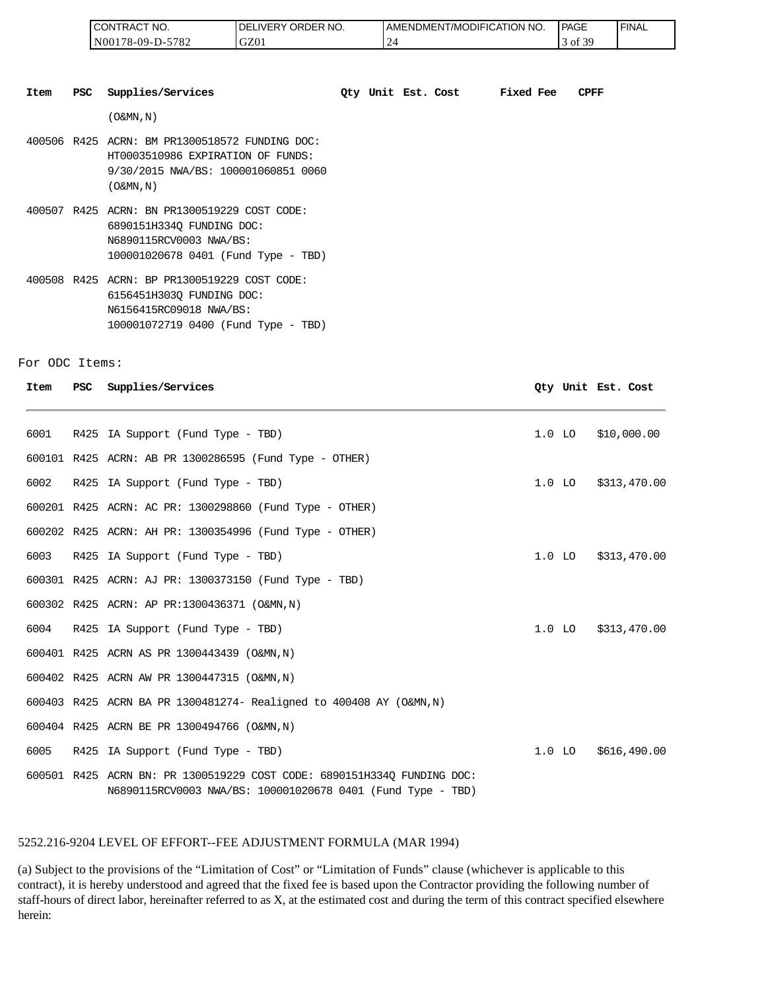| <b>CONTRACT NO.</b> | LIVERY ORDER NO.<br>I DEL | <b>I AMENDMENT/MODIFICATION NO.</b> | PAGE           | 'FINAL |
|---------------------|---------------------------|-------------------------------------|----------------|--------|
| N00178-09-D-5782    | GZ01                      | -<br><u>_</u>                       | $\alpha$<br>0Ī |        |

| Item | <b>PSC</b> | Supplies/Services                                                                                                                           | Oty Unit Est. Cost |  | Fixed Fee | <b>CPFF</b> |
|------|------------|---------------------------------------------------------------------------------------------------------------------------------------------|--------------------|--|-----------|-------------|
|      |            | (O&MN,N)                                                                                                                                    |                    |  |           |             |
|      |            | 400506 R425 ACRN: BM PR1300518572 FUNDING DOC:<br>HT0003510986 EXPIRATION OF FUNDS:<br>9/30/2015 NWA/BS: 100001060851 0060<br>(O&MN,N)      |                    |  |           |             |
|      |            | 400507 R425 ACRN: BN PR1300519229 COST CODE:<br>6890151H3340 FUNDING DOC:<br>N6890115RCV0003 NWA/BS:<br>100001020678 0401 (Fund Type - TBD) |                    |  |           |             |
|      |            | 400508 R425 ACRN: BP PR1300519229 COST CODE:<br>6156451H3030 FUNDING DOC:<br>N6156415RC09018 NWA/BS:<br>100001072719 0400 (Fund Type - TBD) |                    |  |           |             |

#### For ODC Items:

|                |     | CONTRACT NO.<br>N00178-09-D-5782                                                                                                                                                                                                                                                                                                                                                                           | DELIVERY ORDER NO.<br>GZ01 | 24 | AMENDMENT/MODIFICATION NO. |           |          | PAGE<br>3 of 39    | <b>FINAL</b> |
|----------------|-----|------------------------------------------------------------------------------------------------------------------------------------------------------------------------------------------------------------------------------------------------------------------------------------------------------------------------------------------------------------------------------------------------------------|----------------------------|----|----------------------------|-----------|----------|--------------------|--------------|
| Item           | PSC | Supplies/Services                                                                                                                                                                                                                                                                                                                                                                                          |                            |    | Qty Unit Est. Cost         | Fixed Fee |          | CPFF               |              |
|                |     | $($ O&MN, N)                                                                                                                                                                                                                                                                                                                                                                                               |                            |    |                            |           |          |                    |              |
|                |     | 400506 R425 ACRN: BM PR1300518572 FUNDING DOC:<br>HT0003510986 EXPIRATION OF FUNDS:<br>9/30/2015 NWA/BS: 100001060851 0060<br>$($ O&MN, N)                                                                                                                                                                                                                                                                 |                            |    |                            |           |          |                    |              |
|                |     | 400507 R425 ACRN: BN PR1300519229 COST CODE:<br>6890151H334Q FUNDING DOC:<br>N6890115RCV0003 NWA/BS:<br>100001020678 0401 (Fund Type - TBD)                                                                                                                                                                                                                                                                |                            |    |                            |           |          |                    |              |
|                |     | 400508 R425 ACRN: BP PR1300519229 COST CODE:<br>6156451H303Q FUNDING DOC:<br>N6156415RC09018 NWA/BS:<br>100001072719 0400 (Fund Type - TBD)                                                                                                                                                                                                                                                                |                            |    |                            |           |          |                    |              |
| For ODC Items: |     |                                                                                                                                                                                                                                                                                                                                                                                                            |                            |    |                            |           |          |                    |              |
| Item           | PSC | Supplies/Services                                                                                                                                                                                                                                                                                                                                                                                          |                            |    |                            |           |          | Qty Unit Est. Cost |              |
| 6001           |     | R425 IA Support (Fund Type - TBD)                                                                                                                                                                                                                                                                                                                                                                          |                            |    |                            |           | $1.0$ LO |                    | \$10,000.00  |
|                |     | 600101 R425 ACRN: AB PR 1300286595 (Fund Type - OTHER)                                                                                                                                                                                                                                                                                                                                                     |                            |    |                            |           |          |                    |              |
| 6002           |     | R425 IA Support (Fund Type - TBD)                                                                                                                                                                                                                                                                                                                                                                          |                            |    |                            |           |          | $1.0$ LO           | \$313,470.00 |
|                |     | 600201 R425 ACRN: AC PR: 1300298860 (Fund Type - OTHER)                                                                                                                                                                                                                                                                                                                                                    |                            |    |                            |           |          |                    |              |
|                |     | 600202 R425 ACRN: AH PR: 1300354996 (Fund Type - OTHER)                                                                                                                                                                                                                                                                                                                                                    |                            |    |                            |           |          |                    |              |
| 6003           |     | R425 IA Support (Fund Type - TBD)                                                                                                                                                                                                                                                                                                                                                                          |                            |    |                            |           |          | $1.0$ LO           | \$313,470.00 |
|                |     | 600301 R425 ACRN: AJ PR: 1300373150 (Fund Type - TBD)                                                                                                                                                                                                                                                                                                                                                      |                            |    |                            |           |          |                    |              |
|                |     | 600302 R425 ACRN: AP PR:1300436371 (O&MN,N)                                                                                                                                                                                                                                                                                                                                                                |                            |    |                            |           |          |                    |              |
| 6004           |     | R425 IA Support (Fund Type - TBD)                                                                                                                                                                                                                                                                                                                                                                          |                            |    |                            |           |          | $1.0$ LO           | \$313,470.00 |
|                |     | 600401 R425 ACRN AS PR 1300443439 (O&MN, N)                                                                                                                                                                                                                                                                                                                                                                |                            |    |                            |           |          |                    |              |
|                |     | 600402 R425 ACRN AW PR 1300447315 (O&MN, N)                                                                                                                                                                                                                                                                                                                                                                |                            |    |                            |           |          |                    |              |
|                |     | 600403 R425 ACRN BA PR 1300481274- Realigned to 400408 AY (O&MN, N)                                                                                                                                                                                                                                                                                                                                        |                            |    |                            |           |          |                    |              |
|                |     | 600404 R425 ACRN BE PR 1300494766 (O&MN, N)                                                                                                                                                                                                                                                                                                                                                                |                            |    |                            |           |          |                    |              |
| 6005           |     | R425 IA Support (Fund Type - TBD)                                                                                                                                                                                                                                                                                                                                                                          |                            |    |                            |           | $1.0$ LO |                    | \$616,490.00 |
|                |     | 600501 R425 ACRN BN: PR 1300519229 COST CODE: 6890151H334Q FUNDING DOC:<br>N6890115RCV0003 NWA/BS: 100001020678 0401 (Fund Type - TBD)                                                                                                                                                                                                                                                                     |                            |    |                            |           |          |                    |              |
|                |     | 5252.216-9204 LEVEL OF EFFORT--FEE ADJUSTMENT FORMULA (MAR 1994)                                                                                                                                                                                                                                                                                                                                           |                            |    |                            |           |          |                    |              |
| herein:        |     | (a) Subject to the provisions of the "Limitation of Cost" or "Limitation of Funds" clause (whichever is applicable to this<br>contract), it is hereby understood and agreed that the fixed fee is based upon the Contractor providing the following number of<br>staff-hours of direct labor, hereinafter referred to as X, at the estimated cost and during the term of this contract specified elsewhere |                            |    |                            |           |          |                    |              |

#### 5252.216-9204 LEVEL OF EFFORT--FEE ADJUSTMENT FORMULA (MAR 1994)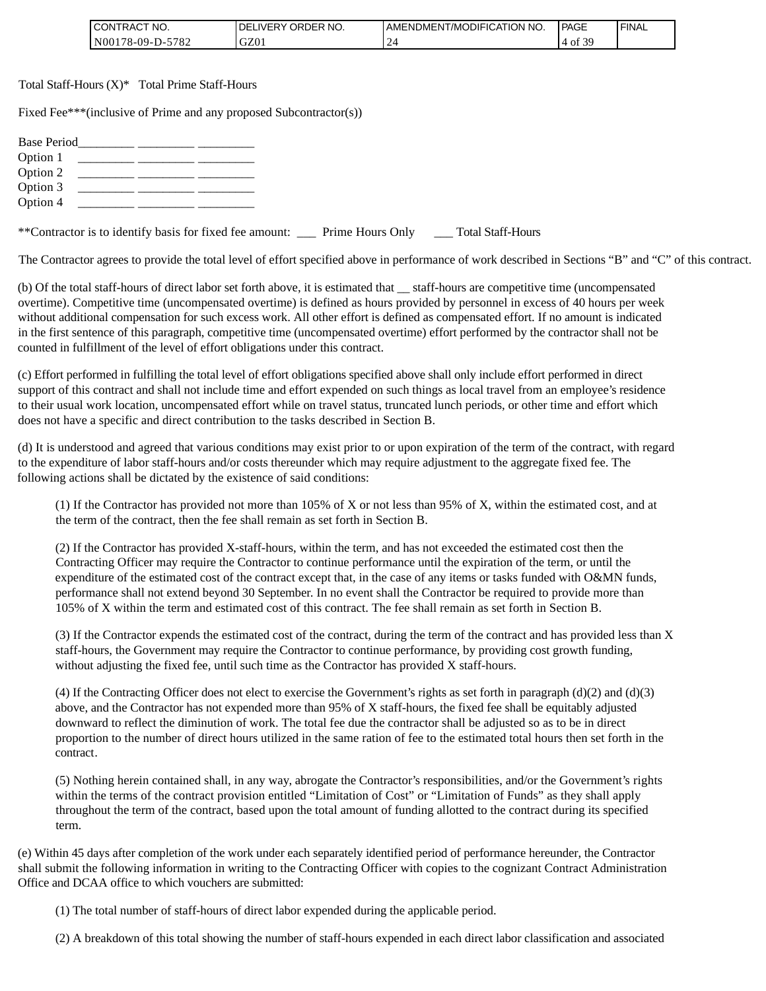| <b>CONTRACT NO.</b> | `ORDER NO.<br>' DEL<br>LIVERY ( | AMENDMENT/MODIFICATION NO. | <b>PAGE</b>  | ' FINAL |
|---------------------|---------------------------------|----------------------------|--------------|---------|
| N00178-09-D-5782    | GZ01                            |                            | £ 20<br>4 of |         |

Total Staff-Hours (X)\* Total Prime Staff-Hours

Fixed Fee\*\*\*(inclusive of Prime and any proposed Subcontractor(s))

| <b>Base Period</b><br><u> 1980 - Jan Alexandro III, politik politik (</u><br>Option 1<br>Option 2<br>Option 3<br>Option 4 |                      |                       |  |
|---------------------------------------------------------------------------------------------------------------------------|----------------------|-----------------------|--|
| **Contractor is to identify basis for fixed fee amount:                                                                   | ___ Prime Hours Only | ___ Total Staff-Hours |  |

The Contractor agrees to provide the total level of effort specified above in performance of work described in Sections "B" and "C" of this contract.

(b) Of the total staff-hours of direct labor set forth above, it is estimated that \_\_ staff-hours are competitive time (uncompensated overtime). Competitive time (uncompensated overtime) is defined as hours provided by personnel in excess of 40 hours per week without additional compensation for such excess work. All other effort is defined as compensated effort. If no amount is indicated in the first sentence of this paragraph, competitive time (uncompensated overtime) effort performed by the contractor shall not be counted in fulfillment of the level of effort obligations under this contract.

(c) Effort performed in fulfilling the total level of effort obligations specified above shall only include effort performed in direct support of this contract and shall not include time and effort expended on such things as local travel from an employee's residence to their usual work location, uncompensated effort while on travel status, truncated lunch periods, or other time and effort which does not have a specific and direct contribution to the tasks described in Section B.

(d) It is understood and agreed that various conditions may exist prior to or upon expiration of the term of the contract, with regard to the expenditure of labor staff-hours and/or costs thereunder which may require adjustment to the aggregate fixed fee. The following actions shall be dictated by the existence of said conditions:

(1) If the Contractor has provided not more than 105% of X or not less than 95% of X, within the estimated cost, and at the term of the contract, then the fee shall remain as set forth in Section B.

(2) If the Contractor has provided X-staff-hours, within the term, and has not exceeded the estimated cost then the Contracting Officer may require the Contractor to continue performance until the expiration of the term, or until the expenditure of the estimated cost of the contract except that, in the case of any items or tasks funded with O&MN funds, performance shall not extend beyond 30 September. In no event shall the Contractor be required to provide more than 105% of X within the term and estimated cost of this contract. The fee shall remain as set forth in Section B.

(3) If the Contractor expends the estimated cost of the contract, during the term of the contract and has provided less than X staff-hours, the Government may require the Contractor to continue performance, by providing cost growth funding, without adjusting the fixed fee, until such time as the Contractor has provided X staff-hours.

(4) If the Contracting Officer does not elect to exercise the Government's rights as set forth in paragraph (d)(2) and (d)(3) above, and the Contractor has not expended more than 95% of X staff-hours, the fixed fee shall be equitably adjusted downward to reflect the diminution of work. The total fee due the contractor shall be adjusted so as to be in direct proportion to the number of direct hours utilized in the same ration of fee to the estimated total hours then set forth in the contract.

(5) Nothing herein contained shall, in any way, abrogate the Contractor's responsibilities, and/or the Government's rights within the terms of the contract provision entitled "Limitation of Cost" or "Limitation of Funds" as they shall apply throughout the term of the contract, based upon the total amount of funding allotted to the contract during its specified term.

(e) Within 45 days after completion of the work under each separately identified period of performance hereunder, the Contractor shall submit the following information in writing to the Contracting Officer with copies to the cognizant Contract Administration Office and DCAA office to which vouchers are submitted:

(1) The total number of staff-hours of direct labor expended during the applicable period.

(2) A breakdown of this total showing the number of staff-hours expended in each direct labor classification and associated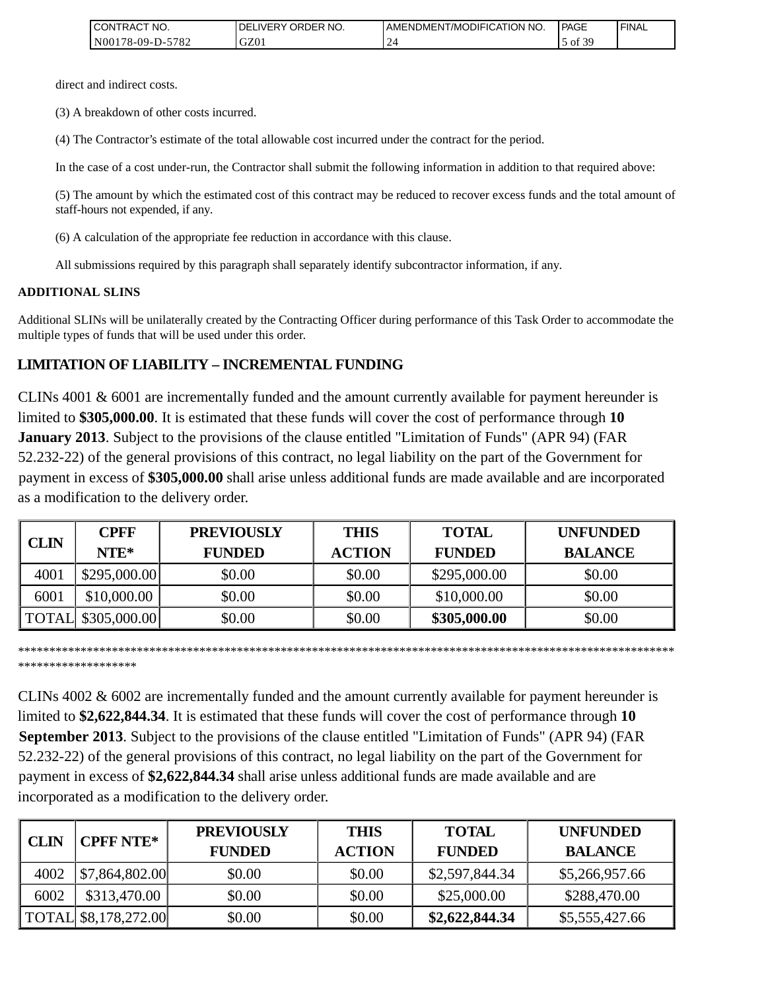| <b>ICONTRACT</b><br>" NO. | ORDER NO.<br>LIVERY (<br><b>IDEL</b> | AMENDMENT/MODIFICATION NO. | <b>PAGE</b>     | ' FINAL |
|---------------------------|--------------------------------------|----------------------------|-----------------|---------|
| N00178-09-D-5782          | GZ01                                 |                            | .f 20<br>5 of 3 |         |

direct and indirect costs.

(3) A breakdown of other costs incurred.

(4) The Contractor's estimate of the total allowable cost incurred under the contract for the period.

In the case of a cost under-run, the Contractor shall submit the following information in addition to that required above:

(5) The amount by which the estimated cost of this contract may be reduced to recover excess funds and the total amount of staff-hours not expended, if any.

(6) A calculation of the appropriate fee reduction in accordance with this clause.

All submissions required by this paragraph shall separately identify subcontractor information, if any.

#### **ADDITIONAL SLINS**

Additional SLINs will be unilaterally created by the Contracting Officer during performance of this Task Order to accommodate the multiple types of funds that will be used under this order.

## **LIMITATION OF LIABILITY – INCREMENTAL FUNDING**

CLINs 4001 & 6001 are incrementally funded and the amount currently available for payment hereunder is limited to **\$305,000.00**. It is estimated that these funds will cover the cost of performance through **10 January 2013**. Subject to the provisions of the clause entitled "Limitation of Funds" (APR 94) (FAR 52.232-22) of the general provisions of this contract, no legal liability on the part of the Government for payment in excess of **\$305,000.00** shall arise unless additional funds are made available and are incorporated as a modification to the delivery order.

| <b>CLIN</b> | <b>CPFF</b>         | <b>PREVIOUSLY</b> | <b>THIS</b>   | <b>TOTAL</b>  | <b>UNFUNDED</b> |
|-------------|---------------------|-------------------|---------------|---------------|-----------------|
|             | NTE*                | <b>FUNDED</b>     | <b>ACTION</b> | <b>FUNDED</b> | <b>BALANCE</b>  |
| 4001        | \$295,000.00        | \$0.00            | \$0.00        | \$295,000.00  | \$0.00          |
| 6001        | \$10,000.00         | \$0.00            | \$0.00        | \$10,000.00   | \$0.00          |
|             | TOTAL \\$305,000.00 | \$0.00            | \$0.00        | \$305,000.00  | \$0.00          |

\*\*\*\*\*\*\*\*\*\*\*\*\*\*\*\*\*\*\*\*\*\*\*\*\*\*\*\*\*\*\*\*\*\*\*\*\*\*\*\*\*\*\*\*\*\*\*\*\*\*\*\*\*\*\*\*\*\*\*\*\*\*\*\*\*\*\*\*\*\*\*\*\*\*\*\*\*\*\*\*\*\*\*\*\*\*\*\*\*\*\*\*\*\*\*\*\*\*\*\*\*\*\*\*\* \*\*\*\*\*\*\*\*\*\*\*\*\*\*\*\*\*\*\*

CLINs 4002 & 6002 are incrementally funded and the amount currently available for payment hereunder is limited to **\$2,622,844.34**. It is estimated that these funds will cover the cost of performance through **10 September 2013**. Subject to the provisions of the clause entitled "Limitation of Funds" (APR 94) (FAR 52.232-22) of the general provisions of this contract, no legal liability on the part of the Government for payment in excess of **\$2,622,844.34** shall arise unless additional funds are made available and are incorporated as a modification to the delivery order. CONSERVED TO THE METHOD CONTRACT CONTRACT CONTRACT CONTRACT CONTRACT CONTRACT CONTRACT CONTRACT CONTRACT CONTRACT CONTRACT CONTRACT CONTRACT CONTRACT CONTRACT CONTRACT CONTRACT CONTRACT CONTRACT CONTRACT CONTRACT CONTRACT

|      |                      | <b>PREVIOUSLY</b> | <b>THIS</b>   | <b>TOTAL</b>   | <b>UNFUNDED</b> |
|------|----------------------|-------------------|---------------|----------------|-----------------|
| CLIN | <b>CPFF NTE*</b>     | <b>FUNDED</b>     | <b>ACTION</b> | <b>FUNDED</b>  | <b>BALANCE</b>  |
| 4002 | \$7,864,802.00       | \$0.00            | \$0.00        | \$2,597,844.34 | \$5,266,957.66  |
| 6002 | \$313,470.00         | \$0.00            | \$0.00        | \$25,000.00    | \$288,470.00    |
|      | TOTAL \$8,178,272.00 | \$0.00            | \$0.00        | \$2,622,844.34 | \$5,555,427.66  |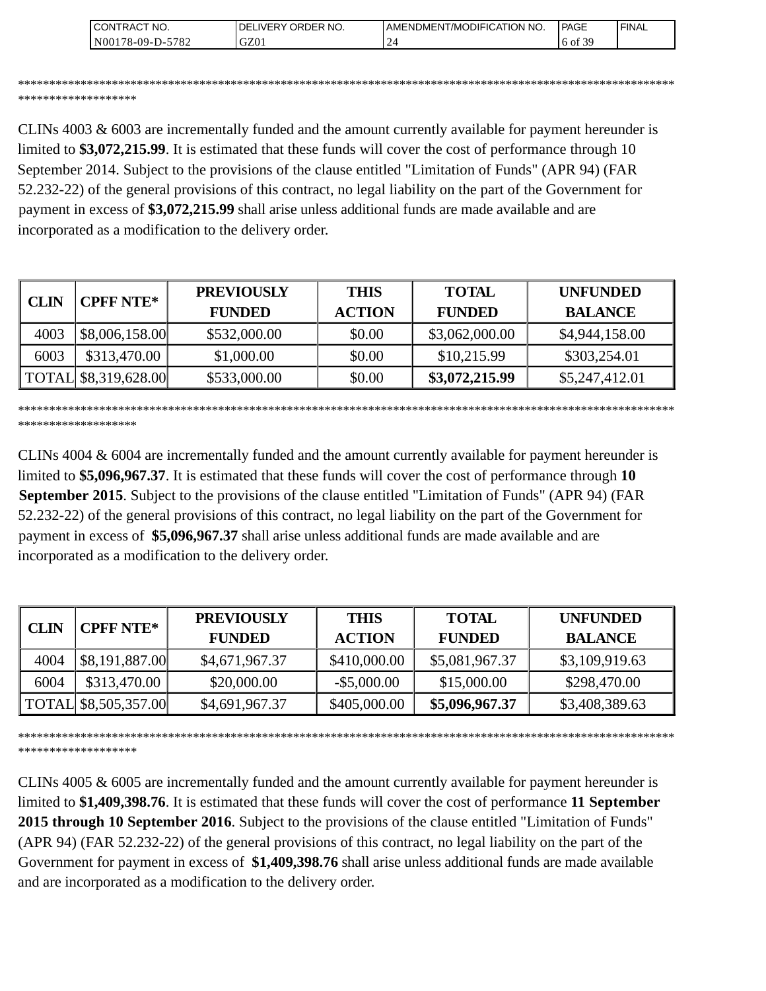| <b>CONTRACT NO.</b>                          | NO.<br>' ORDER<br>DELIVERY | AMENDMENT/MODIFICATION NO. | <b>PAGE</b>  | ' FINAL |
|----------------------------------------------|----------------------------|----------------------------|--------------|---------|
| 5782<br>N00 <sub>1</sub><br>$8-09-I$<br>– ∪− | GZ01                       |                            | coc<br>to of |         |

\*\*\*\*\*\*\*\*\*\*\*\*\*\*\*\*\*\*\*\*\*\*\*\*\*\*\*\*\*\*\*\*\*\*\*\*\*\*\*\*\*\*\*\*\*\*\*\*\*\*\*\*\*\*\*\*\*\*\*\*\*\*\*\*\*\*\*\*\*\*\*\*\*\*\*\*\*\*\*\*\*\*\*\*\*\*\*\*\*\*\*\*\*\*\*\*\*\*\*\*\*\*\*\*\* \*\*\*\*\*\*\*\*\*\*\*\*\*\*\*\*\*\*\*

CLINs 4003 & 6003 are incrementally funded and the amount currently available for payment hereunder is limited to **\$3,072,215.99**. It is estimated that these funds will cover the cost of performance through 10 September 2014. Subject to the provisions of the clause entitled "Limitation of Funds" (APR 94) (FAR 52.232-22) of the general provisions of this contract, no legal liability on the part of the Government for payment in excess of **\$3,072,215.99** shall arise unless additional funds are made available and are incorporated as a modification to the delivery order.

| <b>CPFF NTE*</b><br><b>CLIN</b> |                      | <b>PREVIOUSLY</b> | <b>THIS</b>   | <b>TOTAL</b>   | <b>UNFUNDED</b> |
|---------------------------------|----------------------|-------------------|---------------|----------------|-----------------|
|                                 |                      | <b>FUNDED</b>     | <b>ACTION</b> | <b>FUNDED</b>  | <b>BALANCE</b>  |
| 4003                            | \$8,006,158.00       | \$532,000.00      | \$0.00        | \$3,062,000.00 | \$4,944,158.00  |
| 6003                            | \$313,470.00         | \$1,000.00        | \$0.00        | \$10,215.99    | \$303,254.01    |
|                                 | TOTAL \$8,319,628.00 | \$533,000.00      | \$0.00        | \$3,072,215.99 | \$5,247,412.01  |

\*\*\*\*\*\*\*\*\*\*\*\*\*\*\*\*\*\*\*\*\*\*\*\*\*\*\*\*\*\*\*\*\*\*\*\*\*\*\*\*\*\*\*\*\*\*\*\*\*\*\*\*\*\*\*\*\*\*\*\*\*\*\*\*\*\*\*\*\*\*\*\*\*\*\*\*\*\*\*\*\*\*\*\*\*\*\*\*\*\*\*\*\*\*\*\*\*\*\*\*\*\*\*\*\* \*\*\*\*\*\*\*\*\*\*\*\*\*\*\*\*\*\*\*

CLINs 4004 & 6004 are incrementally funded and the amount currently available for payment hereunder is limited to **\$5,096,967.37**. It is estimated that these funds will cover the cost of performance through **10 September 2015**. Subject to the provisions of the clause entitled "Limitation of Funds" (APR 94) (FAR 52.232-22) of the general provisions of this contract, no legal liability on the part of the Government for payment in excess of **\$5,096,967.37** shall arise unless additional funds are made available and are incorporated as a modification to the delivery order.

| <b>CLIN</b> | <b>CPFF NTE*</b>     | <b>PREVIOUSLY</b><br><b>FUNDED</b> | <b>THIS</b><br><b>ACTION</b> | <b>TOTAL</b><br><b>FUNDED</b> | <b>UNFUNDED</b><br><b>BALANCE</b> |
|-------------|----------------------|------------------------------------|------------------------------|-------------------------------|-----------------------------------|
| 4004        | \$8,191,887.00       | \$4,671,967.37                     | \$410,000.00                 | \$5,081,967.37                | \$3,109,919.63                    |
| 6004        | \$313,470.00         | \$20,000.00                        | $-$ \$5,000.00               | \$15,000.00                   | \$298,470.00                      |
|             | TOTAL \$8,505,357.00 | \$4,691,967.37                     | \$405,000.00                 | \$5,096,967.37                | \$3,408,389.63                    |

\*\*\*\*\*\*\*\*\*\*\*\*\*\*\*\*\*\*\*\*\*\*\*\*\*\*\*\*\*\*\*\*\*\*\*\*\*\*\*\*\*\*\*\*\*\*\*\*\*\*\*\*\*\*\*\*\*\*\*\*\*\*\*\*\*\*\*\*\*\*\*\*\*\*\*\*\*\*\*\*\*\*\*\*\*\*\*\*\*\*\*\*\*\*\*\*\*\*\*\*\*\*\*\*\* \*\*\*\*\*\*\*\*\*\*\*\*\*\*\*\*\*\*\*

CLINs 4005 & 6005 are incrementally funded and the amount currently available for payment hereunder is limited to **\$1,409,398.76**. It is estimated that these funds will cover the cost of performance **11 September 2015 through 10 September 2016**. Subject to the provisions of the clause entitled "Limitation of Funds" (APR 94) (FAR 52.232-22) of the general provisions of this contract, no legal liability on the part of the Government for payment in excess of **\$1,409,398.76** shall arise unless additional funds are made available and are incorporated as a modification to the delivery order.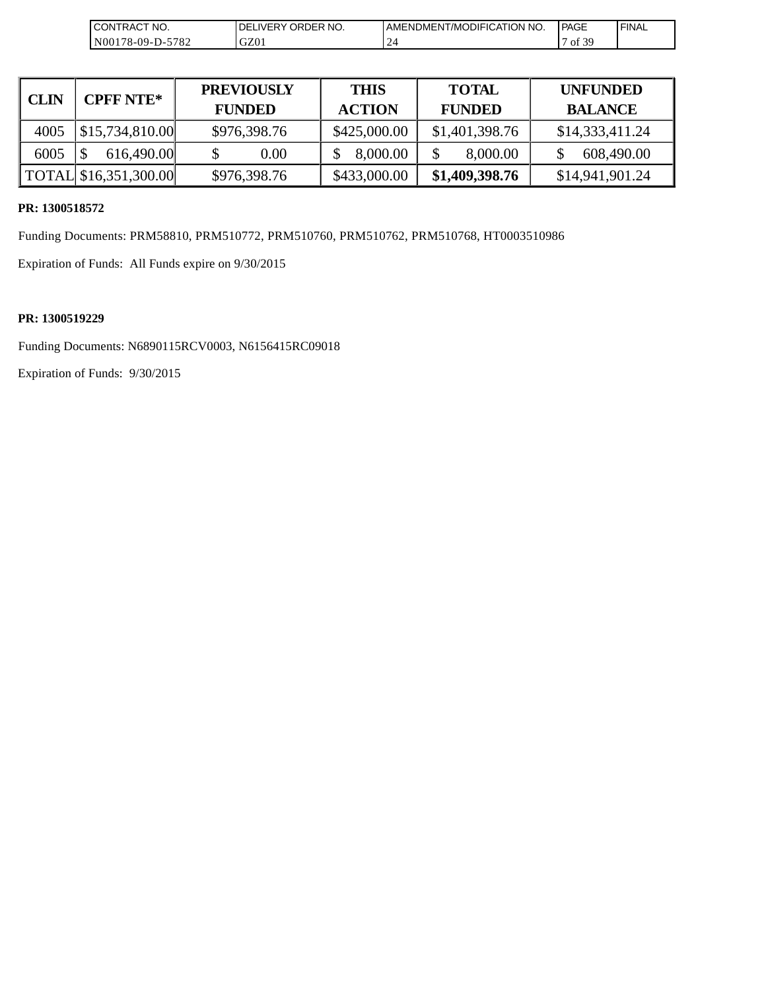| 'TRACT NO.<br>CON                        | ORDER NO.<br>DE<br><b>IVER</b> | I AMENDMENT/MODIFICATION NO.       | <b>I PAGE</b>       | <b>I FINAL</b> |
|------------------------------------------|--------------------------------|------------------------------------|---------------------|----------------|
| $-5782$<br>N <sub>001</sub><br>78-09-D-: | GZ01                           | $\sim$<br>$\overline{\phantom{0}}$ | $\Omega$<br>ΟĪ<br>ຼ |                |

| <b>CLIN</b> | <b>CPFF NTE*</b>      | <b>PREVIOUSLY</b><br><b>FUNDED</b> | <b>THIS</b><br><b>ACTION</b> | <b>TOTAL</b><br><b>FUNDED</b> | <b>UNFUNDED</b><br><b>BALANCE</b> |
|-------------|-----------------------|------------------------------------|------------------------------|-------------------------------|-----------------------------------|
| 4005        | \$15,734,810.00       | \$976,398.76                       | \$425,000.00                 | \$1,401,398.76                | \$14,333,411.24                   |
| 6005        | 616,490.00            | 0.00                               | 8,000.00                     | 8,000.00                      | 608,490.00                        |
|             | TOTAL \$16,351,300.00 | \$976,398.76                       | \$433,000.00                 | \$1,409,398.76                | \$14,941,901.24                   |

### **PR: 1300518572**

Funding Documents: PRM58810, PRM510772, PRM510760, PRM510762, PRM510768, HT0003510986

Expiration of Funds: All Funds expire on 9/30/2015

#### **PR: 1300519229**

Funding Documents: N6890115RCV0003, N6156415RC09018

Expiration of Funds: 9/30/2015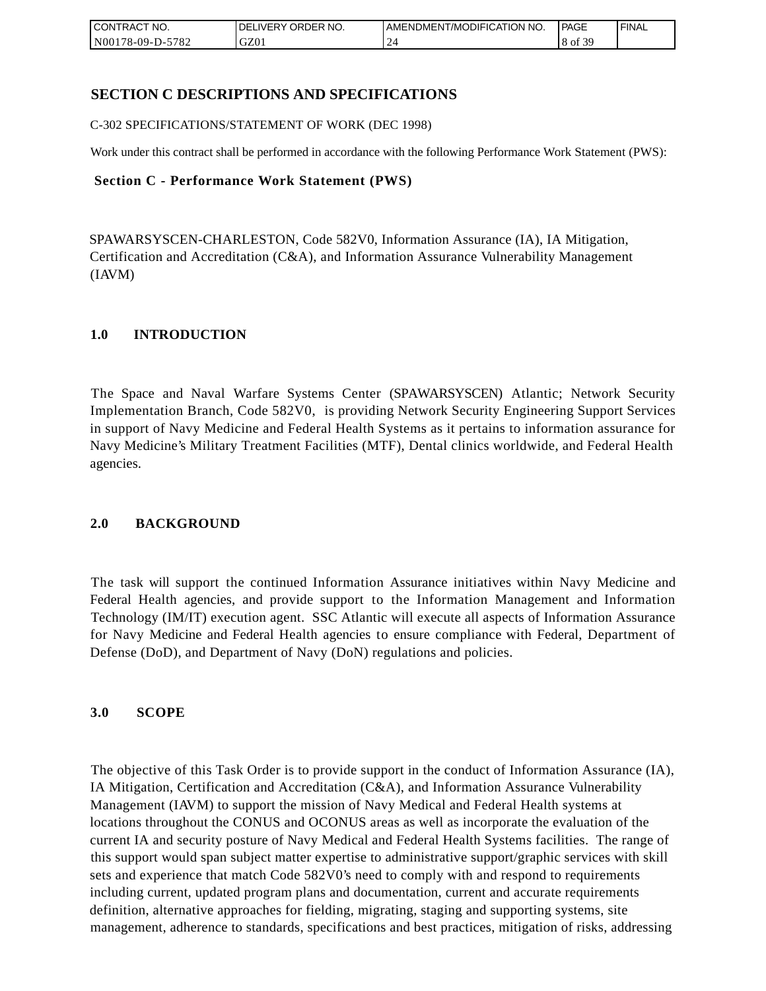| CONTRACT<br>CT NO.   | NO.<br>' ORDER<br><b>DELIVERY</b> | AMENDMENT/MODIFICATION NO. | <b>PAGE</b>    | 'FINAL |
|----------------------|-----------------------------------|----------------------------|----------------|--------|
| 5782<br>N00178-09-D- | GZ01                              |                            | f 20<br>8 of 3 |        |

### **SECTION C DESCRIPTIONS AND SPECIFICATIONS**

C-302 SPECIFICATIONS/STATEMENT OF WORK (DEC 1998)

Work under this contract shall be performed in accordance with the following Performance Work Statement (PWS):

#### **Section C - Performance Work Statement (PWS)**

SPAWARSYSCEN-CHARLESTON, Code 582V0, Information Assurance (IA), IA Mitigation, Certification and Accreditation (C&A), and Information Assurance Vulnerability Management (IAVM)

#### **1.0 INTRODUCTION**

The Space and Naval Warfare Systems Center (SPAWARSYSCEN) Atlantic; Network Security Implementation Branch, Code 582V0, is providing Network Security Engineering Support Services in support of Navy Medicine and Federal Health Systems as it pertains to information assurance for Navy Medicine's Military Treatment Facilities (MTF), Dental clinics worldwide, and Federal Health agencies.

### **2.0 BACKGROUND**

The task will support the continued Information Assurance initiatives within Navy Medicine and Federal Health agencies, and provide support to the Information Management and Information Technology (IM/IT) execution agent. SSC Atlantic will execute all aspects of Information Assurance for Navy Medicine and Federal Health agencies to ensure compliance with Federal, Department of Defense (DoD), and Department of Navy (DoN) regulations and policies.

#### **3.0 SCOPE**

The objective of this Task Order is to provide support in the conduct of Information Assurance (IA), IA Mitigation, Certification and Accreditation (C&A), and Information Assurance Vulnerability Management (IAVM) to support the mission of Navy Medical and Federal Health systems at locations throughout the CONUS and OCONUS areas as well as incorporate the evaluation of the current IA and security posture of Navy Medical and Federal Health Systems facilities. The range of this support would span subject matter expertise to administrative support/graphic services with skill sets and experience that match Code 582V0's need to comply with and respond to requirements including current, updated program plans and documentation, current and accurate requirements definition, alternative approaches for fielding, migrating, staging and supporting systems, site management, adherence to standards, specifications and best practices, mitigation of risks, addressing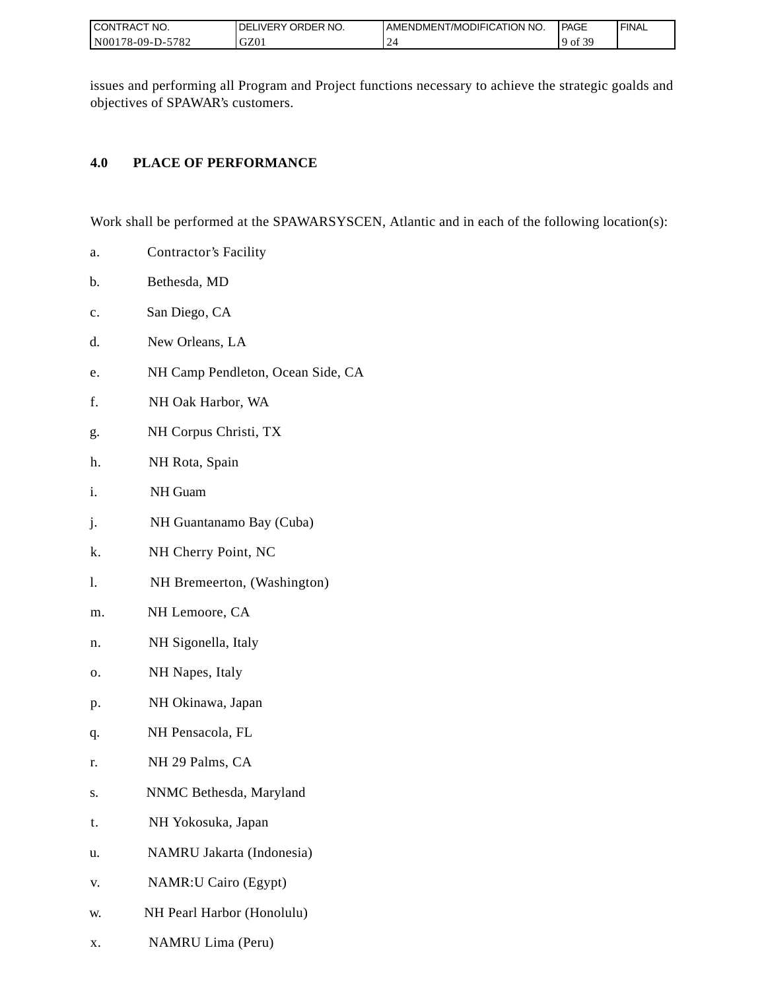| I CONTRACT NO.        | ORDER NO.<br><b>IVERY</b><br>DEI | I AMENDMENT/MODIFICATION NO. | PAGE         | <b>FINAL</b> |
|-----------------------|----------------------------------|------------------------------|--------------|--------------|
| N001<br>178-09-D-5782 | GZ01                             | -                            | f 39<br>° of |              |

issues and performing all Program and Project functions necessary to achieve the strategic goalds and objectives of SPAWAR's customers.

### **4.0 PLACE OF PERFORMANCE**

Work shall be performed at the SPAWARSYSCEN, Atlantic and in each of the following location(s):

- a. Contractor's Facility
- b. Bethesda, MD
- c. San Diego, CA
- d. New Orleans, LA
- e. NH Camp Pendleton, Ocean Side, CA
- f. NH Oak Harbor, WA
- g. NH Corpus Christi, TX
- h. NH Rota, Spain
- i. NH Guam
- j. NH Guantanamo Bay (Cuba)
- k. NH Cherry Point, NC
- l. NH Bremeerton, (Washington)
- m. NH Lemoore, CA
- n. NH Sigonella, Italy
- o. NH Napes, Italy
- p. NH Okinawa, Japan
- q. NH Pensacola, FL
- r. NH 29 Palms, CA
- s. NNMC Bethesda, Maryland
- t. NH Yokosuka, Japan
- u. NAMRU Jakarta (Indonesia)
- v. NAMR:U Cairo (Egypt)
- w. NH Pearl Harbor (Honolulu)
- x. NAMRU Lima (Peru)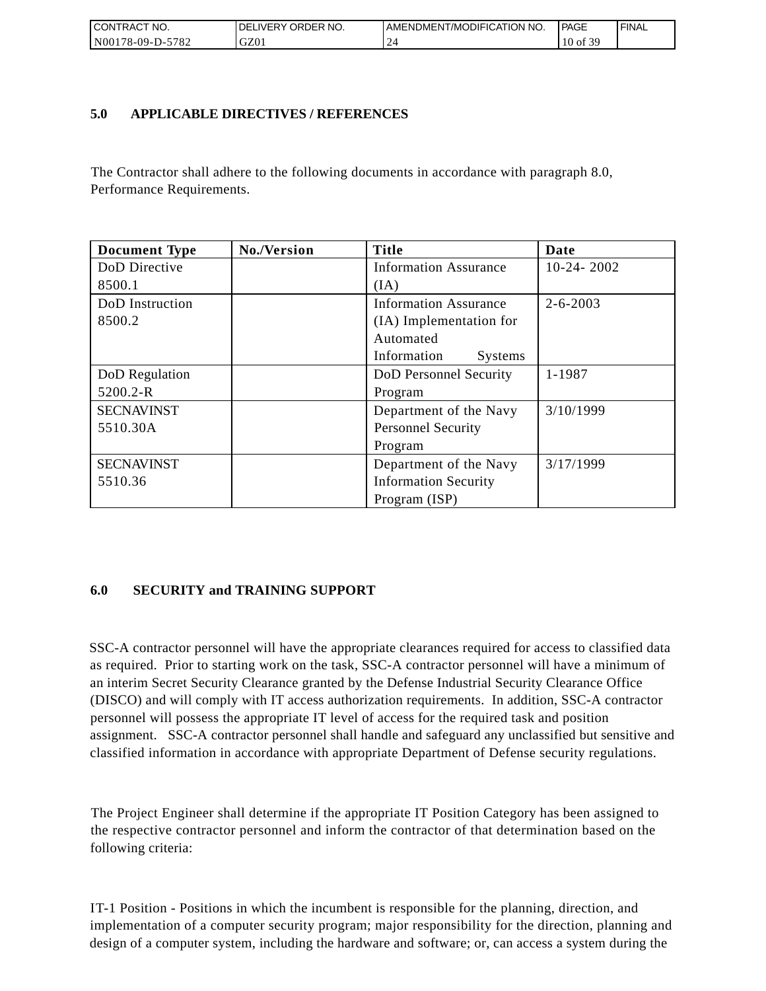| I CONTRACT NO.   | <b>IDELIVERY ORDER NO.</b> | AMENDMENT/MODIFICATION NO. | PAGE           | ' FINAL |
|------------------|----------------------------|----------------------------|----------------|---------|
| N00178-09-D-5782 | GZ01                       |                            | 10<br>. ر of o |         |

### **5.0 APPLICABLE DIRECTIVES / REFERENCES**

The Contractor shall adhere to the following documents in accordance with paragraph 8.0, Performance Requirements.

| <b>Document Type</b> | No./Version | <b>Title</b>                  | Date           |
|----------------------|-------------|-------------------------------|----------------|
| DoD Directive        |             | <b>Information Assurance</b>  | $10-24-2002$   |
| 8500.1               |             | (IA)                          |                |
| DoD Instruction      |             | <b>Information Assurance</b>  | $2 - 6 - 2003$ |
| 8500.2               |             | (IA) Implementation for       |                |
|                      |             | Automated                     |                |
|                      |             | Information<br><b>Systems</b> |                |
| DoD Regulation       |             | DoD Personnel Security        | 1-1987         |
| 5200.2-R             |             | Program                       |                |
| <b>SECNAVINST</b>    |             | Department of the Navy        | 3/10/1999      |
| 5510.30A             |             | <b>Personnel Security</b>     |                |
|                      |             | Program                       |                |
| <b>SECNAVINST</b>    |             | Department of the Navy        | 3/17/1999      |
| 5510.36              |             | <b>Information Security</b>   |                |
|                      |             | Program (ISP)                 |                |

### **6.0 SECURITY and TRAINING SUPPORT**

SSC-A contractor personnel will have the appropriate clearances required for access to classified data as required. Prior to starting work on the task, SSC-A contractor personnel will have a minimum of an interim Secret Security Clearance granted by the Defense Industrial Security Clearance Office (DISCO) and will comply with IT access authorization requirements. In addition, SSC-A contractor personnel will possess the appropriate IT level of access for the required task and position assignment. SSC-A contractor personnel shall handle and safeguard any unclassified but sensitive and classified information in accordance with appropriate Department of Defense security regulations.

The Project Engineer shall determine if the appropriate IT Position Category has been assigned to the respective contractor personnel and inform the contractor of that determination based on the following criteria:

IT-1 Position - Positions in which the incumbent is responsible for the planning, direction, and implementation of a computer security program; major responsibility for the direction, planning and design of a computer system, including the hardware and software; or, can access a system during the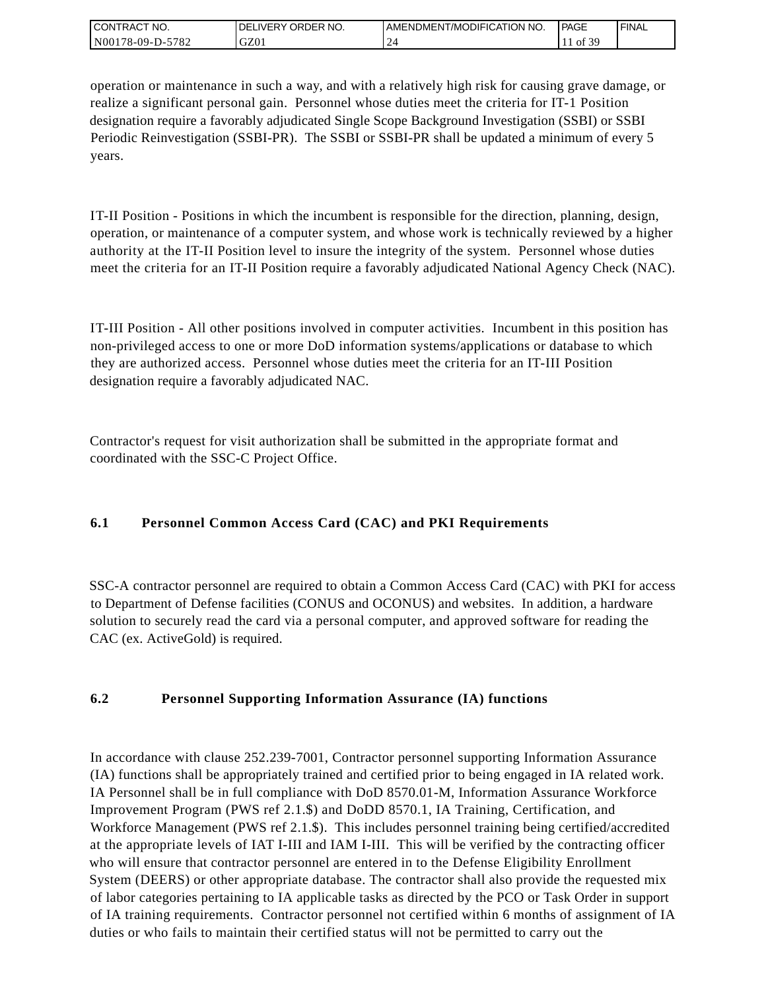| I CONTRACT NO.                   | DELIVERY ORDER NO. | AMENDMENT/MODIFICATION NO. | l PAGE | ' FINAL |
|----------------------------------|--------------------|----------------------------|--------|---------|
| 78-09-D-5782<br>N <sub>001</sub> | GZ01               |                            | c foʻ  |         |

operation or maintenance in such a way, and with a relatively high risk for causing grave damage, or realize a significant personal gain. Personnel whose duties meet the criteria for IT-1 Position designation require a favorably adjudicated Single Scope Background Investigation (SSBI) or SSBI Periodic Reinvestigation (SSBI-PR). The SSBI or SSBI-PR shall be updated a minimum of every 5 years.

IT-II Position - Positions in which the incumbent is responsible for the direction, planning, design, operation, or maintenance of a computer system, and whose work is technically reviewed by a higher authority at the IT-II Position level to insure the integrity of the system. Personnel whose duties meet the criteria for an IT-II Position require a favorably adjudicated National Agency Check (NAC).

IT-III Position - All other positions involved in computer activities. Incumbent in this position has non-privileged access to one or more DoD information systems/applications or database to which they are authorized access. Personnel whose duties meet the criteria for an IT-III Position designation require a favorably adjudicated NAC.

Contractor's request for visit authorization shall be submitted in the appropriate format and coordinated with the SSC-C Project Office.

## **6.1 Personnel Common Access Card (CAC) and PKI Requirements**

SSC-A contractor personnel are required to obtain a Common Access Card (CAC) with PKI for access to Department of Defense facilities (CONUS and OCONUS) and websites. In addition, a hardware solution to securely read the card via a personal computer, and approved software for reading the CAC (ex. ActiveGold) is required.

## **6.2 Personnel Supporting Information Assurance (IA) functions**

In accordance with clause 252.239-7001, Contractor personnel supporting Information Assurance (IA) functions shall be appropriately trained and certified prior to being engaged in IA related work. IA Personnel shall be in full compliance with DoD 8570.01-M, Information Assurance Workforce Improvement Program (PWS ref 2.1.\$) and DoDD 8570.1, IA Training, Certification, and Workforce Management (PWS ref 2.1.\$). This includes personnel training being certified/accredited at the appropriate levels of IAT I-III and IAM I-III. This will be verified by the contracting officer who will ensure that contractor personnel are entered in to the Defense Eligibility Enrollment System (DEERS) or other appropriate database. The contractor shall also provide the requested mix of labor categories pertaining to IA applicable tasks as directed by the PCO or Task Order in support of IA training requirements. Contractor personnel not certified within 6 months of assignment of IA duties or who fails to maintain their certified status will not be permitted to carry out the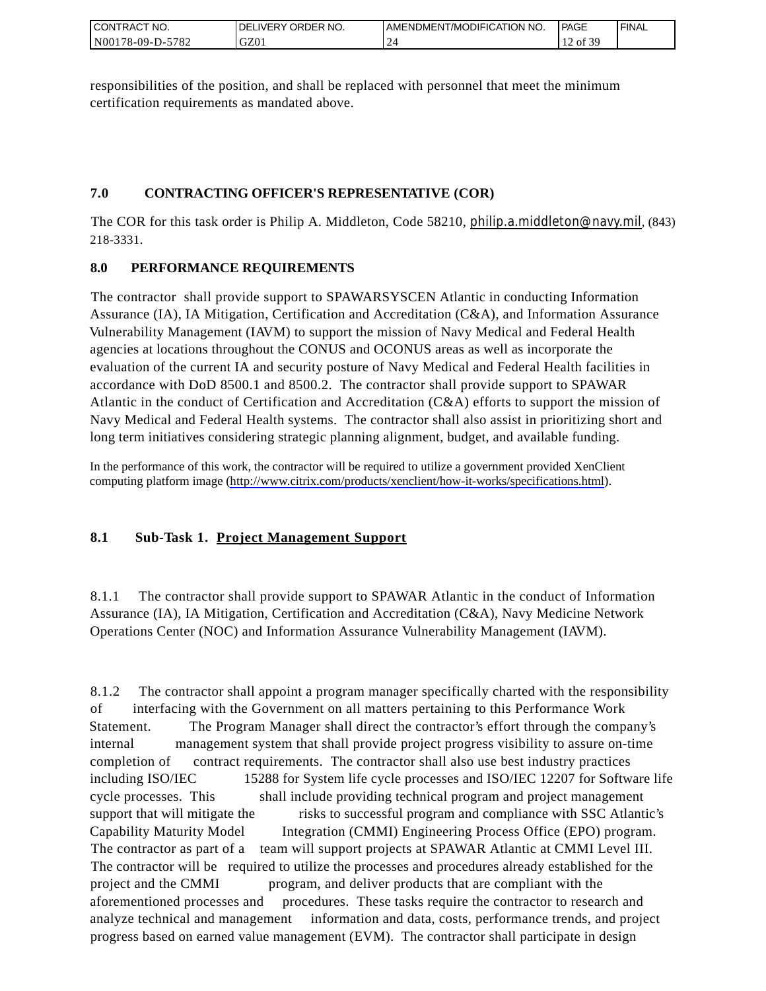| CONTRACT<br>°CT NO.      | NO.<br>' ORDER<br><b>DELIVERY</b> | AMENDMENT/MODIFICATION NO. | <b>PAGE</b>                    | ' FINAL |
|--------------------------|-----------------------------------|----------------------------|--------------------------------|---------|
| N00178-09-D-5<br>$-5782$ | GZ01                              |                            | F 20<br>of 3<br>$\overline{ }$ |         |

responsibilities of the position, and shall be replaced with personnel that meet the minimum certification requirements as mandated above.

## **7.0 CONTRACTING OFFICER'S REPRESENTATIVE (COR)**

The COR for this task order is Philip A. Middleton, Code 58210, [philip.a.middleton@navy.mil](mailto:cphilip.a.middleton@navy.mil), (843) 218-3331.

## **8.0 PERFORMANCE REQUIREMENTS**

The contractor shall provide support to SPAWARSYSCEN Atlantic in conducting Information Assurance (IA), IA Mitigation, Certification and Accreditation (C&A), and Information Assurance Vulnerability Management (IAVM) to support the mission of Navy Medical and Federal Health agencies at locations throughout the CONUS and OCONUS areas as well as incorporate the evaluation of the current IA and security posture of Navy Medical and Federal Health facilities in accordance with DoD 8500.1 and 8500.2. The contractor shall provide support to SPAWAR Atlantic in the conduct of Certification and Accreditation (C&A) efforts to support the mission of Navy Medical and Federal Health systems. The contractor shall also assist in prioritizing short and long term initiatives considering strategic planning alignment, budget, and available funding.

In the performance of this work, the contractor will be required to utilize a government provided XenClient computing platform image [\(http://www.citrix.com/products/xenclient/how-it-works/specifications.html\)](http://www.citrix.com/products/xenclient/how-it-works/specifications.html).

## **8.1 Sub-Task 1. Project Management Support**

8.1.1 The contractor shall provide support to SPAWAR Atlantic in the conduct of Information Assurance (IA), IA Mitigation, Certification and Accreditation (C&A), Navy Medicine Network Operations Center (NOC) and Information Assurance Vulnerability Management (IAVM).

8.1.2 The contractor shall appoint a program manager specifically charted with the responsibility of interfacing with the Government on all matters pertaining to this Performance Work Statement. The Program Manager shall direct the contractor's effort through the company's internal management system that shall provide project progress visibility to assure on-time completion of contract requirements. The contractor shall also use best industry practices including ISO/IEC 15288 for System life cycle processes and ISO/IEC 12207 for Software life cycle processes. This shall include providing technical program and project management support that will mitigate the risks to successful program and compliance with SSC Atlantic's Capability Maturity Model Integration (CMMI) Engineering Process Office (EPO) program. The contractor as part of a team will support projects at SPAWAR Atlantic at CMMI Level III. The contractor will be required to utilize the processes and procedures already established for the project and the CMMI program, and deliver products that are compliant with the aforementioned processes and procedures. These tasks require the contractor to research and analyze technical and management information and data, costs, performance trends, and project progress based on earned value management (EVM). The contractor shall participate in design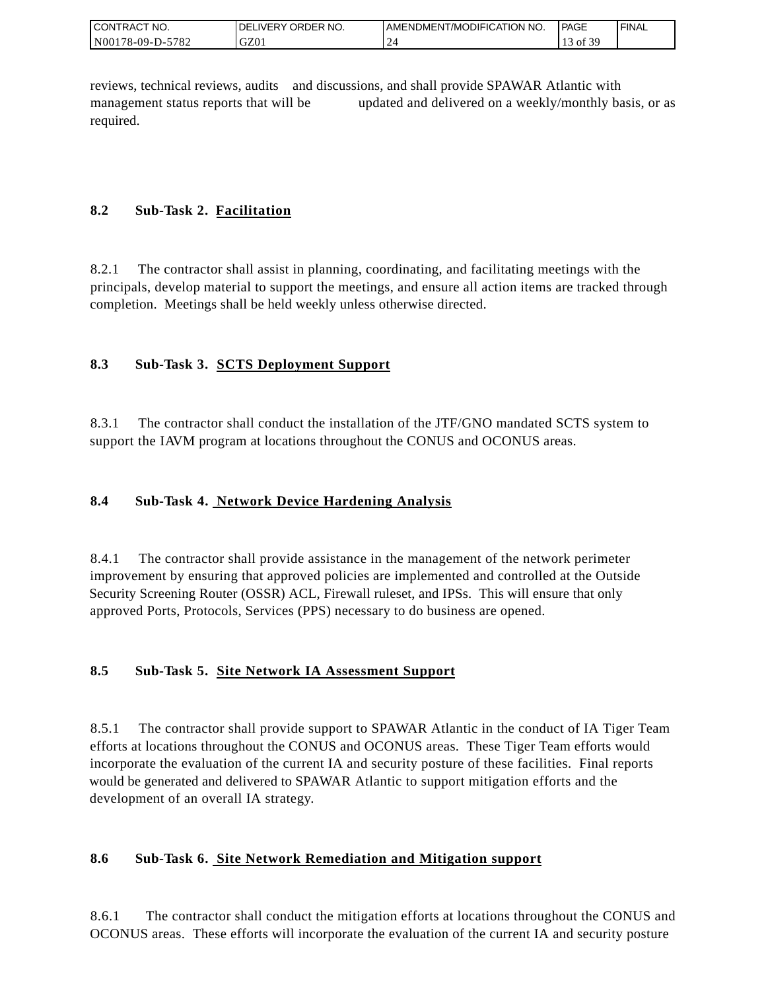| <b>CON</b><br>`CT NO.<br>TRAC | ORDER NO.<br><b>IVERY</b><br>DEI | AMENDMENT/MODIFICATION NO. | <sup>1</sup> PAGE                            | ' FINAL |
|-------------------------------|----------------------------------|----------------------------|----------------------------------------------|---------|
| N001<br>5782<br>$178-09-D$ -  | GZ01                             |                            | $\sim$ $\sim$ $\sim$<br>$\cdot$ of $\circ$ . |         |

reviews, technical reviews, audits and discussions, and shall provide SPAWAR Atlantic with management status reports that will be updated and delivered on a weekly/monthly basis, or as required.

## **8.2 Sub-Task 2. Facilitation**

8.2.1 The contractor shall assist in planning, coordinating, and facilitating meetings with the principals, develop material to support the meetings, and ensure all action items are tracked through completion. Meetings shall be held weekly unless otherwise directed.

## **8.3 Sub-Task 3. SCTS Deployment Support**

8.3.1 The contractor shall conduct the installation of the JTF/GNO mandated SCTS system to support the IAVM program at locations throughout the CONUS and OCONUS areas.

## **8.4 Sub-Task 4. Network Device Hardening Analysis**

8.4.1 The contractor shall provide assistance in the management of the network perimeter improvement by ensuring that approved policies are implemented and controlled at the Outside Security Screening Router (OSSR) ACL, Firewall ruleset, and IPSs. This will ensure that only approved Ports, Protocols, Services (PPS) necessary to do business are opened.

### **8.5 Sub-Task 5. Site Network IA Assessment Support**

8.5.1 The contractor shall provide support to SPAWAR Atlantic in the conduct of IA Tiger Team efforts at locations throughout the CONUS and OCONUS areas. These Tiger Team efforts would incorporate the evaluation of the current IA and security posture of these facilities. Final reports would be generated and delivered to SPAWAR Atlantic to support mitigation efforts and the development of an overall IA strategy.

### **8.6 Sub-Task 6. Site Network Remediation and Mitigation support**

8.6.1 The contractor shall conduct the mitigation efforts at locations throughout the CONUS and OCONUS areas. These efforts will incorporate the evaluation of the current IA and security posture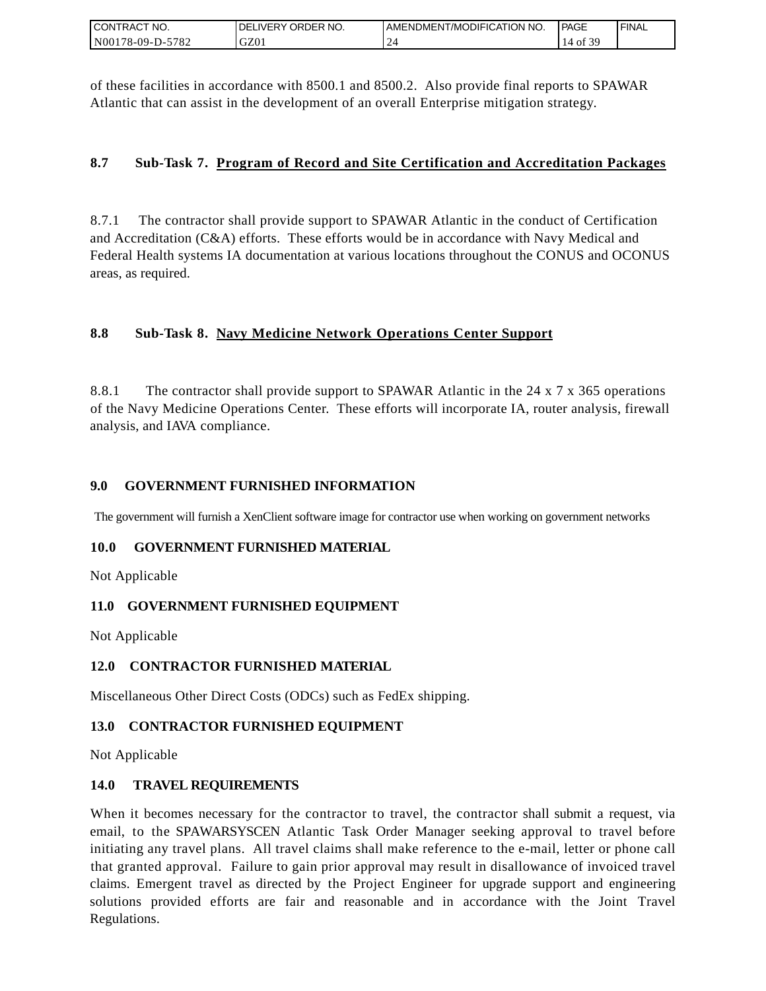| I CONTRACT NO.   | <b>DELIVERY ORDER NO.</b> | I AMENDMENT/MODIFICATION NO. | PAGE    | 'FINAL |
|------------------|---------------------------|------------------------------|---------|--------|
| N00178-09-D-5782 | GZ01                      |                              | $401$ . |        |

of these facilities in accordance with 8500.1 and 8500.2. Also provide final reports to SPAWAR Atlantic that can assist in the development of an overall Enterprise mitigation strategy.

### **8.7 Sub-Task 7. Program of Record and Site Certification and Accreditation Packages**

8.7.1 The contractor shall provide support to SPAWAR Atlantic in the conduct of Certification and Accreditation (C&A) efforts. These efforts would be in accordance with Navy Medical and Federal Health systems IA documentation at various locations throughout the CONUS and OCONUS areas, as required.

### **8.8 Sub-Task 8. Navy Medicine Network Operations Center Support**

8.8.1 The contractor shall provide support to SPAWAR Atlantic in the 24 x 7 x 365 operations of the Navy Medicine Operations Center. These efforts will incorporate IA, router analysis, firewall analysis, and IAVA compliance.

#### **9.0 GOVERNMENT FURNISHED INFORMATION**

The government will furnish a XenClient software image for contractor use when working on government networks

#### **10.0 GOVERNMENT FURNISHED MATERIAL**

Not Applicable

#### **11.0 GOVERNMENT FURNISHED EQUIPMENT**

Not Applicable

#### **12.0 CONTRACTOR FURNISHED MATERIAL**

Miscellaneous Other Direct Costs (ODCs) such as FedEx shipping.

#### **13.0 CONTRACTOR FURNISHED EQUIPMENT**

Not Applicable

#### **14.0 TRAVEL REQUIREMENTS**

CONTRACT NO.<br>
NO0178-09-D-5<br>
CONTRACT NO.<br>
NO0178-09-D-5<br>
Of these facili<br>
Atlantic that of<br>
8.7 Sub-1<br>
8.7 Sub-1<br>
8.7 Sub-1<br>
8.8 Sub-1<br>
8.8 Sub-1<br>
8.8 Sub-1<br>
8.8.1 The of the Navy M<br>
8.8.1 The of the Navy M<br>
analysis, and When it becomes necessary for the contractor to travel, the contractor shall submit a request, via email, to the SPAWARSYSCEN Atlantic Task Order Manager seeking approval to travel before initiating any travel plans. All travel claims shall make reference to the e-mail, letter or phone call that granted approval. Failure to gain prior approval may result in disallowance of invoiced travel claims. Emergent travel as directed by the Project Engineer for upgrade support and engineering solutions provided efforts are fair and reasonable and in accordance with the Joint Travel Regulations.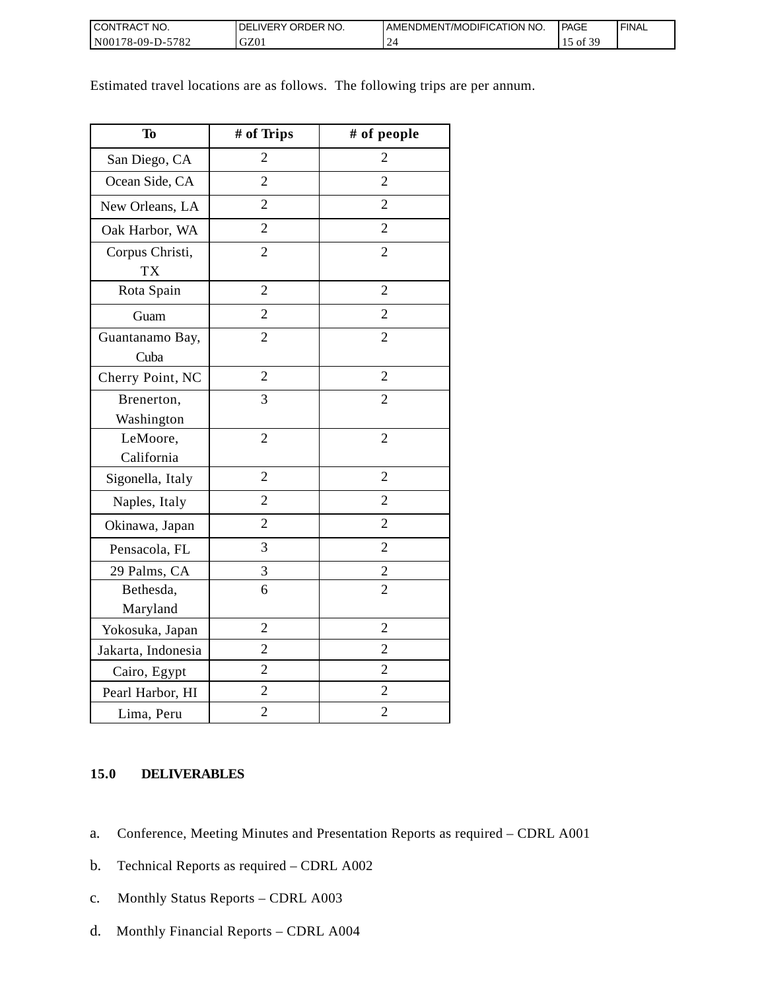| <b>I CONTRACT NO.</b>  | DELIVERY ORDER NO. | AMENDMENT/MODIFICATION NO. | <b>PAGE</b>              | ' FINAL |
|------------------------|--------------------|----------------------------|--------------------------|---------|
| N00178-09-D-57<br>5782 | GZ01               |                            | f 30<br>$_{\text{ot}}$ 5 |         |

Estimated travel locations are as follows. The following trips are per annum.

| <b>To</b>                    | # of Trips     | # of people    |
|------------------------------|----------------|----------------|
| San Diego, CA                | $\overline{2}$ | 2              |
| Ocean Side, CA               | $\overline{2}$ | $\overline{2}$ |
| New Orleans, LA              | $\overline{2}$ | $\overline{2}$ |
| Oak Harbor, WA               | $\overline{2}$ | $\overline{2}$ |
| Corpus Christi,<br><b>TX</b> | $\overline{2}$ | $\overline{2}$ |
| Rota Spain                   | $\overline{2}$ | $\overline{2}$ |
| Guam                         | $\overline{2}$ | $\overline{2}$ |
| Guantanamo Bay,<br>Cuba      | $\overline{2}$ | $\overline{2}$ |
| Cherry Point, NC             | $\overline{2}$ | $\overline{2}$ |
| Brenerton,<br>Washington     | 3              | $\overline{2}$ |
| LeMoore,<br>California       | $\overline{2}$ | $\overline{2}$ |
| Sigonella, Italy             | $\overline{2}$ | $\overline{2}$ |
| Naples, Italy                | $\overline{2}$ | $\overline{2}$ |
| Okinawa, Japan               | $\overline{2}$ | $\overline{2}$ |
| Pensacola, FL                | 3              | $\overline{2}$ |
| 29 Palms, CA                 | 3              | $\overline{c}$ |
| Bethesda,<br>Maryland        | 6              | $\overline{2}$ |
| Yokosuka, Japan              | $\overline{2}$ | $\overline{2}$ |
| Jakarta, Indonesia           | $\overline{2}$ | $\overline{2}$ |
| Cairo, Egypt                 | $\overline{2}$ | $\overline{2}$ |
| Pearl Harbor, HI             | $\overline{2}$ | $\overline{2}$ |
| Lima, Peru                   | $\overline{2}$ | $\overline{2}$ |

### **15.0 DELIVERABLES**

- a. Conference, Meeting Minutes and Presentation Reports as required CDRL A001
- b. Technical Reports as required CDRL A002
- c. Monthly Status Reports CDRL A003
- d. Monthly Financial Reports CDRL A004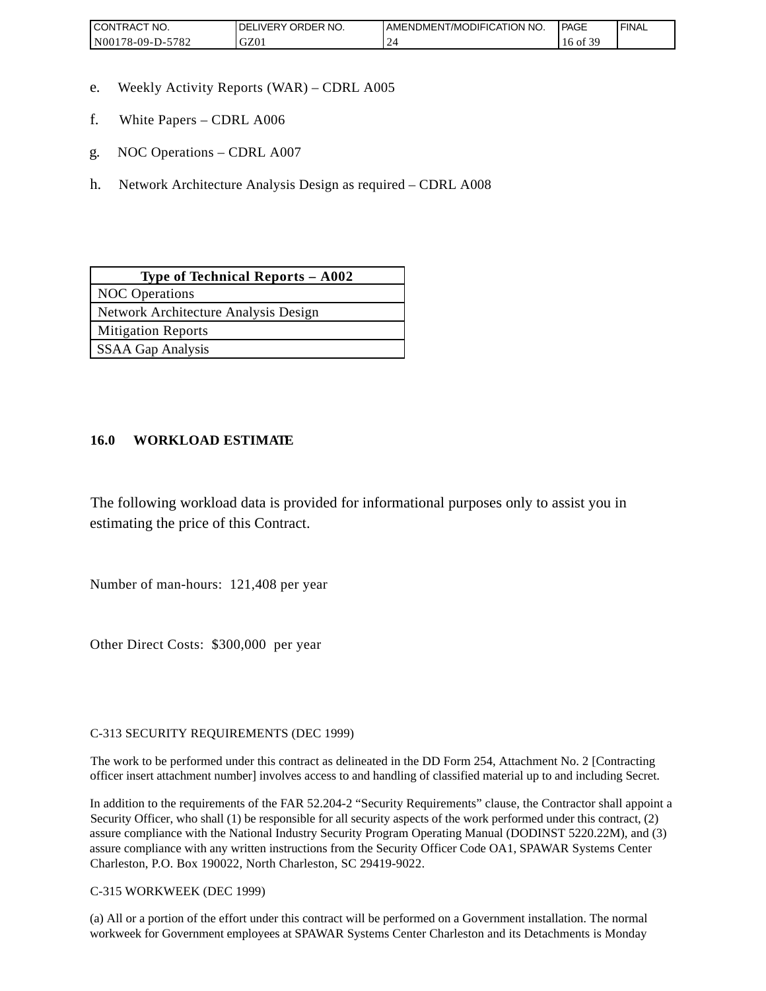| <b>CONTRAC</b><br>'NO.          | NO.<br><b>ORDER</b><br><b>DELIVERY</b> | AMENDMENT/MODIFICATION NO. | <b>PAGE</b>      | 'FINAL |
|---------------------------------|----------------------------------------|----------------------------|------------------|--------|
| 5700<br>N00<br>78-09-D-1<br>104 | $\sim$<br>UZU.                         |                            | $\sim$ 0.6<br>ΟĪ |        |

- e. Weekly Activity Reports (WAR) CDRL A005
- f. White Papers CDRL A006
- g. NOC Operations CDRL A007
- h. Network Architecture Analysis Design as required CDRL A008

| Type of Technical Reports $-$ A002   |
|--------------------------------------|
| <b>NOC</b> Operations                |
| Network Architecture Analysis Design |
| <b>Mitigation Reports</b>            |
| SSAA Gap Analysis                    |

### **16.0 WORKLOAD ESTIMATE**

The following workload data is provided for informational purposes only to assist you in estimating the price of this Contract.

Number of man-hours: 121,408 per year

Other Direct Costs: \$300,000 per year

C-313 SECURITY REQUIREMENTS (DEC 1999)

The work to be performed under this contract as delineated in the DD Form 254, Attachment No. 2 [Contracting officer insert attachment number] involves access to and handling of classified material up to and including Secret.

In addition to the requirements of the FAR 52.204-2 "Security Requirements" clause, the Contractor shall appoint a Security Officer, who shall (1) be responsible for all security aspects of the work performed under this contract, (2) assure compliance with the National Industry Security Program Operating Manual (DODINST 5220.22M), and (3) assure compliance with any written instructions from the Security Officer Code OA1, SPAWAR Systems Center Charleston, P.O. Box 190022, North Charleston, SC 29419-9022.

C-315 WORKWEEK (DEC 1999)

(a) All or a portion of the effort under this contract will be performed on a Government installation. The normal workweek for Government employees at SPAWAR Systems Center Charleston and its Detachments is Monday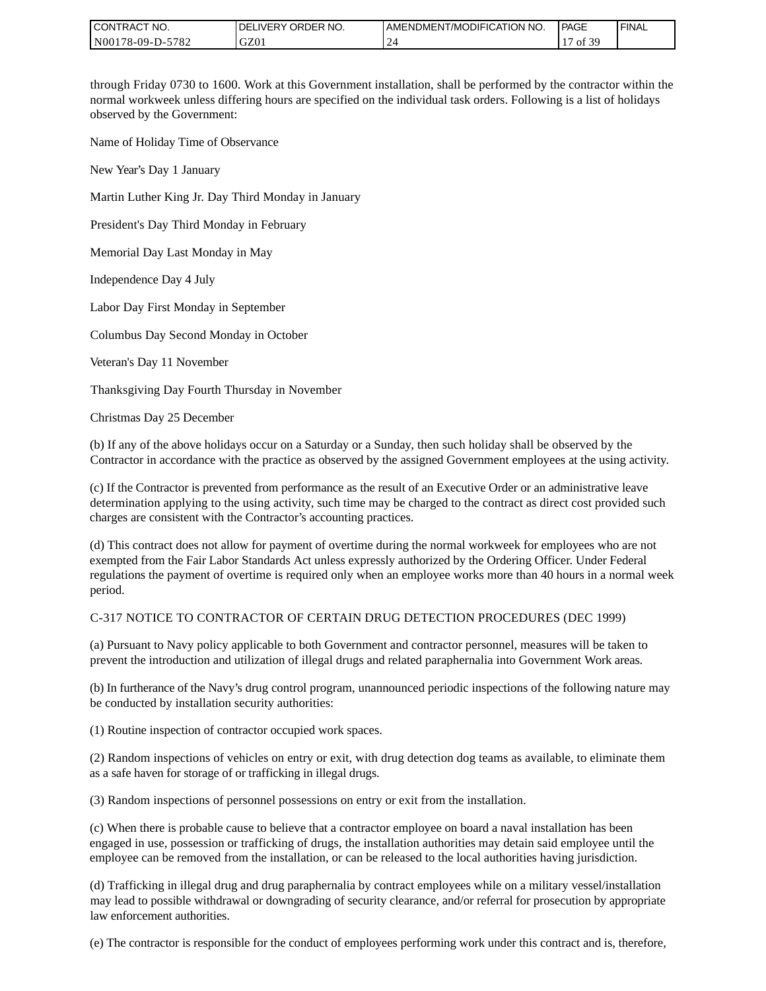| I CONTRACT NO.   | ' ORDER NO.<br><b>DELIVERY</b> | I AMENDMENT/MODIFICATION NO. | PAGE                                | ' FINAL |
|------------------|--------------------------------|------------------------------|-------------------------------------|---------|
| N00178-09-D-5782 | GZ0.                           |                              | $c \Delta c$<br>$\prime$ of $\circ$ |         |

through Friday 0730 to 1600. Work at this Government installation, shall be performed by the contractor within the normal workweek unless differing hours are specified on the individual task orders. Following is a list of holidays observed by the Government:

Name of Holiday Time of Observance

New Year's Day 1 January

Martin Luther King Jr. Day Third Monday in January

President's Day Third Monday in February

Memorial Day Last Monday in May

Independence Day 4 July

Labor Day First Monday in September

Columbus Day Second Monday in October

Veteran's Day 11 November

Thanksgiving Day Fourth Thursday in November

Christmas Day 25 December

(b) If any of the above holidays occur on a Saturday or a Sunday, then such holiday shall be observed by the Contractor in accordance with the practice as observed by the assigned Government employees at the using activity.

(c) If the Contractor is prevented from performance as the result of an Executive Order or an administrative leave determination applying to the using activity, such time may be charged to the contract as direct cost provided such charges are consistent with the Contractor's accounting practices.

(d) This contract does not allow for payment of overtime during the normal workweek for employees who are not exempted from the Fair Labor Standards Act unless expressly authorized by the Ordering Officer. Under Federal regulations the payment of overtime is required only when an employee works more than 40 hours in a normal week period.

#### C-317 NOTICE TO CONTRACTOR OF CERTAIN DRUG DETECTION PROCEDURES (DEC 1999)

(a) Pursuant to Navy policy applicable to both Government and contractor personnel, measures will be taken to prevent the introduction and utilization of illegal drugs and related paraphernalia into Government Work areas.

(b) In furtherance of the Navy's drug control program, unannounced periodic inspections of the following nature may be conducted by installation security authorities:

(1) Routine inspection of contractor occupied work spaces.

(2) Random inspections of vehicles on entry or exit, with drug detection dog teams as available, to eliminate them as a safe haven for storage of or trafficking in illegal drugs.

(3) Random inspections of personnel possessions on entry or exit from the installation.

(c) When there is probable cause to believe that a contractor employee on board a naval installation has been engaged in use, possession or trafficking of drugs, the installation authorities may detain said employee until the employee can be removed from the installation, or can be released to the local authorities having jurisdiction.

(d) Trafficking in illegal drug and drug paraphernalia by contract employees while on a military vessel/installation may lead to possible withdrawal or downgrading of security clearance, and/or referral for prosecution by appropriate law enforcement authorities.

(e) The contractor is responsible for the conduct of employees performing work under this contract and is, therefore,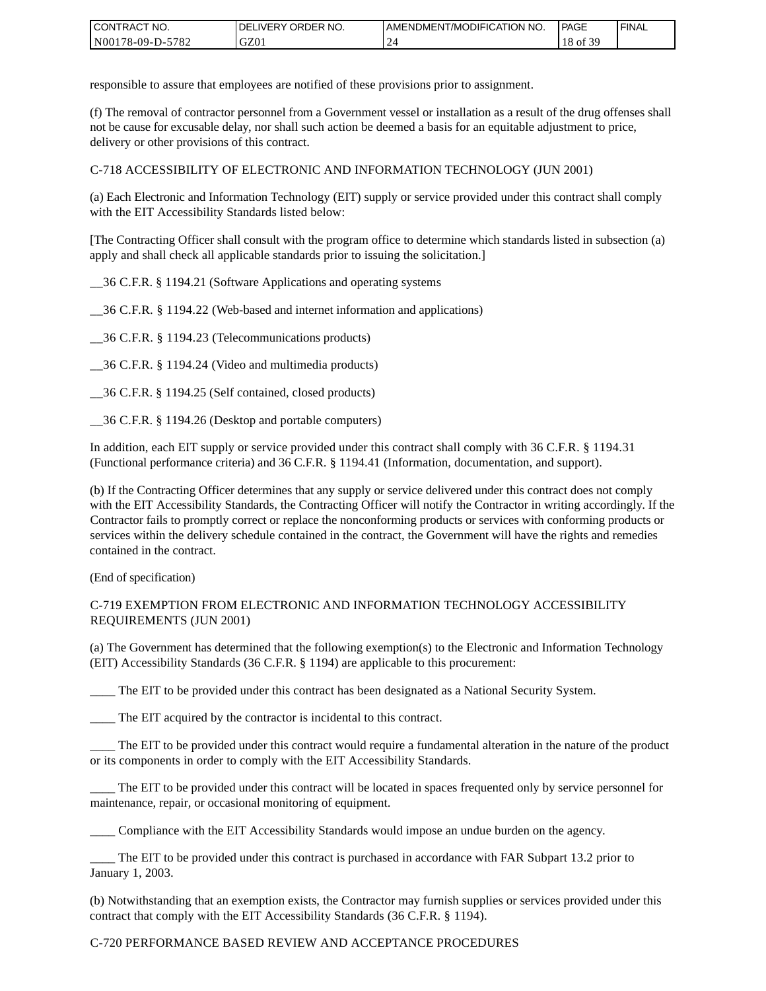| CONTRACT<br>°CT NO.      | NO.<br>' ORDER<br><b>DELIVERY</b> | AMENDMENT/MODIFICATION NO. | <b>PAGE</b>   | ' FINAL |
|--------------------------|-----------------------------------|----------------------------|---------------|---------|
| N00178-09-D-5<br>$-5782$ | GZ01                              |                            | F 20<br>18 of |         |

responsible to assure that employees are notified of these provisions prior to assignment.

(f) The removal of contractor personnel from a Government vessel or installation as a result of the drug offenses shall not be cause for excusable delay, nor shall such action be deemed a basis for an equitable adjustment to price, delivery or other provisions of this contract.

C-718 ACCESSIBILITY OF ELECTRONIC AND INFORMATION TECHNOLOGY (JUN 2001)

(a) Each Electronic and Information Technology (EIT) supply or service provided under this contract shall comply with the EIT Accessibility Standards listed below:

[The Contracting Officer shall consult with the program office to determine which standards listed in subsection (a) apply and shall check all applicable standards prior to issuing the solicitation.]

\_\_36 C.F.R. § 1194.21 (Software Applications and operating systems

\_\_36 C.F.R. § 1194.22 (Web-based and internet information and applications)

\_\_36 C.F.R. § 1194.23 (Telecommunications products)

\_\_36 C.F.R. § 1194.24 (Video and multimedia products)

\_\_36 C.F.R. § 1194.25 (Self contained, closed products)

\_\_36 C.F.R. § 1194.26 (Desktop and portable computers)

In addition, each EIT supply or service provided under this contract shall comply with 36 C.F.R. § 1194.31 (Functional performance criteria) and 36 C.F.R. § 1194.41 (Information, documentation, and support).

(b) If the Contracting Officer determines that any supply or service delivered under this contract does not comply with the EIT Accessibility Standards, the Contracting Officer will notify the Contractor in writing accordingly. If the Contractor fails to promptly correct or replace the nonconforming products or services with conforming products or services within the delivery schedule contained in the contract, the Government will have the rights and remedies contained in the contract.

(End of specification)

#### C-719 EXEMPTION FROM ELECTRONIC AND INFORMATION TECHNOLOGY ACCESSIBILITY REQUIREMENTS (JUN 2001)

(a) The Government has determined that the following exemption(s) to the Electronic and Information Technology (EIT) Accessibility Standards (36 C.F.R. § 1194) are applicable to this procurement:

The EIT to be provided under this contract has been designated as a National Security System.

\_\_\_\_ The EIT acquired by the contractor is incidental to this contract.

\_\_\_\_ The EIT to be provided under this contract would require a fundamental alteration in the nature of the product or its components in order to comply with the EIT Accessibility Standards.

The EIT to be provided under this contract will be located in spaces frequented only by service personnel for maintenance, repair, or occasional monitoring of equipment.

\_\_\_\_ Compliance with the EIT Accessibility Standards would impose an undue burden on the agency.

\_\_\_\_ The EIT to be provided under this contract is purchased in accordance with FAR Subpart 13.2 prior to January 1, 2003.

(b) Notwithstanding that an exemption exists, the Contractor may furnish supplies or services provided under this contract that comply with the EIT Accessibility Standards (36 C.F.R. § 1194).

#### C-720 PERFORMANCE BASED REVIEW AND ACCEPTANCE PROCEDURES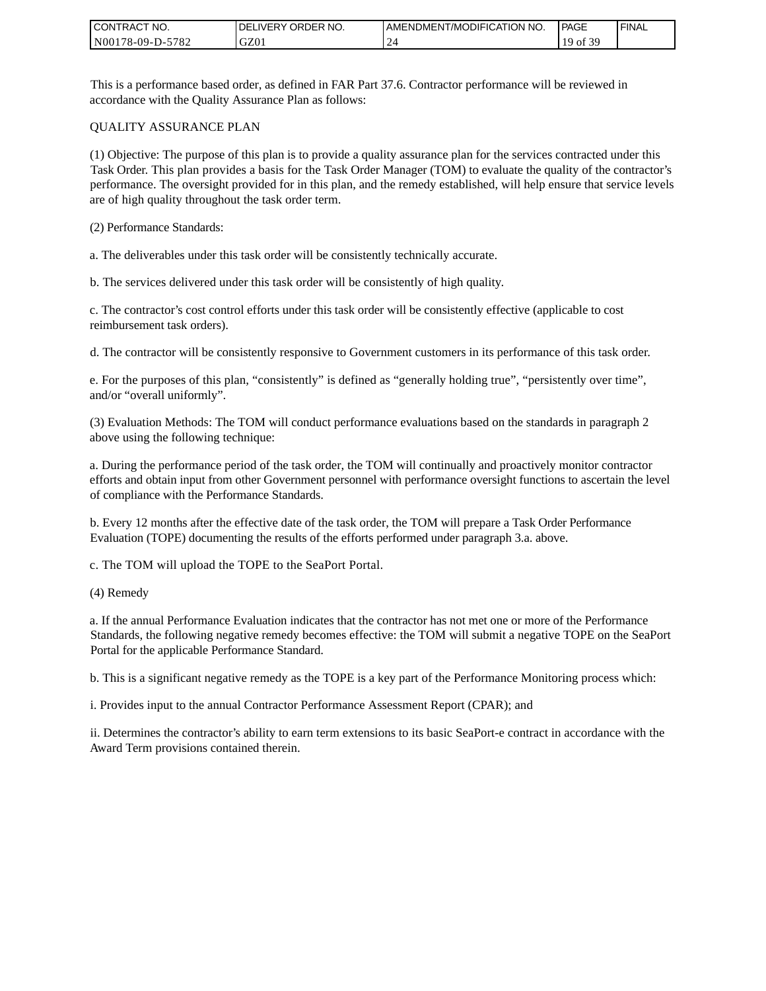| <b>CONTRACT</b><br>`CT NO. | `NO.<br><b>DELIVERY ORDER</b> | AMENDMENT/MODIFICATION NO. | <b>PAGE</b>   | ' FINAL |
|----------------------------|-------------------------------|----------------------------|---------------|---------|
| N00178-09-D-5782           | GZ01                          |                            | F 20<br>19 of |         |

This is a performance based order, as defined in FAR Part 37.6. Contractor performance will be reviewed in accordance with the Quality Assurance Plan as follows:

#### QUALITY ASSURANCE PLAN

(1) Objective: The purpose of this plan is to provide a quality assurance plan for the services contracted under this Task Order. This plan provides a basis for the Task Order Manager (TOM) to evaluate the quality of the contractor's performance. The oversight provided for in this plan, and the remedy established, will help ensure that service levels are of high quality throughout the task order term.

(2) Performance Standards:

a. The deliverables under this task order will be consistently technically accurate.

b. The services delivered under this task order will be consistently of high quality.

c. The contractor's cost control efforts under this task order will be consistently effective (applicable to cost reimbursement task orders).

d. The contractor will be consistently responsive to Government customers in its performance of this task order.

e. For the purposes of this plan, "consistently" is defined as "generally holding true", "persistently over time", and/or "overall uniformly".

(3) Evaluation Methods: The TOM will conduct performance evaluations based on the standards in paragraph 2 above using the following technique:

a. During the performance period of the task order, the TOM will continually and proactively monitor contractor efforts and obtain input from other Government personnel with performance oversight functions to ascertain the level of compliance with the Performance Standards.

b. Every 12 months after the effective date of the task order, the TOM will prepare a Task Order Performance Evaluation (TOPE) documenting the results of the efforts performed under paragraph 3.a. above.

c. The TOM will upload the TOPE to the SeaPort Portal.

(4) Remedy

a. If the annual Performance Evaluation indicates that the contractor has not met one or more of the Performance Standards, the following negative remedy becomes effective: the TOM will submit a negative TOPE on the SeaPort Portal for the applicable Performance Standard.

b. This is a significant negative remedy as the TOPE is a key part of the Performance Monitoring process which:

i. Provides input to the annual Contractor Performance Assessment Report (CPAR); and

ii. Determines the contractor's ability to earn term extensions to its basic SeaPort-e contract in accordance with the Award Term provisions contained therein.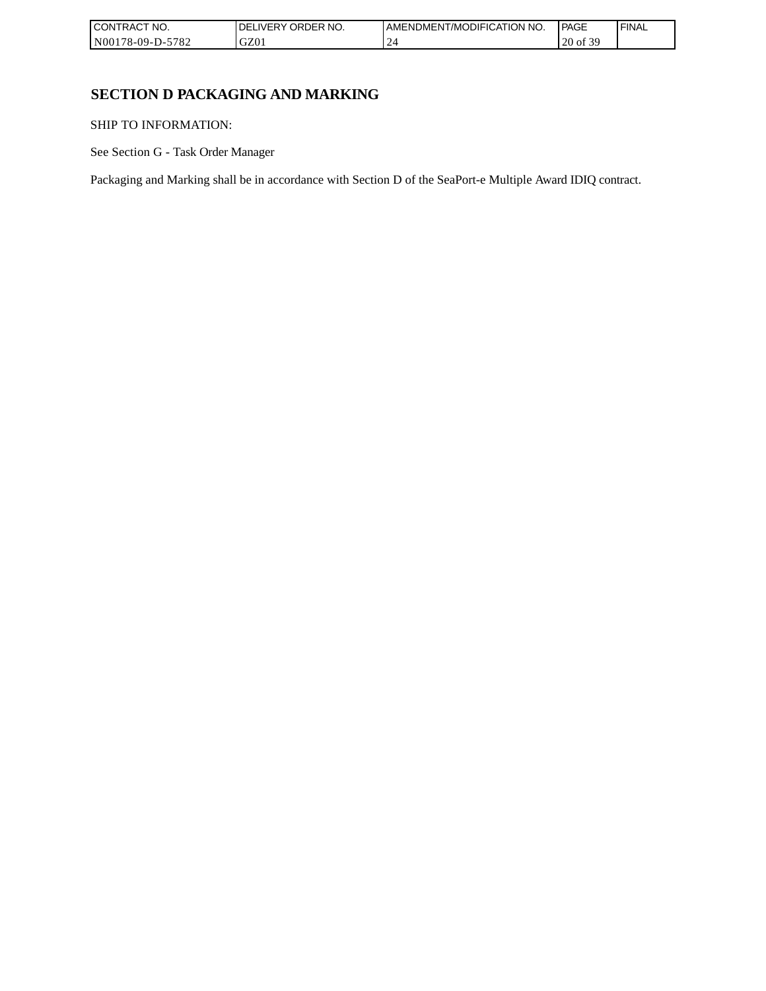| CONTRACT NO.     | NO.<br><b>ORDER</b><br>DELIVERY | AMENDMENT/MODIFICATION NO. | PAGE                           | ' FINAL |
|------------------|---------------------------------|----------------------------|--------------------------------|---------|
| N00178-09-D-5782 | GZ01                            |                            | f 30<br>nΩ<br>of $\beta$<br>∠∪ |         |

## **SECTION D PACKAGING AND MARKING**

SHIP TO INFORMATION:

See Section G - Task Order Manager

Packaging and Marking shall be in accordance with Section D of the SeaPort-e Multiple Award IDIQ contract.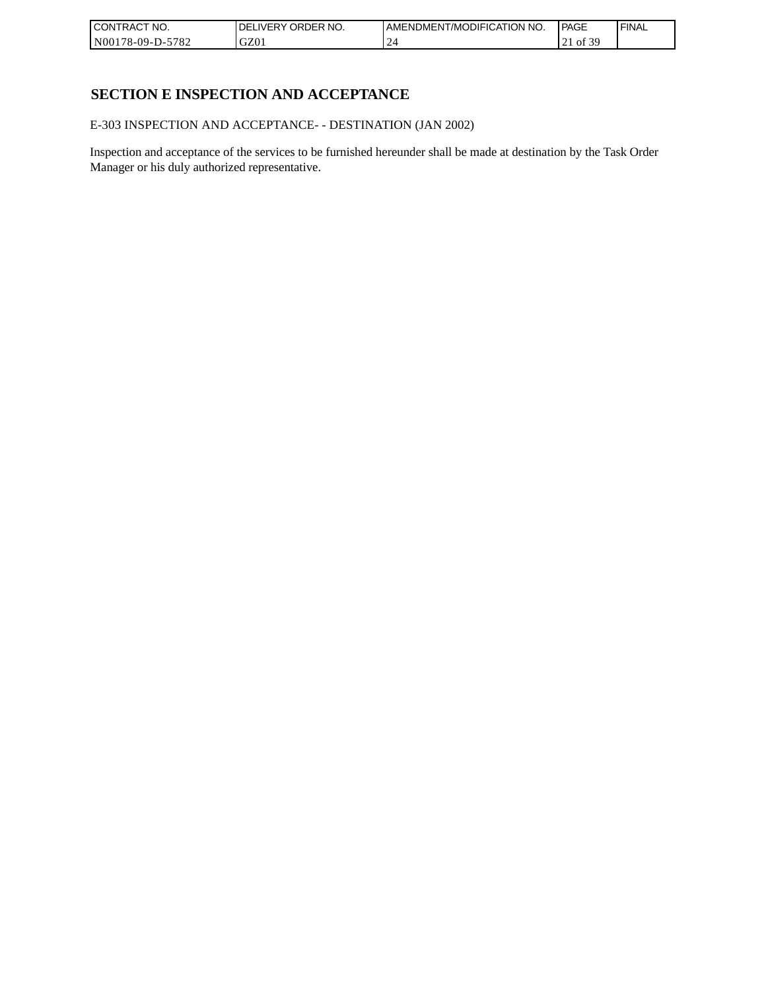| CONTRACT<br>`CT NO.      | NO.<br>' ORDER<br><b>DELIVERY</b> | I AMENDMENT/MODIFICATION NO. | l PAGE                 | ' FINAL |
|--------------------------|-----------------------------------|------------------------------|------------------------|---------|
| $-5782$<br>N00178-09-D-5 | GZ01                              |                              | F 20<br>οt<br>$\sim$ 1 |         |

## **SECTION E INSPECTION AND ACCEPTANCE**

E-303 INSPECTION AND ACCEPTANCE- - DESTINATION (JAN 2002)

Inspection and acceptance of the services to be furnished hereunder shall be made at destination by the Task Order Manager or his duly authorized representative.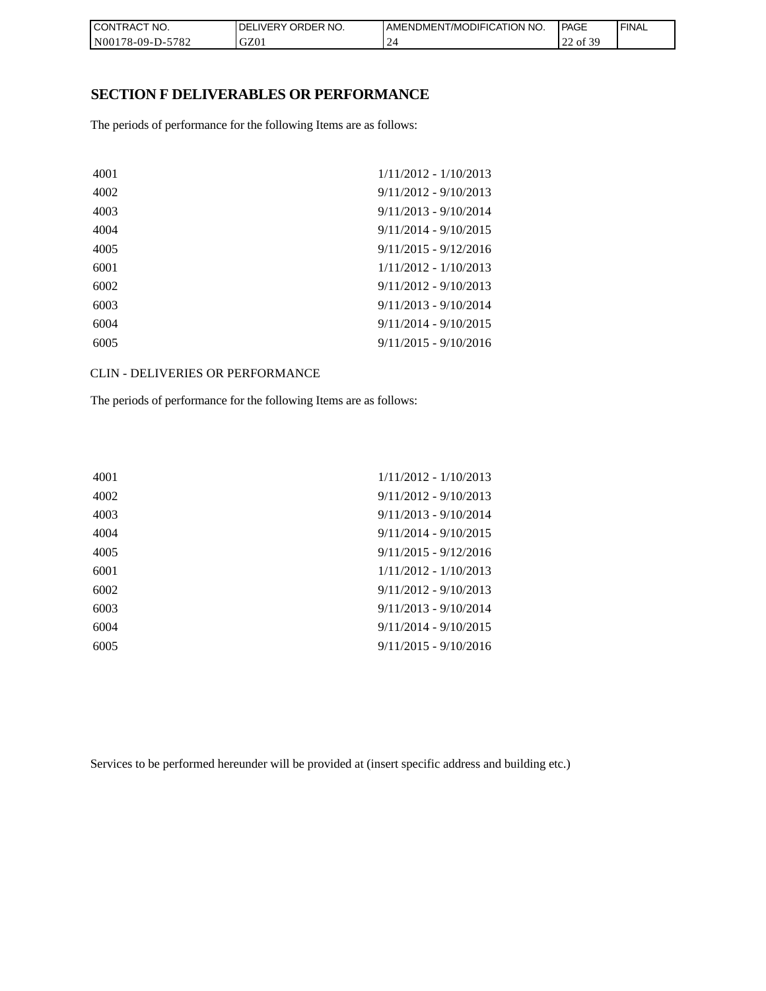| CON <sub>1</sub><br>TRACT NO. | NO.<br><b>DELIVERY ORDER</b> | <b>I AMENDMENT/MODIFICATION NO.</b> | <b>PAGE</b>       | ' FINAL |
|-------------------------------|------------------------------|-------------------------------------|-------------------|---------|
| N00178-09-D-5782              | GZ01                         | <u>_</u>                            | f 30<br>of 3<br>∸ |         |

#### **SECTION F DELIVERABLES OR PERFORMANCE**

The periods of performance for the following Items are as follows:

| 4001 | $1/11/2012 - 1/10/2013$ |
|------|-------------------------|
| 4002 | $9/11/2012 - 9/10/2013$ |
| 4003 | $9/11/2013 - 9/10/2014$ |
| 4004 | $9/11/2014 - 9/10/2015$ |
| 4005 | $9/11/2015 - 9/12/2016$ |
| 6001 | $1/11/2012 - 1/10/2013$ |
| 6002 | $9/11/2012 - 9/10/2013$ |
| 6003 | $9/11/2013 - 9/10/2014$ |
| 6004 | $9/11/2014 - 9/10/2015$ |
| 6005 | $9/11/2015 - 9/10/2016$ |
|      |                         |

CLIN - DELIVERIES OR PERFORMANCE

The periods of performance for the following Items are as follows:

| 4001 | $1/11/2012 - 1/10/2013$ |
|------|-------------------------|
| 4002 | $9/11/2012 - 9/10/2013$ |
| 4003 | $9/11/2013 - 9/10/2014$ |
| 4004 | $9/11/2014 - 9/10/2015$ |
| 4005 | $9/11/2015 - 9/12/2016$ |
| 6001 | $1/11/2012 - 1/10/2013$ |
| 6002 | $9/11/2012 - 9/10/2013$ |
| 6003 | $9/11/2013 - 9/10/2014$ |
| 6004 | $9/11/2014 - 9/10/2015$ |
| 6005 | $9/11/2015 - 9/10/2016$ |
|      |                         |

Services to be performed hereunder will be provided at (insert specific address and building etc.)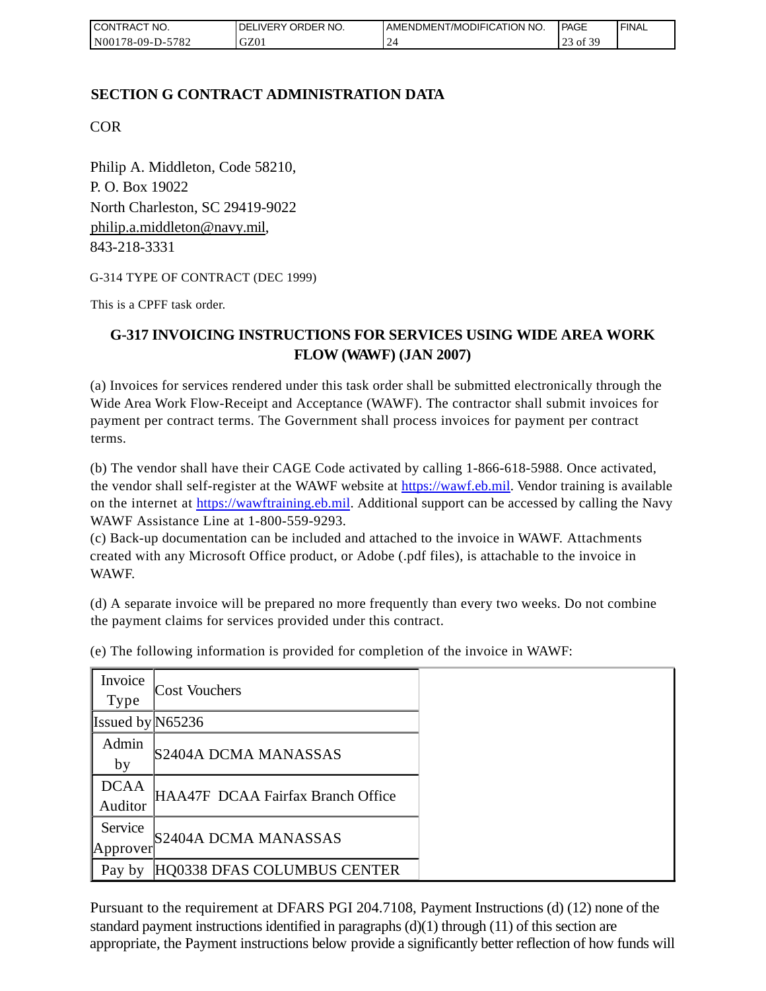| <b>I CONTRACT NO.</b> | DELIVERY ORDER NO. | I AMENDMENT/MODIFICATION NO. | <b>PAGE</b>         | ' FINAL |
|-----------------------|--------------------|------------------------------|---------------------|---------|
| N00178-09-D-5782      | GZ01               |                              | f 30<br>ot 3.<br>رے |         |

## **SECTION G CONTRACT ADMINISTRATION DATA**

COR

Philip A. Middleton, Code 58210, P. O. Box 19022 North Charleston, SC 29419-9022 [philip.a.middleton@navy.mil,](mailto:cphilip.a.middleton@navy.mil) 843-218-3331

G-314 TYPE OF CONTRACT (DEC 1999)

This is a CPFF task order.

## **G-317 INVOICING INSTRUCTIONS FOR SERVICES USING WIDE AREA WORK FLOW (WAWF) (JAN 2007)**

(a) Invoices for services rendered under this task order shall be submitted electronically through the Wide Area Work Flow-Receipt and Acceptance (WAWF). The contractor shall submit invoices for payment per contract terms. The Government shall process invoices for payment per contract terms.

(b) The vendor shall have their CAGE Code activated by calling 1-866-618-5988. Once activated, the vendor shall self-register at the WAWF website at [https://wawf.eb.mil.](https://wawf.eb.mil/) Vendor training is available on the internet at [https://wawftraining.eb.mil.](https://wawftraining.eb.mil/) Additional support can be accessed by calling the Navy WAWF Assistance Line at 1-800-559-9293.

(c) Back-up documentation can be included and attached to the invoice in WAWF. Attachments created with any Microsoft Office product, or Adobe (.pdf files), is attachable to the invoice in WAWF.

(d) A separate invoice will be prepared no more frequently than every two weeks. Do not combine the payment claims for services provided under this contract.

| Invoice<br>Type        | Cost Vouchers                     |
|------------------------|-----------------------------------|
| Issued by $N65236$     |                                   |
| Admin<br>by            | S2404A DCMA MANASSAS              |
| <b>DCAA</b><br>Auditor | HAA47F DCAA Fairfax Branch Office |
| Service<br>Approver    | S2404A DCMA MANASSAS              |
| Pay by                 | HQ0338 DFAS COLUMBUS CENTER       |

(e) The following information is provided for completion of the invoice in WAWF:

Pursuant to the requirement at DFARS PGI 204.7108, Payment Instructions (d) (12) none of the standard payment instructions identified in paragraphs  $(d)(1)$  through  $(11)$  of this section are appropriate, the Payment instructions below provide a significantly better reflection of how funds will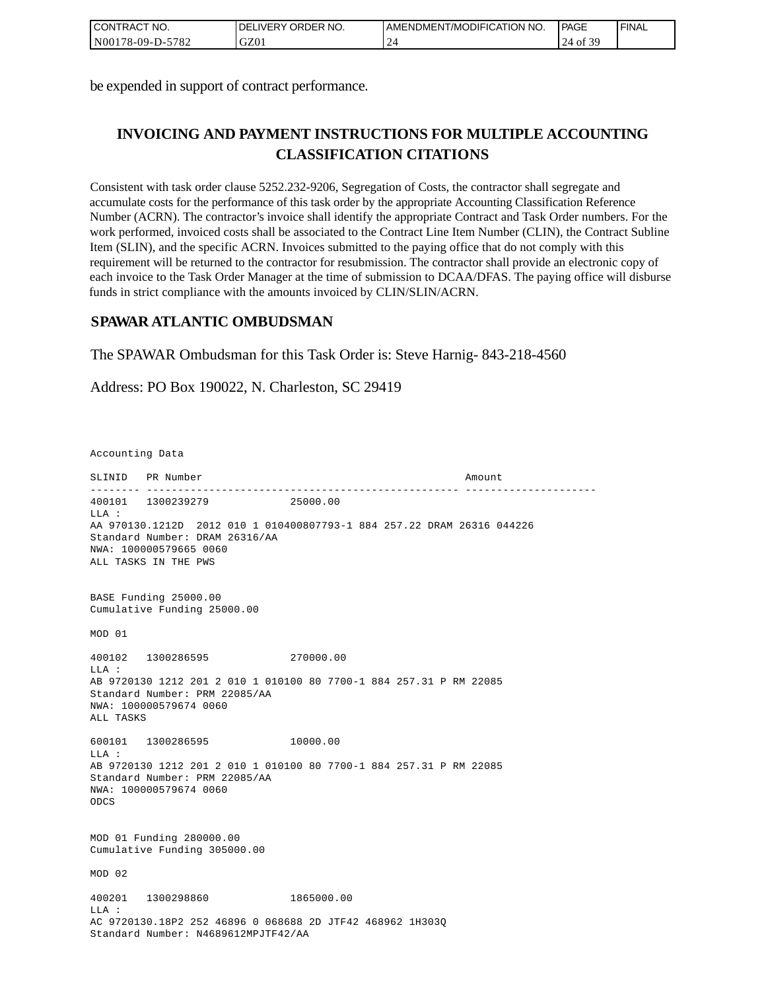| <b>I CONTRACT NO.</b> | I DELIVERY ORDER NO. | I AMENDMENT/MODIFICATION NO. | <b>PAGE</b>    | 'FINAL |
|-----------------------|----------------------|------------------------------|----------------|--------|
| N00178-09-D-5782      | GZ01                 | ∽                            | 2C<br>24 of 39 |        |

be expended in support of contract performance.

# **INVOICING AND PAYMENT INSTRUCTIONS FOR MULTIPLE ACCOUNTING CLASSIFICATION CITATIONS**

Consistent with task order clause 5252.232-9206, Segregation of Costs, the contractor shall segregate and accumulate costs for the performance of this task order by the appropriate Accounting Classification Reference Number (ACRN). The contractor's invoice shall identify the appropriate Contract and Task Order numbers. For the work performed, invoiced costs shall be associated to the Contract Line Item Number (CLIN), the Contract Subline Item (SLIN), and the specific ACRN. Invoices submitted to the paying office that do not comply with this requirement will be returned to the contractor for resubmission. The contractor shall provide an electronic copy of each invoice to the Task Order Manager at the time of submission to DCAA/DFAS. The paying office will disburse funds in strict compliance with the amounts invoiced by CLIN/SLIN/ACRN.

### **SPAWAR ATLANTIC OMBUDSMAN**

The SPAWAR Ombudsman for this Task Order is: Steve Harnig- 843-218-4560

Address: PO Box 190022, N. Charleston, SC 29419

Accounting Data

SLINID PR Number Amount -------- -------------------------------------------------- --------------------- 400101 1300239279 25000.00  $T.T.A$  : AA 970130.1212D 2012 010 1 010400807793-1 884 257.22 DRAM 26316 044226 Standard Number: DRAM 26316/AA NWA: 100000579665 0060 ALL TASKS IN THE PWS BASE Funding 25000.00 Cumulative Funding 25000.00 MOD 01 400102 1300286595 270000.00 LLA : AB 9720130 1212 201 2 010 1 010100 80 7700-1 884 257.31 P RM 22085 Standard Number: PRM 22085/AA NWA: 100000579674 0060 ALL TASKS 600101 1300286595 10000.00  $L.L.A$  : AB 9720130 1212 201 2 010 1 010100 80 7700-1 884 257.31 P RM 22085 Standard Number: PRM 22085/AA NWA: 100000579674 0060 ODCS MOD 01 Funding 280000.00 Cumulative Funding 305000.00 MOD 02 400201 1300298860 1865000.00  $T.T.A$  : AC 9720130.18P2 252 46896 0 068688 2D JTF42 468962 1H303Q Standard Number: N4689612MPJTF42/AA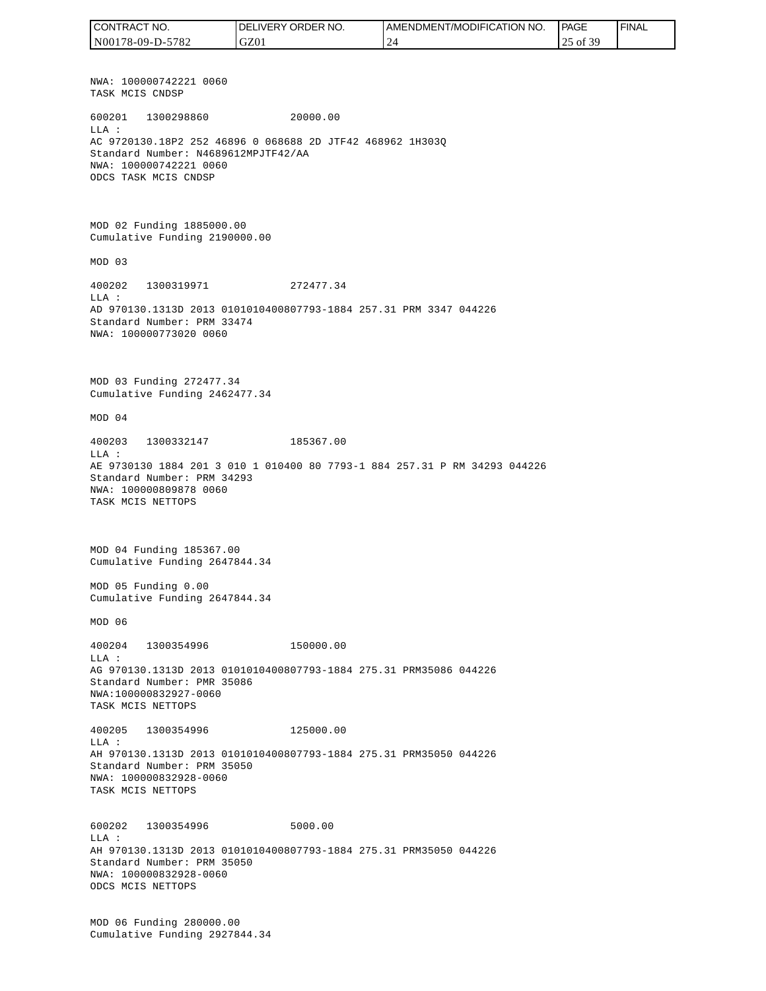NWA: 100000742221 0060 TASK MCIS CNDSP 600201 1300298860 20000.00 LLA : AC 9720130.18P2 252 46896 0 068688 2D JTF42 468962 1H303Q Standard Number: N4689612MPJTF42/AA NWA: 100000742221 0060 ODCS TASK MCIS CNDSP MOD 02 Funding 1885000.00 Cumulative Funding 2190000.00 MOD 03 400202 1300319971 272477.34 LLA : AD 970130.1313D 2013 0101010400807793-1884 257.31 PRM 3347 044226 Standard Number: PRM 33474 NWA: 100000773020 0060 MOD 03 Funding 272477.34 Cumulative Funding 2462477.34 MOD 04 400203 1300332147 185367.00  $T.T.A$  : AE 9730130 1884 201 3 010 1 010400 80 7793-1 884 257.31 P RM 34293 044226 Standard Number: PRM 34293 NWA: 100000809878 0060 TASK MCIS NETTOPS MOD 04 Funding 185367.00 Cumulative Funding 2647844.34 MOD 05 Funding 0.00 Cumulative Funding 2647844.34 MOD 06 400204 1300354996 150000.00  $L.L.A$  : AG 970130.1313D 2013 0101010400807793-1884 275.31 PRM35086 044226 Standard Number: PMR 35086 NWA:100000832927-0060 TASK MCIS NETTOPS 400205 1300354996 125000.00 LLA : AH 970130.1313D 2013 0101010400807793-1884 275.31 PRM35050 044226 Standard Number: PRM 35050 NWA: 100000832928-0060 TASK MCIS NETTOPS 600202 1300354996 5000.00 LLA : AH 970130.1313D 2013 0101010400807793-1884 275.31 PRM35050 044226 Standard Number: PRM 35050 NWA: 100000832928-0060 ODCS MCIS NETTOPS MOD 06 Funding 280000.00 Cumulative Funding 2927844.34 CONTRACT NO. N00178-09-D-5782 DELIVERY ORDER NO. GZ01 AMENDMENT/MODIFICATION NO. 24 **PAGE**  25 of 39 FINAL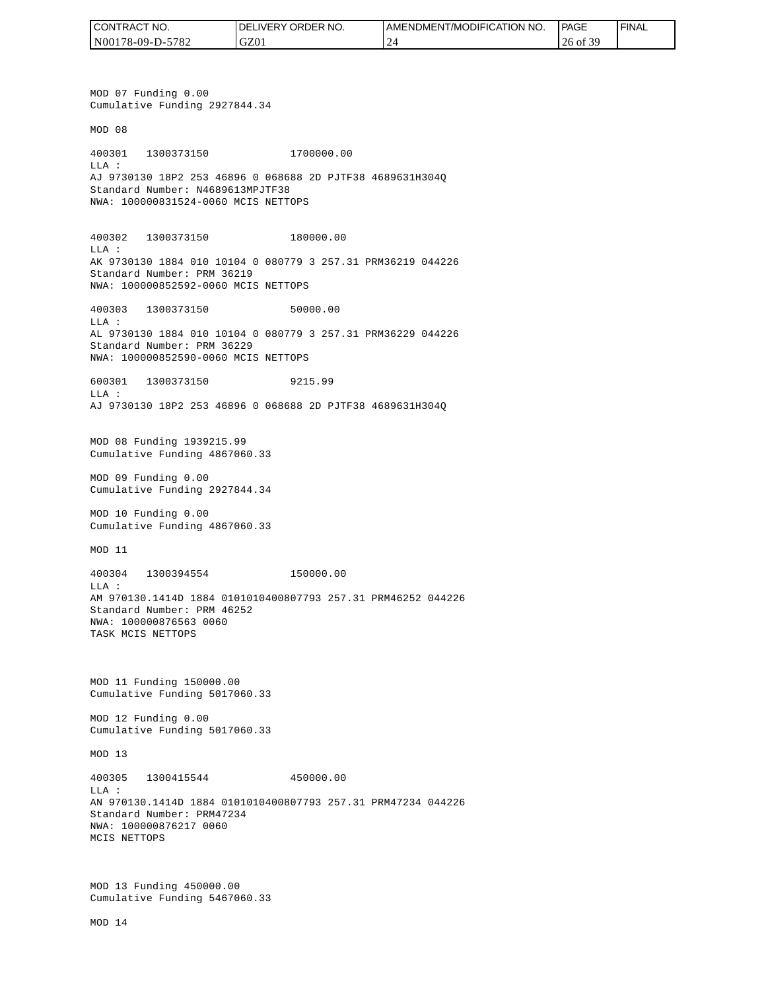| I CONTRACT NO.   | NO.<br><b>DELIVERY ORDER</b> | AMENDMENT/MODIFICATION NO. | PAGE                | ' FINAL |
|------------------|------------------------------|----------------------------|---------------------|---------|
| N00178-09-D-5782 | GZ01                         |                            | -30<br>$26$ of $3'$ |         |

MOD 07 Funding 0.00 Cumulative Funding 2927844.34 MOD 08 400301 1300373150 1700000.00 LLA : AJ 9730130 18P2 253 46896 0 068688 2D PJTF38 4689631H304Q Standard Number: N4689613MPJTF38 NWA: 100000831524-0060 MCIS NETTOPS 400302 1300373150 180000.00 LLA : AK 9730130 1884 010 10104 0 080779 3 257.31 PRM36219 044226 Standard Number: PRM 36219 NWA: 100000852592-0060 MCIS NETTOPS 400303 1300373150 50000.00  $T.T.A$  : AL 9730130 1884 010 10104 0 080779 3 257.31 PRM36229 044226 Standard Number: PRM 36229 NWA: 100000852590-0060 MCIS NETTOPS 600301 1300373150 9215.99 LLA : AJ 9730130 18P2 253 46896 0 068688 2D PJTF38 4689631H304Q MOD 08 Funding 1939215.99 Cumulative Funding 4867060.33 MOD 09 Funding 0.00 Cumulative Funding 2927844.34 MOD 10 Funding 0.00 Cumulative Funding 4867060.33 MOD 11 400304 1300394554 150000.00  $T.T.A$  : AM 970130.1414D 1884 0101010400807793 257.31 PRM46252 044226 Standard Number: PRM 46252 NWA: 100000876563 0060 TASK MCIS NETTOPS MOD 11 Funding 150000.00 Cumulative Funding 5017060.33 MOD 12 Funding 0.00 Cumulative Funding 5017060.33 MOD 13 400305 1300415544 450000.00 LLA : AN 970130.1414D 1884 0101010400807793 257.31 PRM47234 044226 Standard Number: PRM47234 NWA: 100000876217 0060 MCIS NETTOPS MOD 13 Funding 450000.00 Cumulative Funding 5467060.33 CONTRACT NO.<br>NO0178-09-D-5<br>NO0178-09-D-5<br>NO0178-09-D-5<br>NOD 07 Fundin<br>Cumulative Fu<br>MOD 08<br>400301 1300<br>Standard Numk<br>NMA: 10000083<br>400302 1300<br>LLA:<br>AK 9730130 18<br>Standard Numk<br>NMA: 10000085<br>600301 1300<br>LLA: 9730130 18<br>MMA: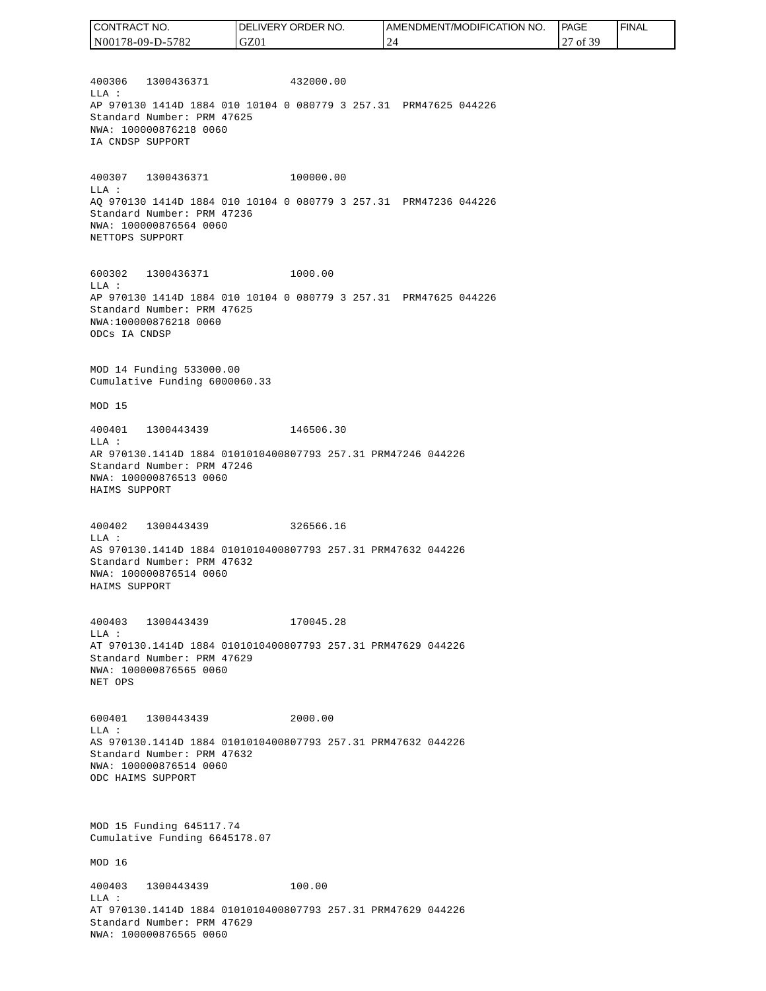| CONTRACT NO.     | DELIVERY ORDER NO. | I AMENDMENT/MODIFICATION NO. | PAGE                 | <sup>I</sup> FINAL |
|------------------|--------------------|------------------------------|----------------------|--------------------|
| N00178-09-D-5782 | GZ01               |                              | <b>f</b> 39<br>of 39 |                    |

400306 1300436371 432000.00 LLA : AP 970130 1414D 1884 010 10104 0 080779 3 257.31 PRM47625 044226 Standard Number: PRM 47625 NWA: 100000876218 0060 IA CNDSP SUPPORT

400307 1300436371 100000.00 LLA : AQ 970130 1414D 1884 010 10104 0 080779 3 257.31 PRM47236 044226 Standard Number: PRM 47236 NWA: 100000876564 0060 NETTOPS SUPPORT

600302 1300436371 1000.00 LLA : AP 970130 1414D 1884 010 10104 0 080779 3 257.31 PRM47625 044226 Standard Number: PRM 47625 NWA:100000876218 0060 ODCs IA CNDSP

MOD 14 Funding 533000.00 Cumulative Funding 6000060.33

MOD 15

400401 1300443439 146506.30 LLA : AR 970130.1414D 1884 0101010400807793 257.31 PRM47246 044226 Standard Number: PRM 47246 NWA: 100000876513 0060 HAIMS SUPPORT

400402 1300443439 326566.16 LLA : AS 970130.1414D 1884 0101010400807793 257.31 PRM47632 044226 Standard Number: PRM 47632 NWA: 100000876514 0060 HAIMS SUPPORT

400403 1300443439 170045.28 LLA : AT 970130.1414D 1884 0101010400807793 257.31 PRM47629 044226 Standard Number: PRM 47629 NWA: 100000876565 0060 NET OPS

600401 1300443439 2000.00 LLA : AS 970130.1414D 1884 0101010400807793 257.31 PRM47632 044226 Standard Number: PRM 47632 NWA: 100000876514 0060 ODC HAIMS SUPPORT

MOD 15 Funding 645117.74 Cumulative Funding 6645178.07

MOD 16

400403 1300443439 100.00 LLA : AT 970130.1414D 1884 0101010400807793 257.31 PRM47629 044226 Standard Number: PRM 47629 NWA: 100000876565 0060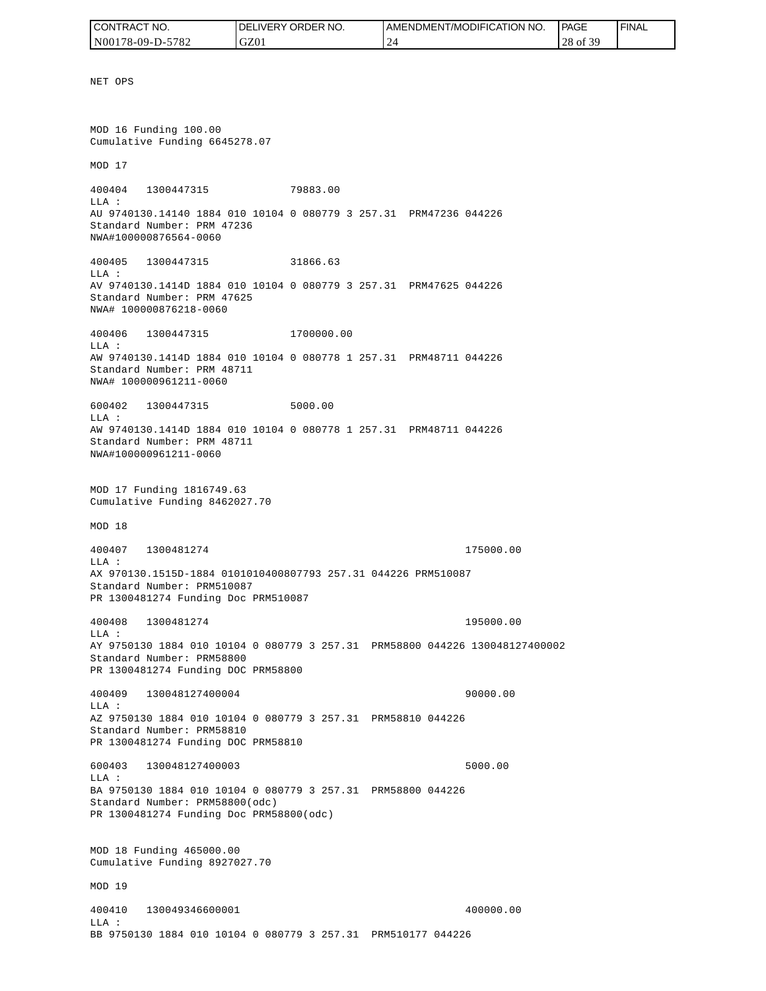| CONTRACT NO.     | NO.<br>DELIVERY ORDER | <b>AMENDMENT/MODIFICATION NO.</b> | <b>PAGE</b>      | <b>FINAL</b> |
|------------------|-----------------------|-----------------------------------|------------------|--------------|
| N00178-09-D-5782 | GZ01                  | $^{\circ}$ $^{\circ}$<br>. .      | f 20<br>28 of 39 |              |

NET OPS MOD 16 Funding 100.00 Cumulative Funding 6645278.07 MOD 17 400404 1300447315 79883.00 LLA : AU 9740130.14140 1884 010 10104 0 080779 3 257.31 PRM47236 044226 Standard Number: PRM 47236 NWA#100000876564-0060 400405 1300447315 31866.63 LLA : AV 9740130.1414D 1884 010 10104 0 080779 3 257.31 PRM47625 044226 Standard Number: PRM 47625 NWA# 100000876218-0060 400406 1300447315 1700000.00 LLA : AW 9740130.1414D 1884 010 10104 0 080778 1 257.31 PRM48711 044226 Standard Number: PRM 48711 NWA# 100000961211-0060 600402 1300447315 5000.00  $T.T.A$  : AW 9740130.1414D 1884 010 10104 0 080778 1 257.31 PRM48711 044226 Standard Number: PRM 48711 NWA#100000961211-0060 MOD 17 Funding 1816749.63 Cumulative Funding 8462027.70 MOD 18 400407 1300481274 175000.00 LLA : AX 970130.1515D-1884 0101010400807793 257.31 044226 PRM510087 Standard Number: PRM510087 PR 1300481274 Funding Doc PRM510087 400408 1300481274 195000.00 LLA : AY 9750130 1884 010 10104 0 080779 3 257.31 PRM58800 044226 130048127400002 Standard Number: PRM58800 PR 1300481274 Funding DOC PRM58800 400409 130048127400004 90000.00 LLA : AZ 9750130 1884 010 10104 0 080779 3 257.31 PRM58810 044226 Standard Number: PRM58810 PR 1300481274 Funding DOC PRM58810 600403 130048127400003 5000.00 LLA : BA 9750130 1884 010 10104 0 080779 3 257.31 PRM58800 044226 Standard Number: PRM58800(odc) PR 1300481274 Funding Doc PRM58800(odc) MOD 18 Funding 465000.00 Cumulative Funding 8927027.70 MOD 19 400410 130049346600001 400000.00 LLA :

BB 9750130 1884 010 10104 0 080779 3 257.31 PRM510177 044226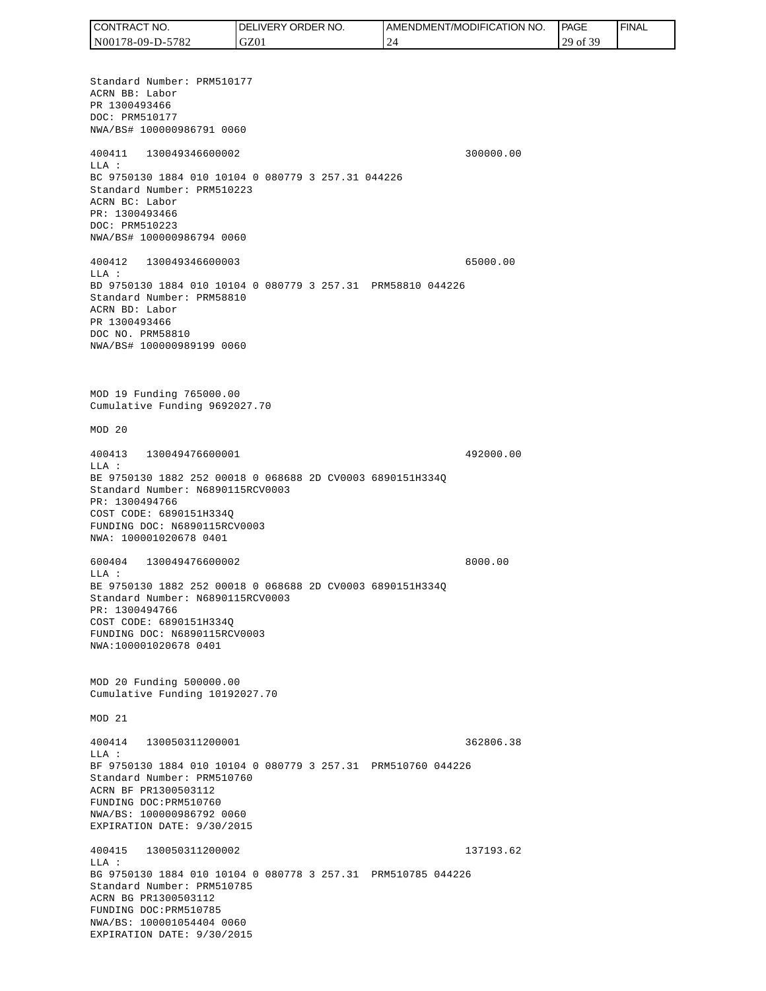Standard Number: PRM510177 ACRN BB: Labor PR 1300493466 DOC: PRM510177 NWA/BS# 100000986791 0060 400411 130049346600002 300000.00 LLA : BC 9750130 1884 010 10104 0 080779 3 257.31 044226 Standard Number: PRM510223 ACRN BC: Labor PR: 1300493466 DOC: PRM510223 NWA/BS# 100000986794 0060 400412 130049346600003 65000.00 LLA : BD 9750130 1884 010 10104 0 080779 3 257.31 PRM58810 044226 Standard Number: PRM58810 ACRN BD: Labor PR 1300493466 DOC NO. PRM58810 NWA/BS# 100000989199 0060 MOD 19 Funding 765000.00 Cumulative Funding 9692027.70 MOD 20 400413 130049476600001 492000.00 LLA : BE 9750130 1882 252 00018 0 068688 2D CV0003 6890151H334Q Standard Number: N6890115RCV0003 PR: 1300494766 COST CODE: 6890151H334Q FUNDING DOC: N6890115RCV0003 NWA: 100001020678 0401 600404 130049476600002 8000.00 LLA : BE 9750130 1882 252 00018 0 068688 2D CV0003 6890151H334Q Standard Number: N6890115RCV0003 PR: 1300494766 COST CODE: 6890151H334Q FUNDING DOC: N6890115RCV0003 NWA:100001020678 0401 MOD 20 Funding 500000.00 Cumulative Funding 10192027.70 MOD 21 400414 130050311200001 362806.38  $T.T.A$  : BF 9750130 1884 010 10104 0 080779 3 257.31 PRM510760 044226 Standard Number: PRM510760 ACRN BF PR1300503112 FUNDING DOC:PRM510760 NWA/BS: 100000986792 0060 EXPIRATION DATE: 9/30/2015 400415 130050311200002 137193.62 LLA : BG 9750130 1884 010 10104 0 080778 3 257.31 PRM510785 044226 Standard Number: PRM510785 ACRN BG PR1300503112 FUNDING DOC:PRM510785 NWA/BS: 100001054404 0060 EXPIRATION DATE: 9/30/2015 CONTRACT NO. N00178-09-D-5782 DELIVERY ORDER NO. GZ01 AMENDMENT/MODIFICATION NO. 24 PAGE 29 of 39 FINAL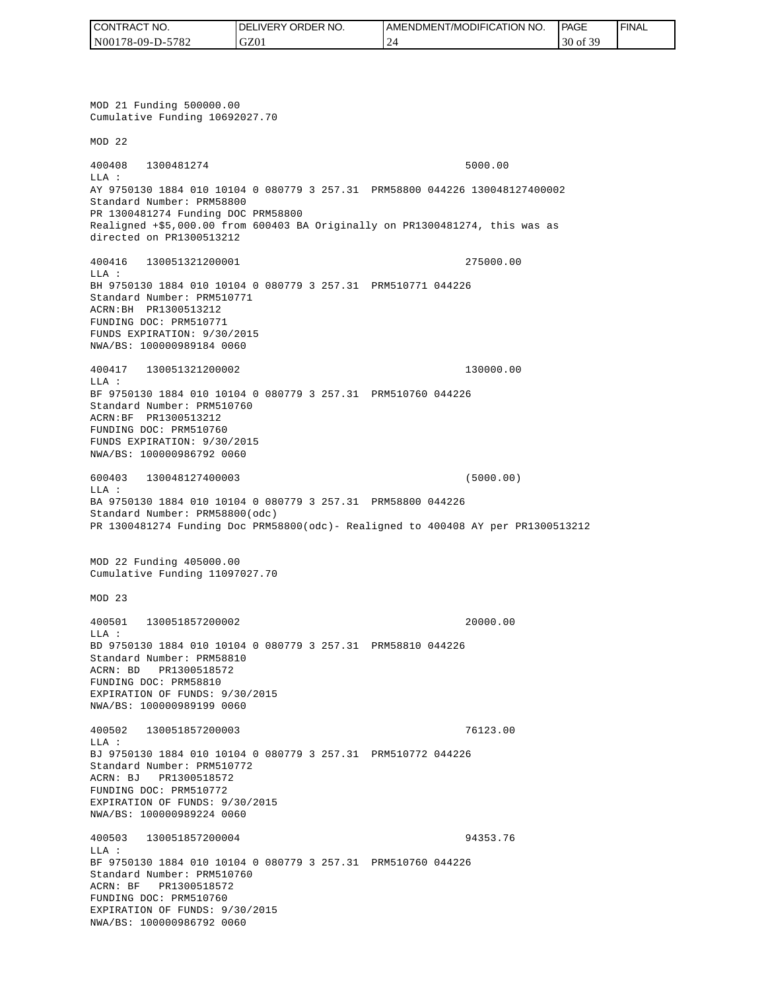| CONTRACT NO.     | <b>IDELIVERY ORDER NO.</b> | <b>I AMENDMENT/MODIFICATION NO.</b> | <b>PAGE</b>      | <b>FINAL</b> |
|------------------|----------------------------|-------------------------------------|------------------|--------------|
| N00178-09-D-5782 | GZ01                       | $\sim$<br><b>__</b>                 | f 30<br>30 of 39 |              |

MOD 21 Funding 500000.00 Cumulative Funding 10692027.70 MOD 22 400408 1300481274 5000.00 LLA : AY 9750130 1884 010 10104 0 080779 3 257.31 PRM58800 044226 130048127400002 Standard Number: PRM58800 PR 1300481274 Funding DOC PRM58800 Realigned +\$5,000.00 from 600403 BA Originally on PR1300481274, this was as directed on PR1300513212 400416 130051321200001 275000.00 LLA : BH 9750130 1884 010 10104 0 080779 3 257.31 PRM510771 044226 Standard Number: PRM510771 ACRN:BH PR1300513212 FUNDING DOC: PRM510771 FUNDS EXPIRATION: 9/30/2015 NWA/BS: 100000989184 0060 400417 130051321200002 130000.00 LLA : BF 9750130 1884 010 10104 0 080779 3 257.31 PRM510760 044226 Standard Number: PRM510760 ACRN:BF PR1300513212 FUNDING DOC: PRM510760 FUNDS EXPIRATION: 9/30/2015 NWA/BS: 100000986792 0060 600403 130048127400003 (5000.00) LLA : BA 9750130 1884 010 10104 0 080779 3 257.31 PRM58800 044226 Standard Number: PRM58800(odc) PR 1300481274 Funding Doc PRM58800(odc)- Realigned to 400408 AY per PR1300513212 MOD 22 Funding 405000.00 Cumulative Funding 11097027.70 MOD 23 400501 130051857200002 20000.00 LLA : BD 9750130 1884 010 10104 0 080779 3 257.31 PRM58810 044226 Standard Number: PRM58810 ACRN: BD PR1300518572 FUNDING DOC: PRM58810 EXPIRATION OF FUNDS: 9/30/2015 NWA/BS: 100000989199 0060 400502 130051857200003 76123.00 LLA : BJ 9750130 1884 010 10104 0 080779 3 257.31 PRM510772 044226 Standard Number: PRM510772 ACRN: BJ PR1300518572 FUNDING DOC: PRM510772 EXPIRATION OF FUNDS: 9/30/2015 NWA/BS: 100000989224 0060 400503 130051857200004 94353.76 LLA : BF 9750130 1884 010 10104 0 080779 3 257.31 PRM510760 044226 Standard Number: PRM510760 ACRN: BF PR1300518572 FUNDING DOC: PRM510760 EXPIRATION OF FUNDS: 9/30/2015<br>NWA/BS: 100000986792 0060 CONTRACT NO. 5<br>
NO0178-09-D-5782<br>
NO0178-09-D-5782<br>
NOD 21 Funding 500000.00<br>
NOD 21 Funding 500000.00<br>
NOD 22<br>
200408 1300481274<br>
ELA :<br>
Standard Number: FRNS8800<br>
Realigned 455,000.00 from<br>
Realigned 455,000.00 from<br>
dir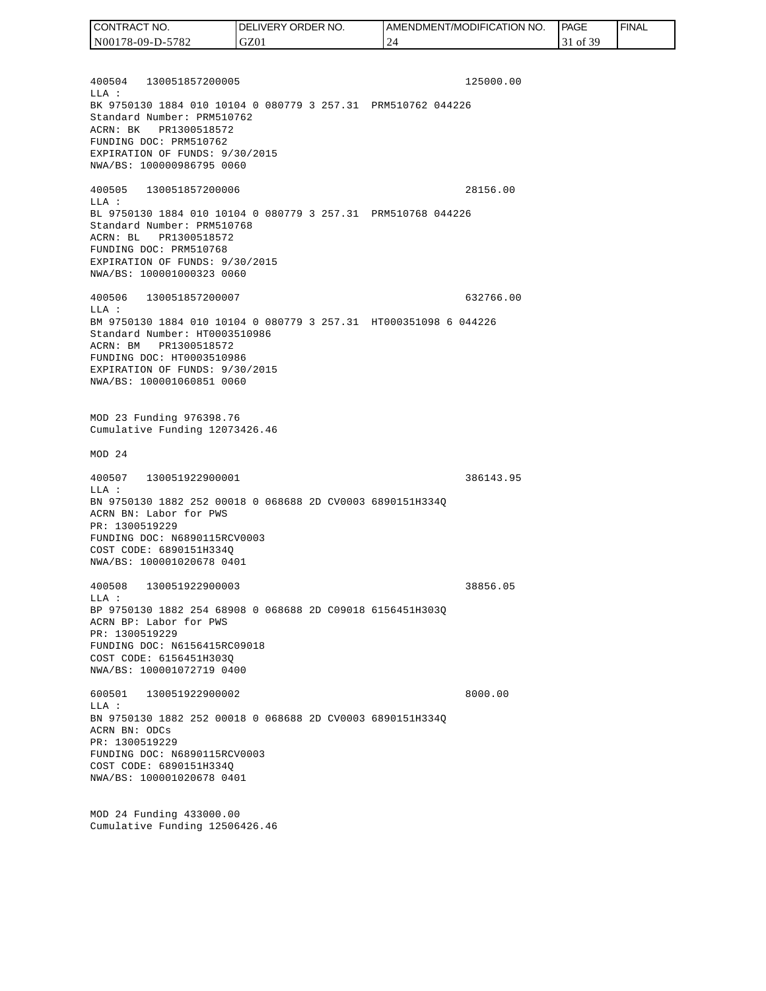400504 130051857200005 125000.00  $T.T.A$  : BK 9750130 1884 010 10104 0 080779 3 257.31 PRM510762 044226 Standard Number: PRM510762 ACRN: BK PR1300518572 FUNDING DOC: PRM510762 EXPIRATION OF FUNDS: 9/30/2015 NWA/BS: 100000986795 0060 400505 130051857200006 28156.00 LLA : BL 9750130 1884 010 10104 0 080779 3 257.31 PRM510768 044226 Standard Number: PRM510768 ACRN: BL PR1300518572 FUNDING DOC: PRM510768 EXPIRATION OF FUNDS: 9/30/2015 NWA/BS: 100001000323 0060 400506 130051857200007 632766.00 LLA : BM 9750130 1884 010 10104 0 080779 3 257.31 HT000351098 6 044226 Standard Number: HT0003510986 ACRN: BM PR1300518572 FUNDING DOC: HT0003510986 EXPIRATION OF FUNDS: 9/30/2015 NWA/BS: 100001060851 0060 MOD 23 Funding 976398.76 Cumulative Funding 12073426.46 MOD 24 400507 130051922900001 386143.95 LLA : BN 9750130 1882 252 00018 0 068688 2D CV0003 6890151H334Q ACRN BN: Labor for PWS PR: 1300519229 FUNDING DOC: N6890115RCV0003 COST CODE: 6890151H334Q NWA/BS: 100001020678 0401 400508 130051922900003 38856.05 LLA : BP 9750130 1882 254 68908 0 068688 2D C09018 6156451H303Q ACRN BP: Labor for PWS PR: 1300519229 FUNDING DOC: N6156415RC09018 COST CODE: 6156451H303Q NWA/BS: 100001072719 0400 600501 130051922900002 8000.00 LLA : BN 9750130 1882 252 00018 0 068688 2D CV0003 6890151H334Q ACRN BN: ODCs CONTRACT NO. N00178-09-D-5782 DELIVERY ORDER NO. GZ01 AMENDMENT/MODIFICATION NO. 24 PAGE 31 of 39 FINAL

PR: 1300519229 FUNDING DOC: N6890115RCV0003 COST CODE: 6890151H334Q NWA/BS: 100001020678 0401

MOD 24 Funding 433000.00 Cumulative Funding 12506426.46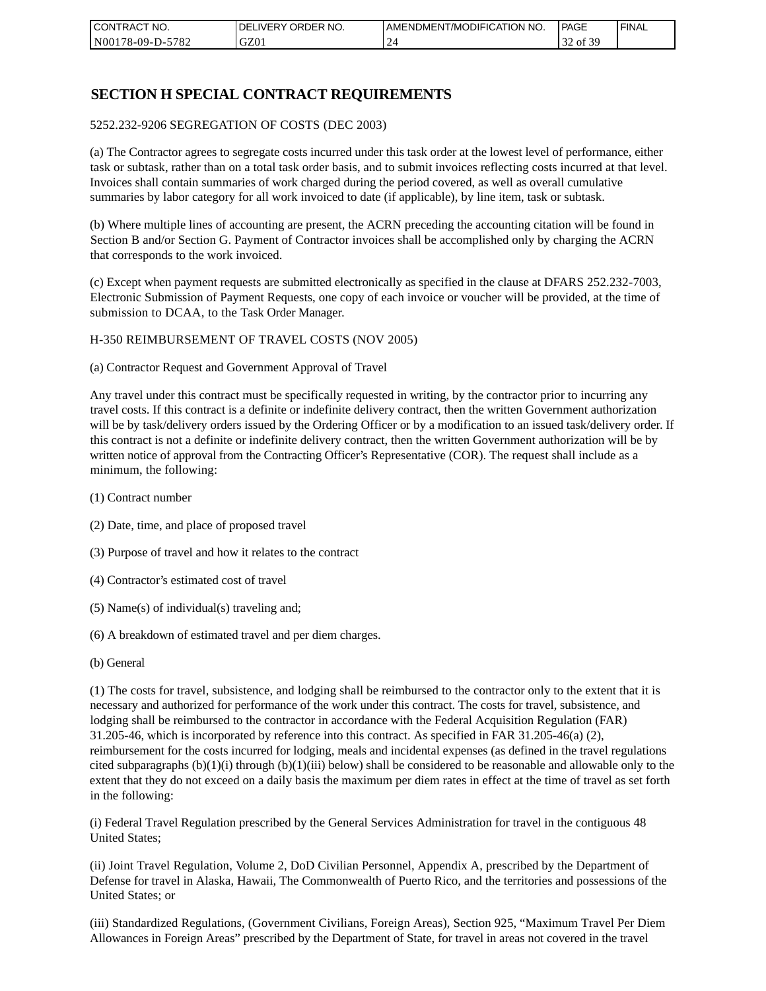| I CONTRACT NO.   | NO.<br>DELIVERY ORDER | AMENDMENT/MODIFICATION NO. | PAGE                      | ' FINAL |
|------------------|-----------------------|----------------------------|---------------------------|---------|
| N00178-09-D-5782 | GZ01                  |                            | f 30<br>$\sigma$ $\sigma$ |         |

### **SECTION H SPECIAL CONTRACT REQUIREMENTS**

#### 5252.232-9206 SEGREGATION OF COSTS (DEC 2003)

(a) The Contractor agrees to segregate costs incurred under this task order at the lowest level of performance, either task or subtask, rather than on a total task order basis, and to submit invoices reflecting costs incurred at that level. Invoices shall contain summaries of work charged during the period covered, as well as overall cumulative summaries by labor category for all work invoiced to date (if applicable), by line item, task or subtask.

(b) Where multiple lines of accounting are present, the ACRN preceding the accounting citation will be found in Section B and/or Section G. Payment of Contractor invoices shall be accomplished only by charging the ACRN that corresponds to the work invoiced.

(c) Except when payment requests are submitted electronically as specified in the clause at DFARS 252.232-7003, Electronic Submission of Payment Requests, one copy of each invoice or voucher will be provided, at the time of submission to DCAA, to the Task Order Manager.

#### H-350 REIMBURSEMENT OF TRAVEL COSTS (NOV 2005)

(a) Contractor Request and Government Approval of Travel

Any travel under this contract must be specifically requested in writing, by the contractor prior to incurring any travel costs. If this contract is a definite or indefinite delivery contract, then the written Government authorization will be by task/delivery orders issued by the Ordering Officer or by a modification to an issued task/delivery order. If this contract is not a definite or indefinite delivery contract, then the written Government authorization will be by written notice of approval from the Contracting Officer's Representative (COR). The request shall include as a minimum, the following:

- (1) Contract number
- (2) Date, time, and place of proposed travel
- (3) Purpose of travel and how it relates to the contract
- (4) Contractor's estimated cost of travel
- (5) Name(s) of individual(s) traveling and;
- (6) A breakdown of estimated travel and per diem charges.
- (b) General

(1) The costs for travel, subsistence, and lodging shall be reimbursed to the contractor only to the extent that it is necessary and authorized for performance of the work under this contract. The costs for travel, subsistence, and lodging shall be reimbursed to the contractor in accordance with the Federal Acquisition Regulation (FAR) 31.205-46, which is incorporated by reference into this contract. As specified in FAR 31.205-46(a) (2), reimbursement for the costs incurred for lodging, meals and incidental expenses (as defined in the travel regulations cited subparagraphs  $(b)(1)(i)$  through  $(b)(1)(iii)$  below) shall be considered to be reasonable and allowable only to the extent that they do not exceed on a daily basis the maximum per diem rates in effect at the time of travel as set forth in the following:

(i) Federal Travel Regulation prescribed by the General Services Administration for travel in the contiguous 48 United States;

(ii) Joint Travel Regulation, Volume 2, DoD Civilian Personnel, Appendix A, prescribed by the Department of Defense for travel in Alaska, Hawaii, The Commonwealth of Puerto Rico, and the territories and possessions of the United States; or

(iii) Standardized Regulations, (Government Civilians, Foreign Areas), Section 925, "Maximum Travel Per Diem Allowances in Foreign Areas" prescribed by the Department of State, for travel in areas not covered in the travel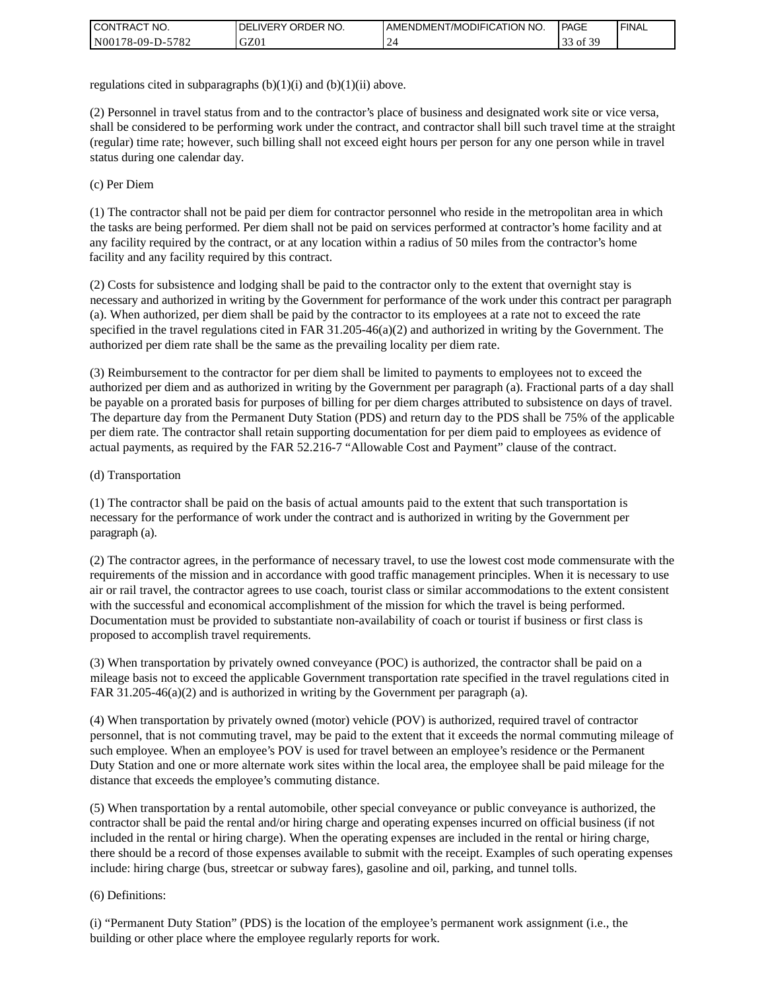| I CONTRACT NO.   | ' ORDER NO.<br><b>DELIVERY</b> | I AMENDMENT/MODIFICATION NO. | <b>PAGE</b>                                | <b>I FINAL</b> |
|------------------|--------------------------------|------------------------------|--------------------------------------------|----------------|
| N00178-09-D-5782 | GZ01                           |                              | ،£ 20<br>$\sim$<br>$\sim$ 01 $\sim$<br>ر ر |                |

regulations cited in subparagraphs  $(b)(1)(i)$  and  $(b)(1)(ii)$  above.

(2) Personnel in travel status from and to the contractor's place of business and designated work site or vice versa, shall be considered to be performing work under the contract, and contractor shall bill such travel time at the straight (regular) time rate; however, such billing shall not exceed eight hours per person for any one person while in travel status during one calendar day.

(c) Per Diem

(1) The contractor shall not be paid per diem for contractor personnel who reside in the metropolitan area in which the tasks are being performed. Per diem shall not be paid on services performed at contractor's home facility and at any facility required by the contract, or at any location within a radius of 50 miles from the contractor's home facility and any facility required by this contract.

(2) Costs for subsistence and lodging shall be paid to the contractor only to the extent that overnight stay is necessary and authorized in writing by the Government for performance of the work under this contract per paragraph (a). When authorized, per diem shall be paid by the contractor to its employees at a rate not to exceed the rate specified in the travel regulations cited in FAR 31.205-46(a)(2) and authorized in writing by the Government. The authorized per diem rate shall be the same as the prevailing locality per diem rate.

(3) Reimbursement to the contractor for per diem shall be limited to payments to employees not to exceed the authorized per diem and as authorized in writing by the Government per paragraph (a). Fractional parts of a day shall be payable on a prorated basis for purposes of billing for per diem charges attributed to subsistence on days of travel. The departure day from the Permanent Duty Station (PDS) and return day to the PDS shall be 75% of the applicable per diem rate. The contractor shall retain supporting documentation for per diem paid to employees as evidence of actual payments, as required by the FAR 52.216-7 "Allowable Cost and Payment" clause of the contract.

#### (d) Transportation

(1) The contractor shall be paid on the basis of actual amounts paid to the extent that such transportation is necessary for the performance of work under the contract and is authorized in writing by the Government per paragraph (a).

(2) The contractor agrees, in the performance of necessary travel, to use the lowest cost mode commensurate with the requirements of the mission and in accordance with good traffic management principles. When it is necessary to use air or rail travel, the contractor agrees to use coach, tourist class or similar accommodations to the extent consistent with the successful and economical accomplishment of the mission for which the travel is being performed. Documentation must be provided to substantiate non-availability of coach or tourist if business or first class is proposed to accomplish travel requirements.

(3) When transportation by privately owned conveyance (POC) is authorized, the contractor shall be paid on a mileage basis not to exceed the applicable Government transportation rate specified in the travel regulations cited in FAR 31.205-46(a)(2) and is authorized in writing by the Government per paragraph (a).

(4) When transportation by privately owned (motor) vehicle (POV) is authorized, required travel of contractor personnel, that is not commuting travel, may be paid to the extent that it exceeds the normal commuting mileage of such employee. When an employee's POV is used for travel between an employee's residence or the Permanent Duty Station and one or more alternate work sites within the local area, the employee shall be paid mileage for the distance that exceeds the employee's commuting distance.

(5) When transportation by a rental automobile, other special conveyance or public conveyance is authorized, the contractor shall be paid the rental and/or hiring charge and operating expenses incurred on official business (if not included in the rental or hiring charge). When the operating expenses are included in the rental or hiring charge, there should be a record of those expenses available to submit with the receipt. Examples of such operating expenses include: hiring charge (bus, streetcar or subway fares), gasoline and oil, parking, and tunnel tolls.

#### (6) Definitions:

(i) "Permanent Duty Station" (PDS) is the location of the employee's permanent work assignment (i.e., the building or other place where the employee regularly reports for work.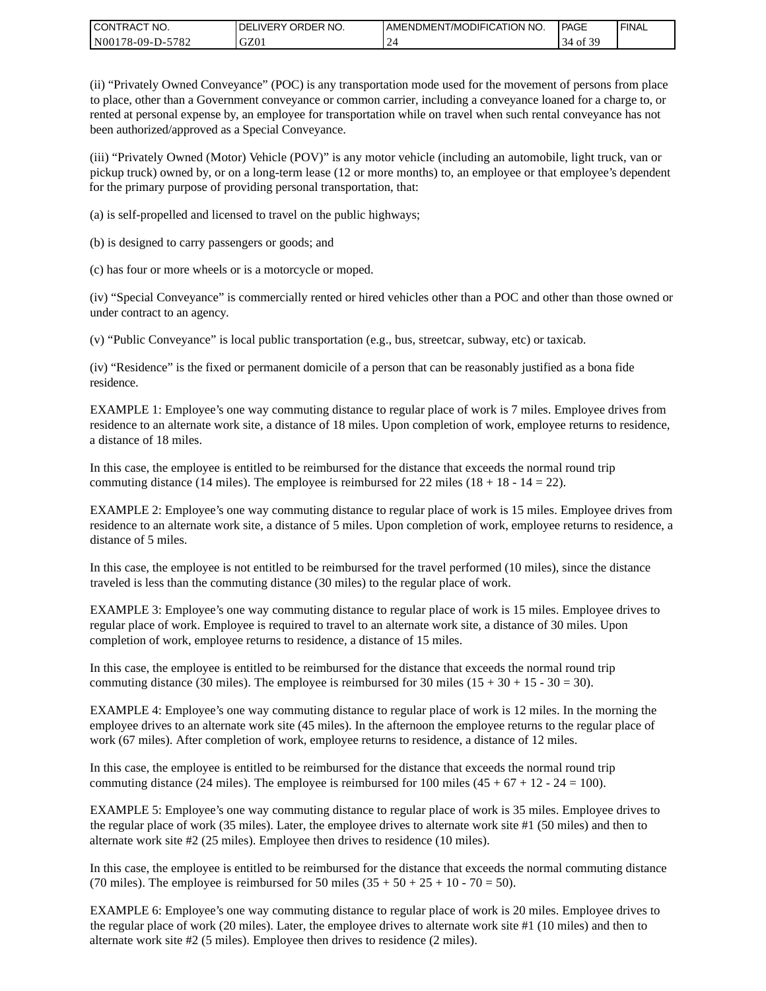| CONTRACT<br>CT NO.                       | NO.<br>' ORDER<br><b>DELIVERY</b> | I AMENDMENT/MODIFICATION NO. | l PAGE    | ' FINAL |
|------------------------------------------|-----------------------------------|------------------------------|-----------|---------|
| $-5782$<br>N <sub>001</sub><br>78-09-D-J | GZ01                              |                              | ΟĪ<br>-14 |         |

(ii) "Privately Owned Conveyance" (POC) is any transportation mode used for the movement of persons from place to place, other than a Government conveyance or common carrier, including a conveyance loaned for a charge to, or rented at personal expense by, an employee for transportation while on travel when such rental conveyance has not been authorized/approved as a Special Conveyance.

(iii) "Privately Owned (Motor) Vehicle (POV)" is any motor vehicle (including an automobile, light truck, van or pickup truck) owned by, or on a long-term lease (12 or more months) to, an employee or that employee's dependent for the primary purpose of providing personal transportation, that:

(a) is self-propelled and licensed to travel on the public highways;

(b) is designed to carry passengers or goods; and

(c) has four or more wheels or is a motorcycle or moped.

(iv) "Special Conveyance" is commercially rented or hired vehicles other than a POC and other than those owned or under contract to an agency.

(v) "Public Conveyance" is local public transportation (e.g., bus, streetcar, subway, etc) or taxicab.

(iv) "Residence" is the fixed or permanent domicile of a person that can be reasonably justified as a bona fide residence.

EXAMPLE 1: Employee's one way commuting distance to regular place of work is 7 miles. Employee drives from residence to an alternate work site, a distance of 18 miles. Upon completion of work, employee returns to residence, a distance of 18 miles.

In this case, the employee is entitled to be reimbursed for the distance that exceeds the normal round trip commuting distance (14 miles). The employee is reimbursed for 22 miles (18 + 18 - 14 = 22).

EXAMPLE 2: Employee's one way commuting distance to regular place of work is 15 miles. Employee drives from residence to an alternate work site, a distance of 5 miles. Upon completion of work, employee returns to residence, a distance of 5 miles.

In this case, the employee is not entitled to be reimbursed for the travel performed (10 miles), since the distance traveled is less than the commuting distance (30 miles) to the regular place of work.

EXAMPLE 3: Employee's one way commuting distance to regular place of work is 15 miles. Employee drives to regular place of work. Employee is required to travel to an alternate work site, a distance of 30 miles. Upon completion of work, employee returns to residence, a distance of 15 miles.

In this case, the employee is entitled to be reimbursed for the distance that exceeds the normal round trip commuting distance (30 miles). The employee is reimbursed for 30 miles  $(15 + 30 + 15 - 30 = 30)$ .

EXAMPLE 4: Employee's one way commuting distance to regular place of work is 12 miles. In the morning the employee drives to an alternate work site (45 miles). In the afternoon the employee returns to the regular place of work (67 miles). After completion of work, employee returns to residence, a distance of 12 miles.

In this case, the employee is entitled to be reimbursed for the distance that exceeds the normal round trip commuting distance (24 miles). The employee is reimbursed for 100 miles  $(45 + 67 + 12 - 24 = 100)$ .

EXAMPLE 5: Employee's one way commuting distance to regular place of work is 35 miles. Employee drives to the regular place of work (35 miles). Later, the employee drives to alternate work site #1 (50 miles) and then to alternate work site #2 (25 miles). Employee then drives to residence (10 miles).

In this case, the employee is entitled to be reimbursed for the distance that exceeds the normal commuting distance (70 miles). The employee is reimbursed for 50 miles  $(35 + 50 + 25 + 10 - 70 = 50)$ .

EXAMPLE 6: Employee's one way commuting distance to regular place of work is 20 miles. Employee drives to the regular place of work (20 miles). Later, the employee drives to alternate work site #1 (10 miles) and then to alternate work site #2 (5 miles). Employee then drives to residence (2 miles).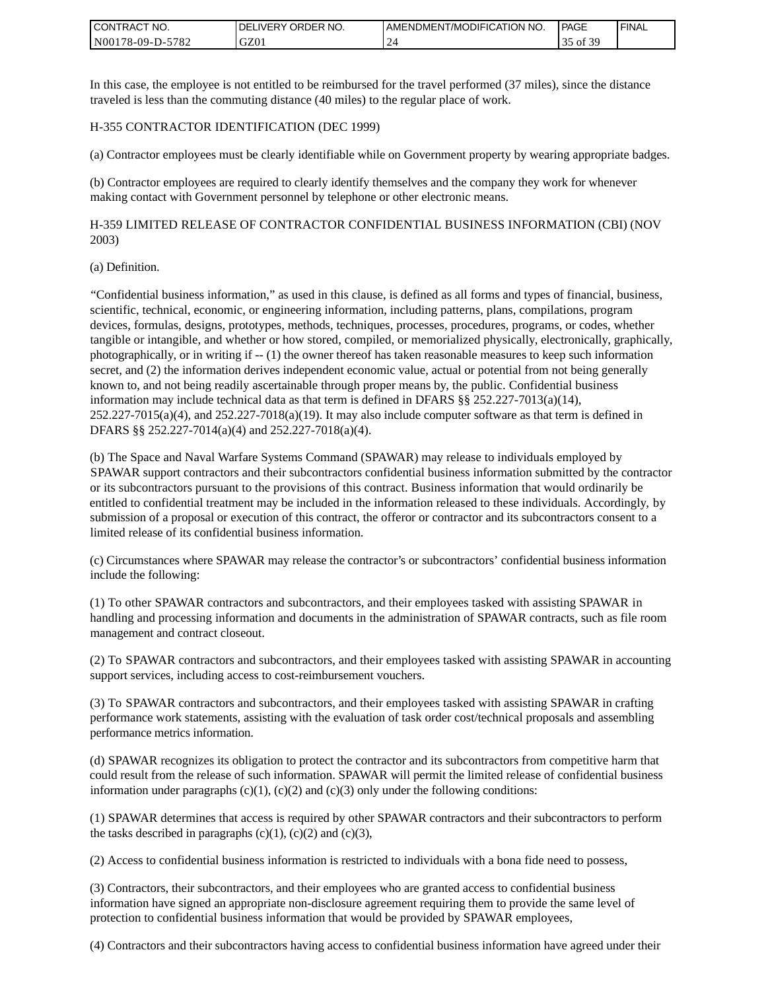| <b>I CONTRACT NO.</b>               | NO.<br>DELIVERY ORDER | AMENDMENT/MODIFICATION NO. | PAGE                     | <b>I FINAL</b> |
|-------------------------------------|-----------------------|----------------------------|--------------------------|----------------|
| 5782<br>N001<br>78-09-E<br>$D^{-r}$ | GZ01                  |                            | £ 2€<br>$_{\text{ot}}$ 5 |                |

In this case, the employee is not entitled to be reimbursed for the travel performed (37 miles), since the distance traveled is less than the commuting distance (40 miles) to the regular place of work.

#### H-355 CONTRACTOR IDENTIFICATION (DEC 1999)

(a) Contractor employees must be clearly identifiable while on Government property by wearing appropriate badges.

(b) Contractor employees are required to clearly identify themselves and the company they work for whenever making contact with Government personnel by telephone or other electronic means.

H-359 LIMITED RELEASE OF CONTRACTOR CONFIDENTIAL BUSINESS INFORMATION (CBI) (NOV 2003)

#### (a) Definition.

"Confidential business information," as used in this clause, is defined as all forms and types of financial, business, scientific, technical, economic, or engineering information, including patterns, plans, compilations, program devices, formulas, designs, prototypes, methods, techniques, processes, procedures, programs, or codes, whether tangible or intangible, and whether or how stored, compiled, or memorialized physically, electronically, graphically, photographically, or in writing if -- (1) the owner thereof has taken reasonable measures to keep such information secret, and (2) the information derives independent economic value, actual or potential from not being generally known to, and not being readily ascertainable through proper means by, the public. Confidential business information may include technical data as that term is defined in DFARS  $\S$ § 252.227-7013(a)(14),  $252.227-7015(a)(4)$ , and  $252.227-7018(a)(19)$ . It may also include computer software as that term is defined in DFARS §§ 252.227-7014(a)(4) and 252.227-7018(a)(4).

(b) The Space and Naval Warfare Systems Command (SPAWAR) may release to individuals employed by SPAWAR support contractors and their subcontractors confidential business information submitted by the contractor or its subcontractors pursuant to the provisions of this contract. Business information that would ordinarily be entitled to confidential treatment may be included in the information released to these individuals. Accordingly, by submission of a proposal or execution of this contract, the offeror or contractor and its subcontractors consent to a limited release of its confidential business information.

(c) Circumstances where SPAWAR may release the contractor's or subcontractors' confidential business information include the following:

(1) To other SPAWAR contractors and subcontractors, and their employees tasked with assisting SPAWAR in handling and processing information and documents in the administration of SPAWAR contracts, such as file room management and contract closeout.

(2) To SPAWAR contractors and subcontractors, and their employees tasked with assisting SPAWAR in accounting support services, including access to cost-reimbursement vouchers.

(3) To SPAWAR contractors and subcontractors, and their employees tasked with assisting SPAWAR in crafting performance work statements, assisting with the evaluation of task order cost/technical proposals and assembling performance metrics information.

(d) SPAWAR recognizes its obligation to protect the contractor and its subcontractors from competitive harm that could result from the release of such information. SPAWAR will permit the limited release of confidential business information under paragraphs  $(c)(1)$ ,  $(c)(2)$  and  $(c)(3)$  only under the following conditions:

(1) SPAWAR determines that access is required by other SPAWAR contractors and their subcontractors to perform the tasks described in paragraphs  $(c)(1)$ ,  $(c)(2)$  and  $(c)(3)$ ,

(2) Access to confidential business information is restricted to individuals with a bona fide need to possess,

(3) Contractors, their subcontractors, and their employees who are granted access to confidential business information have signed an appropriate non-disclosure agreement requiring them to provide the same level of protection to confidential business information that would be provided by SPAWAR employees,

(4) Contractors and their subcontractors having access to confidential business information have agreed under their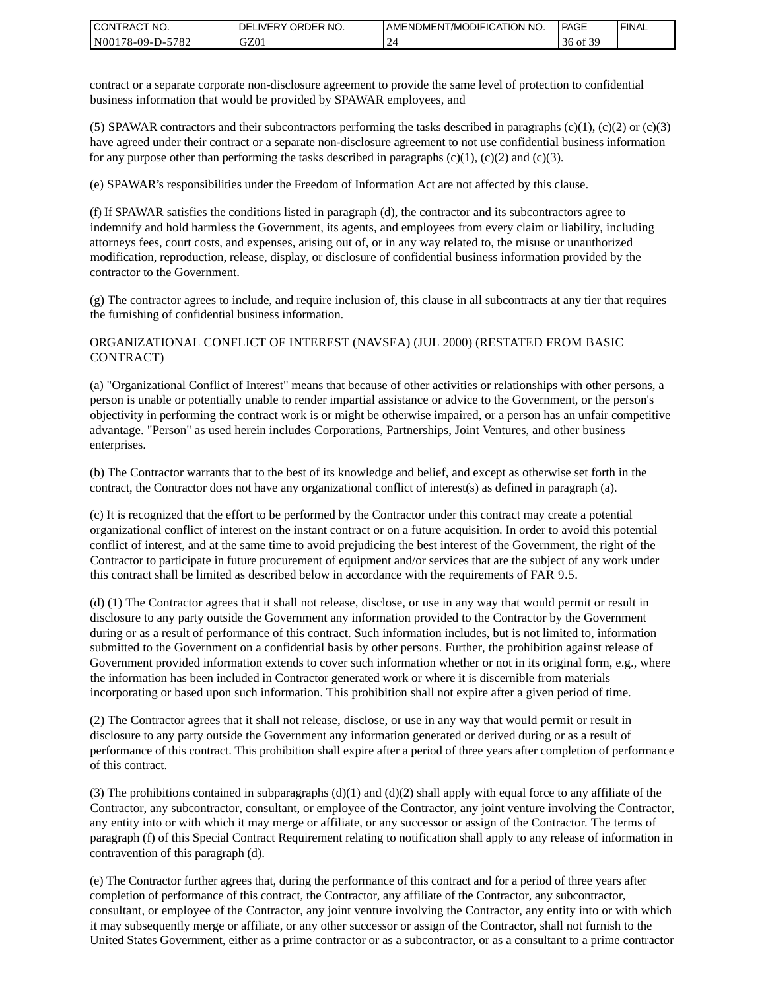| I CONTRACT NO.   | DELIVERY ORDER NO. | AMENDMENT/MODIFICATION NO. | PAGE                   | ' FINAL |
|------------------|--------------------|----------------------------|------------------------|---------|
| N00178-09-D-5782 | GZ01               |                            | f 20<br>36<br>. د ot o |         |

contract or a separate corporate non-disclosure agreement to provide the same level of protection to confidential business information that would be provided by SPAWAR employees, and

(5) SPAWAR contractors and their subcontractors performing the tasks described in paragraphs  $(c)(1)$ ,  $(c)(2)$  or  $(c)(3)$ have agreed under their contract or a separate non-disclosure agreement to not use confidential business information for any purpose other than performing the tasks described in paragraphs  $(c)(1)$ ,  $(c)(2)$  and  $(c)(3)$ .

(e) SPAWAR's responsibilities under the Freedom of Information Act are not affected by this clause.

(f) If SPAWAR satisfies the conditions listed in paragraph (d), the contractor and its subcontractors agree to indemnify and hold harmless the Government, its agents, and employees from every claim or liability, including attorneys fees, court costs, and expenses, arising out of, or in any way related to, the misuse or unauthorized modification, reproduction, release, display, or disclosure of confidential business information provided by the contractor to the Government.

(g) The contractor agrees to include, and require inclusion of, this clause in all subcontracts at any tier that requires the furnishing of confidential business information.

#### ORGANIZATIONAL CONFLICT OF INTEREST (NAVSEA) (JUL 2000) (RESTATED FROM BASIC CONTRACT)

(a) "Organizational Conflict of Interest" means that because of other activities or relationships with other persons, a person is unable or potentially unable to render impartial assistance or advice to the Government, or the person's objectivity in performing the contract work is or might be otherwise impaired, or a person has an unfair competitive advantage. "Person" as used herein includes Corporations, Partnerships, Joint Ventures, and other business enterprises.

(b) The Contractor warrants that to the best of its knowledge and belief, and except as otherwise set forth in the contract, the Contractor does not have any organizational conflict of interest(s) as defined in paragraph (a).

(c) It is recognized that the effort to be performed by the Contractor under this contract may create a potential organizational conflict of interest on the instant contract or on a future acquisition. In order to avoid this potential conflict of interest, and at the same time to avoid prejudicing the best interest of the Government, the right of the Contractor to participate in future procurement of equipment and/or services that are the subject of any work under this contract shall be limited as described below in accordance with the requirements of FAR 9.5.

(d) (1) The Contractor agrees that it shall not release, disclose, or use in any way that would permit or result in disclosure to any party outside the Government any information provided to the Contractor by the Government during or as a result of performance of this contract. Such information includes, but is not limited to, information submitted to the Government on a confidential basis by other persons. Further, the prohibition against release of Government provided information extends to cover such information whether or not in its original form, e.g., where the information has been included in Contractor generated work or where it is discernible from materials incorporating or based upon such information. This prohibition shall not expire after a given period of time.

(2) The Contractor agrees that it shall not release, disclose, or use in any way that would permit or result in disclosure to any party outside the Government any information generated or derived during or as a result of performance of this contract. This prohibition shall expire after a period of three years after completion of performance of this contract.

(3) The prohibitions contained in subparagraphs  $(d)(1)$  and  $(d)(2)$  shall apply with equal force to any affiliate of the Contractor, any subcontractor, consultant, or employee of the Contractor, any joint venture involving the Contractor, any entity into or with which it may merge or affiliate, or any successor or assign of the Contractor. The terms of paragraph (f) of this Special Contract Requirement relating to notification shall apply to any release of information in contravention of this paragraph (d).

(e) The Contractor further agrees that, during the performance of this contract and for a period of three years after completion of performance of this contract, the Contractor, any affiliate of the Contractor, any subcontractor, consultant, or employee of the Contractor, any joint venture involving the Contractor, any entity into or with which it may subsequently merge or affiliate, or any other successor or assign of the Contractor, shall not furnish to the United States Government, either as a prime contractor or as a subcontractor, or as a consultant to a prime contractor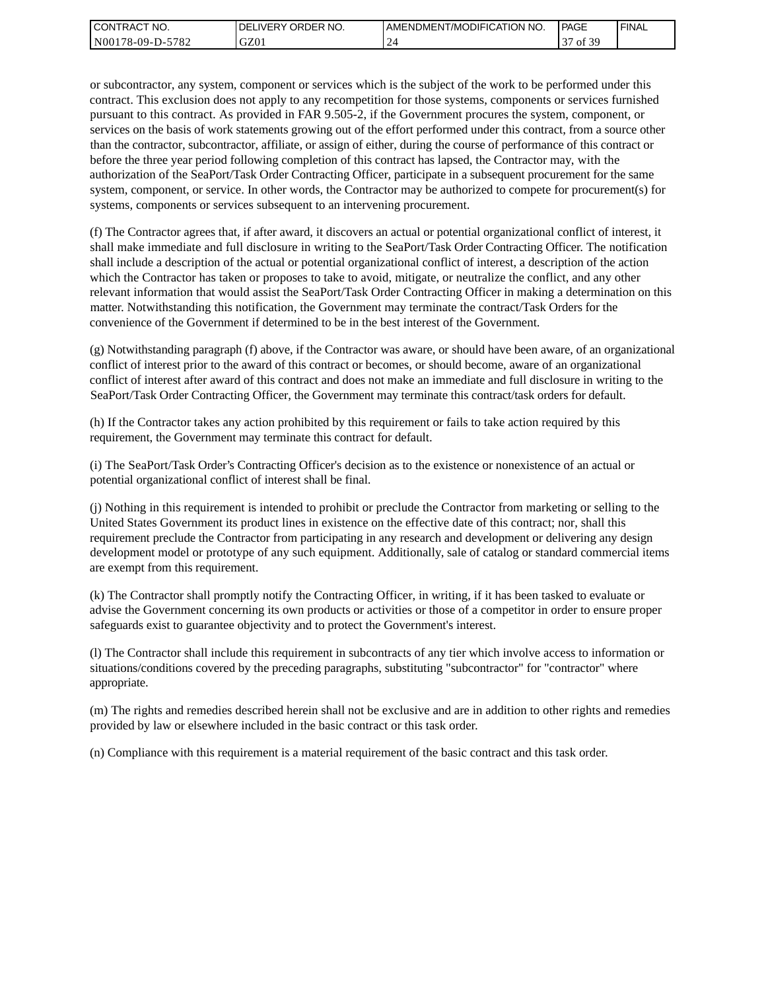| I CONTRACT NO.           | NO.<br>' ORDER<br><b>DELIVERY</b> | AMENDMENT/MODIFICATION NO. | PAGE                 | ' FINAL |
|--------------------------|-----------------------------------|----------------------------|----------------------|---------|
| N00178-09-D-5<br>$-5782$ | GZ01                              |                            | f 30<br>$\sim$<br>οt |         |

or subcontractor, any system, component or services which is the subject of the work to be performed under this contract. This exclusion does not apply to any recompetition for those systems, components or services furnished pursuant to this contract. As provided in FAR 9.505-2, if the Government procures the system, component, or services on the basis of work statements growing out of the effort performed under this contract, from a source other than the contractor, subcontractor, affiliate, or assign of either, during the course of performance of this contract or before the three year period following completion of this contract has lapsed, the Contractor may, with the authorization of the SeaPort/Task Order Contracting Officer, participate in a subsequent procurement for the same system, component, or service. In other words, the Contractor may be authorized to compete for procurement(s) for systems, components or services subsequent to an intervening procurement.

(f) The Contractor agrees that, if after award, it discovers an actual or potential organizational conflict of interest, it shall make immediate and full disclosure in writing to the SeaPort/Task Order Contracting Officer. The notification shall include a description of the actual or potential organizational conflict of interest, a description of the action which the Contractor has taken or proposes to take to avoid, mitigate, or neutralize the conflict, and any other relevant information that would assist the SeaPort/Task Order Contracting Officer in making a determination on this matter. Notwithstanding this notification, the Government may terminate the contract/Task Orders for the convenience of the Government if determined to be in the best interest of the Government.

(g) Notwithstanding paragraph (f) above, if the Contractor was aware, or should have been aware, of an organizational conflict of interest prior to the award of this contract or becomes, or should become, aware of an organizational conflict of interest after award of this contract and does not make an immediate and full disclosure in writing to the SeaPort/Task Order Contracting Officer, the Government may terminate this contract/task orders for default.

(h) If the Contractor takes any action prohibited by this requirement or fails to take action required by this requirement, the Government may terminate this contract for default.

(i) The SeaPort/Task Order's Contracting Officer's decision as to the existence or nonexistence of an actual or potential organizational conflict of interest shall be final.

(j) Nothing in this requirement is intended to prohibit or preclude the Contractor from marketing or selling to the United States Government its product lines in existence on the effective date of this contract; nor, shall this requirement preclude the Contractor from participating in any research and development or delivering any design development model or prototype of any such equipment. Additionally, sale of catalog or standard commercial items are exempt from this requirement.

(k) The Contractor shall promptly notify the Contracting Officer, in writing, if it has been tasked to evaluate or advise the Government concerning its own products or activities or those of a competitor in order to ensure proper safeguards exist to guarantee objectivity and to protect the Government's interest.

(l) The Contractor shall include this requirement in subcontracts of any tier which involve access to information or situations/conditions covered by the preceding paragraphs, substituting "subcontractor" for "contractor" where appropriate.

(m) The rights and remedies described herein shall not be exclusive and are in addition to other rights and remedies provided by law or elsewhere included in the basic contract or this task order.

(n) Compliance with this requirement is a material requirement of the basic contract and this task order.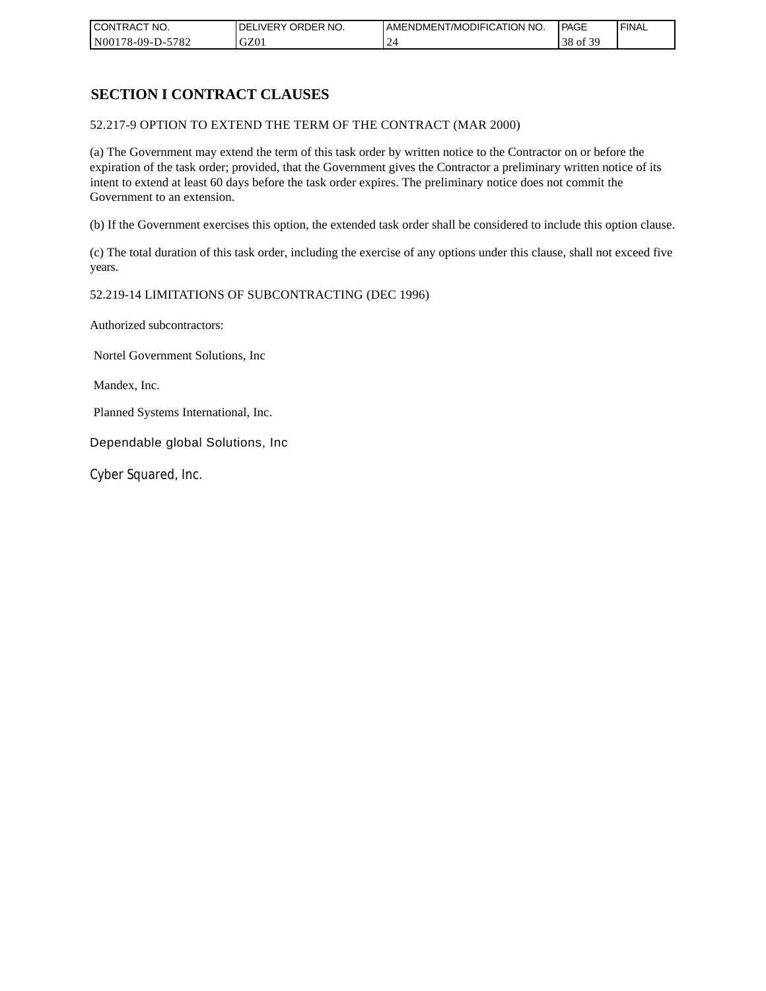| CONTRACT NO.     | <b>IDELIVERY ORDER NO.</b> | AMENDMENT/MODIFICATION I<br>'NO. | <b>PAGE</b>         | ' FINAL |
|------------------|----------------------------|----------------------------------|---------------------|---------|
| N00178-09-D-5782 | GZ0 <sub>1</sub>           |                                  | $\alpha$<br>38 of 3 |         |

## **SECTION I CONTRACT CLAUSES**

52.217-9 OPTION TO EXTEND THE TERM OF THE CONTRACT (MAR 2000)

(a) The Government may extend the term of this task order by written notice to the Contractor on or before the expiration of the task order; provided, that the Government gives the Contractor a preliminary written notice of its intent to extend at least 60 days before the task order expires. The preliminary notice does not commit the Government to an extension.

(b) If the Government exercises this option, the extended task order shall be considered to include this option clause.

(c) The total duration of this task order, including the exercise of any options under this clause, shall not exceed five years.

#### 52.219-14 LIMITATIONS OF SUBCONTRACTING (DEC 1996)

Authorized subcontractors:

Nortel Government Solutions, Inc

Mandex, Inc.

Planned Systems International, Inc.

Dependable global Solutions, Inc

Cyber Squared, Inc.